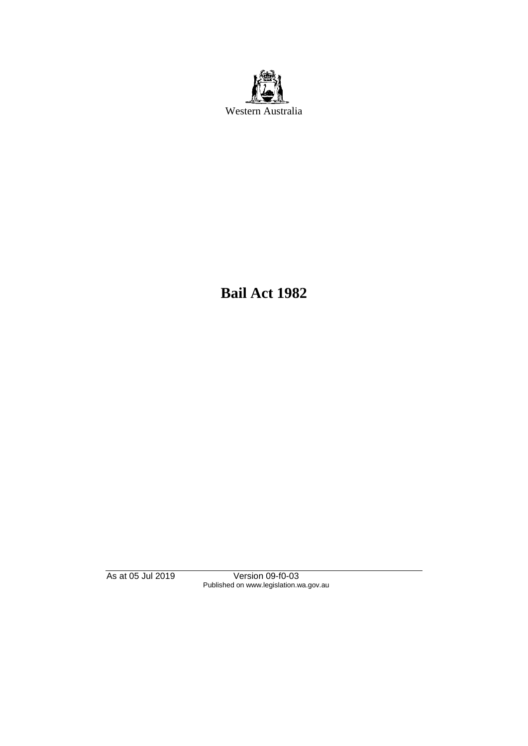

**Bail Act 1982**

As at 05 Jul 2019 Version 09-f0-03 Published on www.legislation.wa.gov.au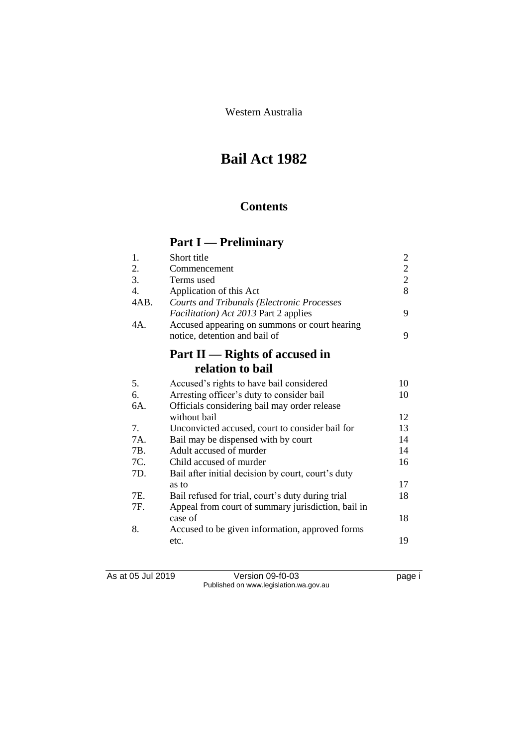Western Australia

# **Bail Act 1982**

# **Contents**

# **Part I — Preliminary**

| 1.               | Short title                                                                                        | $\overline{c}$ |
|------------------|----------------------------------------------------------------------------------------------------|----------------|
| 2.               | Commencement                                                                                       | $\overline{c}$ |
| 3.               | Terms used                                                                                         | $\overline{2}$ |
| $\overline{4}$ . | Application of this Act                                                                            | 8              |
| 4AB.             | <b>Courts and Tribunals (Electronic Processes</b><br><i>Facilitation</i> ) Act 2013 Part 2 applies | 9              |
| 4A.              | Accused appearing on summons or court hearing<br>notice, detention and bail of                     | 9              |
|                  |                                                                                                    |                |
|                  | Part $II$ — Rights of accused in                                                                   |                |
|                  | relation to bail                                                                                   |                |
| 5.               | Accused's rights to have bail considered                                                           | 10             |
| 6.               | Arresting officer's duty to consider bail                                                          | 10             |
| 6A.              | Officials considering bail may order release                                                       |                |
|                  | without bail                                                                                       | 12             |
| 7.               | Unconvicted accused, court to consider bail for                                                    | 13             |
| 7A.              | Bail may be dispensed with by court                                                                | 14             |
| 7B.              | Adult accused of murder                                                                            | 14             |
| 7C.              | Child accused of murder                                                                            | 16             |
| 7D.              | Bail after initial decision by court, court's duty                                                 |                |
|                  | as to                                                                                              | 17             |
| 7E.              | Bail refused for trial, court's duty during trial                                                  | 18             |
| 7F.              | Appeal from court of summary jurisdiction, bail in                                                 |                |
|                  | case of                                                                                            | 18             |
| 8.               | Accused to be given information, approved forms                                                    |                |
|                  | etc.                                                                                               | 19             |

As at 05 Jul 2019 Version 09-f0-03 page i Published on www.legislation.wa.gov.au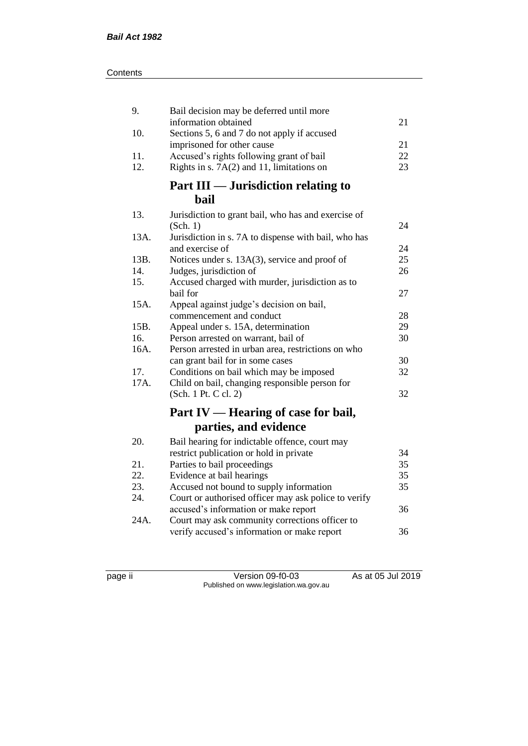| 9.          | Bail decision may be deferred until more                               |          |
|-------------|------------------------------------------------------------------------|----------|
|             | information obtained                                                   | 21       |
| 10.         | Sections 5, 6 and 7 do not apply if accused                            |          |
|             | imprisoned for other cause                                             | 21<br>22 |
| 11.<br>12.  | Accused's rights following grant of bail                               | 23       |
|             | Rights in s. $7A(2)$ and 11, limitations on                            |          |
|             | Part III — Jurisdiction relating to                                    |          |
|             | hail                                                                   |          |
| 13.         | Jurisdiction to grant bail, who has and exercise of                    |          |
|             | (Sch. 1)                                                               | 24       |
| 13A.        | Jurisdiction in s. 7A to dispense with bail, who has                   |          |
|             | and exercise of                                                        | 24       |
| 13B.        | Notices under s. 13A(3), service and proof of                          | 25       |
| 14.         | Judges, jurisdiction of                                                | 26       |
| 15.         | Accused charged with murder, jurisdiction as to                        |          |
|             | bail for                                                               | 27       |
| 15A.        | Appeal against judge's decision on bail,                               |          |
|             | commencement and conduct                                               | 28       |
| 15B.        | Appeal under s. 15A, determination                                     | 29       |
| 16.         | Person arrested on warrant, bail of                                    | 30       |
| 16A.        | Person arrested in urban area, restrictions on who                     |          |
|             | can grant bail for in some cases                                       | 30       |
| 17.<br>17A. | Conditions on bail which may be imposed                                | 32       |
|             | Child on bail, changing responsible person for<br>(Sch. 1 Pt. C cl. 2) | 32       |
|             |                                                                        |          |
|             | Part IV — Hearing of case for bail,                                    |          |
|             | parties, and evidence                                                  |          |
| 20.         | Bail hearing for indictable offence, court may                         |          |
|             | restrict publication or hold in private                                | 34       |
| 21.         | Parties to bail proceedings                                            | 35       |
| 22.         | Evidence at bail hearings                                              | 35       |
| 23.         | Accused not bound to supply information                                | 35       |
| 24.         | Court or authorised officer may ask police to verify                   |          |
|             | accused's information or make report                                   | 36       |
| 24A.        | Court may ask community corrections officer to                         |          |
|             | verify accused's information or make report                            | 36       |

page ii Version 09-f0-03 As at 05 Jul 2019 Published on www.legislation.wa.gov.au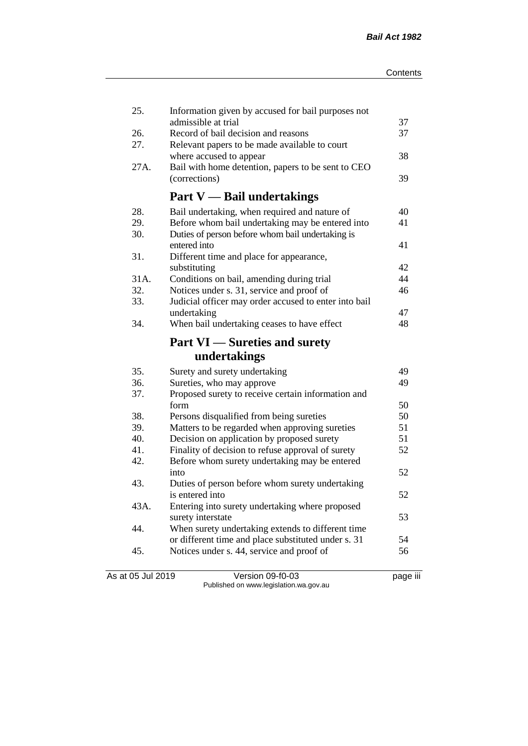| 25.  | Information given by accused for bail purposes not<br>admissible at trial       |          |
|------|---------------------------------------------------------------------------------|----------|
| 26.  | Record of bail decision and reasons                                             | 37<br>37 |
| 27.  | Relevant papers to be made available to court                                   |          |
|      | where accused to appear                                                         | 38       |
| 27A. | Bail with home detention, papers to be sent to CEO                              |          |
|      | (corrections)                                                                   | 39       |
|      |                                                                                 |          |
|      | <b>Part V</b> — Bail undertakings                                               |          |
| 28.  | Bail undertaking, when required and nature of                                   | 40       |
| 29.  | Before whom bail undertaking may be entered into                                | 41       |
| 30.  | Duties of person before whom bail undertaking is                                |          |
|      | entered into                                                                    | 41       |
| 31.  | Different time and place for appearance,                                        |          |
|      | substituting                                                                    | 42       |
| 31A. | Conditions on bail, amending during trial                                       | 44       |
| 32.  | Notices under s. 31, service and proof of                                       | 46       |
| 33.  | Judicial officer may order accused to enter into bail                           |          |
|      | undertaking                                                                     | 47       |
| 34.  | When bail undertaking ceases to have effect                                     | 48       |
|      |                                                                                 |          |
|      | <b>Part VI</b> — Sureties and surety                                            |          |
|      | undertakings                                                                    |          |
| 35.  |                                                                                 | 49       |
| 36.  | Surety and surety undertaking                                                   | 49       |
| 37.  | Sureties, who may approve<br>Proposed surety to receive certain information and |          |
|      | form                                                                            | 50       |
| 38.  | Persons disqualified from being sureties                                        | 50       |
| 39.  | Matters to be regarded when approving sureties                                  | 51       |
| 40.  | Decision on application by proposed surety                                      | 51       |
| 41.  | Finality of decision to refuse approval of surety                               | 52       |
| 42.  | Before whom surety undertaking may be entered                                   |          |
|      | into                                                                            | 52       |
| 43.  | Duties of person before whom surety undertaking                                 |          |
|      | is entered into                                                                 | 52       |
| 43A. | Entering into surety undertaking where proposed                                 |          |
|      | surety interstate                                                               | 53       |
| 44.  | When surety undertaking extends to different time                               |          |
|      | or different time and place substituted under s. 31                             | 54       |
| 45.  | Notices under s. 44, service and proof of                                       | 56       |

As at 05 Jul 2019 Version 09-f0-03 page iii Published on www.legislation.wa.gov.au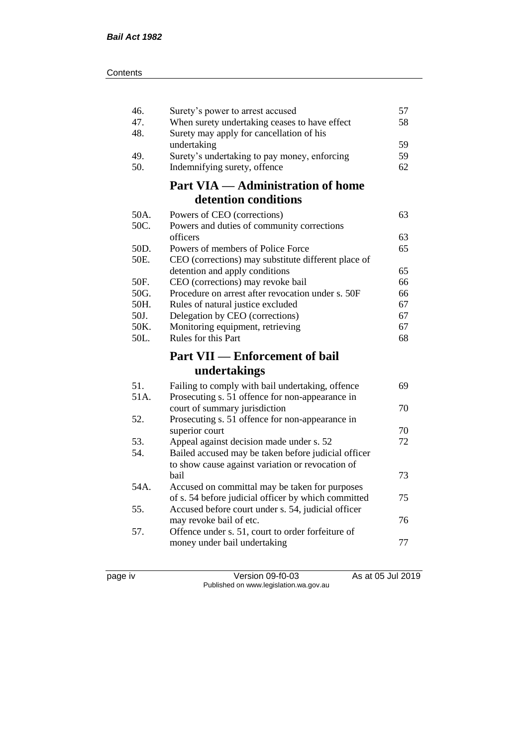| 46.  | Surety's power to arrest accused                                                                        | 57 |
|------|---------------------------------------------------------------------------------------------------------|----|
| 47.  | When surety undertaking ceases to have effect                                                           | 58 |
| 48.  | Surety may apply for cancellation of his                                                                |    |
|      | undertaking                                                                                             | 59 |
| 49.  | Surety's undertaking to pay money, enforcing                                                            | 59 |
| 50.  | Indemnifying surety, offence                                                                            | 62 |
|      | <b>Part VIA — Administration of home</b>                                                                |    |
|      | detention conditions                                                                                    |    |
| 50A. | Powers of CEO (corrections)                                                                             | 63 |
| 50C. | Powers and duties of community corrections                                                              |    |
|      | officers                                                                                                | 63 |
| 50D. | Powers of members of Police Force                                                                       | 65 |
| 50E. | CEO (corrections) may substitute different place of                                                     |    |
|      | detention and apply conditions                                                                          | 65 |
| 50F. | CEO (corrections) may revoke bail                                                                       | 66 |
| 50G. | Procedure on arrest after revocation under s. 50F                                                       | 66 |
| 50H. | Rules of natural justice excluded                                                                       | 67 |
| 50J. | Delegation by CEO (corrections)                                                                         | 67 |
| 50K. | Monitoring equipment, retrieving                                                                        | 67 |
| 50L. | Rules for this Part                                                                                     | 68 |
|      |                                                                                                         |    |
|      | <b>Part VII — Enforcement of bail</b>                                                                   |    |
|      | undertakings                                                                                            |    |
|      |                                                                                                         |    |
| 51.  | Failing to comply with bail undertaking, offence                                                        | 69 |
| 51A. | Prosecuting s. 51 offence for non-appearance in                                                         | 70 |
| 52.  | court of summary jurisdiction                                                                           |    |
|      | Prosecuting s. 51 offence for non-appearance in<br>superior court                                       | 70 |
| 53.  | Appeal against decision made under s. 52                                                                | 72 |
| 54.  |                                                                                                         |    |
|      | Bailed accused may be taken before judicial officer<br>to show cause against variation or revocation of |    |
|      | bail                                                                                                    | 73 |
| 54A. | Accused on committal may be taken for purposes                                                          |    |
|      | of s. 54 before judicial officer by which committed                                                     | 75 |
| 55.  | Accused before court under s. 54, judicial officer                                                      |    |
|      | may revoke bail of etc.                                                                                 | 76 |
| 57.  | Offence under s. 51, court to order forfeiture of                                                       |    |
|      | money under bail undertaking                                                                            | 77 |

page iv Version 09-f0-03 As at 05 Jul 2019 Published on www.legislation.wa.gov.au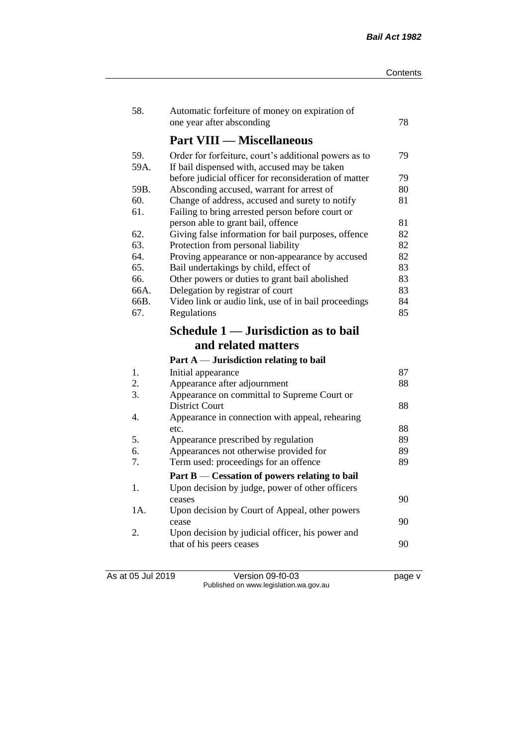| 58.         | Automatic forfeiture of money on expiration of<br>one year after absconding                           | 78       |
|-------------|-------------------------------------------------------------------------------------------------------|----------|
|             | <b>Part VIII — Miscellaneous</b>                                                                      |          |
| 59.<br>59A. | Order for forfeiture, court's additional powers as to<br>If bail dispensed with, accused may be taken | 79       |
|             | before judicial officer for reconsideration of matter                                                 | 79       |
| 59B.        | Absconding accused, warrant for arrest of                                                             | 80       |
| 60.<br>61.  | Change of address, accused and surety to notify<br>Failing to bring arrested person before court or   | 81<br>81 |
| 62.         | person able to grant bail, offence<br>Giving false information for bail purposes, offence             | 82       |
| 63.         | Protection from personal liability                                                                    | 82       |
| 64.         | Proving appearance or non-appearance by accused                                                       | 82       |
| 65.         | Bail undertakings by child, effect of                                                                 | 83       |
| 66.         | Other powers or duties to grant bail abolished                                                        | 83       |
| 66A.        | Delegation by registrar of court                                                                      | 83       |
| 66B.        | Video link or audio link, use of in bail proceedings                                                  | 84       |
| 67.         | Regulations                                                                                           | 85       |
|             | Schedule 1 — Jurisdiction as to bail                                                                  |          |
|             | and related matters                                                                                   |          |
|             | Part $A$ — Jurisdiction relating to bail                                                              |          |
| 1.          | Initial appearance                                                                                    | 87       |
| 2.          | Appearance after adjournment                                                                          | 88       |
| 3.          | Appearance on committal to Supreme Court or                                                           |          |
|             | <b>District Court</b>                                                                                 | 88       |
| 4.          |                                                                                                       |          |
|             | Appearance in connection with appeal, rehearing                                                       |          |
|             | etc.                                                                                                  | 88       |
| 5.          | Appearance prescribed by regulation                                                                   | 89       |
| 6.          | Appearances not otherwise provided for                                                                | 89       |
| 7.          | Term used: proceedings for an offence                                                                 | 89       |
|             | Part B — Cessation of powers relating to bail                                                         |          |
| 1.          | Upon decision by judge, power of other officers                                                       |          |
|             | ceases                                                                                                | 90       |
| 1A.         | Upon decision by Court of Appeal, other powers                                                        | 90       |
| 2.          | cease                                                                                                 |          |
|             | Upon decision by judicial officer, his power and<br>that of his peers ceases                          | 90       |

As at 05 Jul 2019 Version 09-f0-03 page v Published on www.legislation.wa.gov.au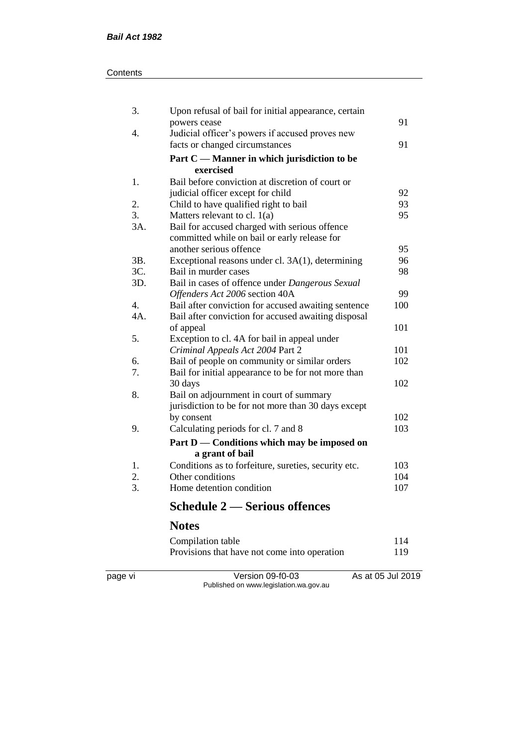#### **Contents**

| 3.               | Upon refusal of bail for initial appearance, certain |     |
|------------------|------------------------------------------------------|-----|
|                  | powers cease                                         | 91  |
| 4.               | Judicial officer's powers if accused proves new      |     |
|                  | facts or changed circumstances                       | 91  |
|                  | Part C — Manner in which jurisdiction to be          |     |
|                  | exercised                                            |     |
| 1.               | Bail before conviction at discretion of court or     |     |
|                  | judicial officer except for child                    | 92  |
| 2.               | Child to have qualified right to bail                | 93  |
| $\overline{3}$ . | Matters relevant to cl. $1(a)$                       | 95  |
| 3A.              | Bail for accused charged with serious offence        |     |
|                  | committed while on bail or early release for         |     |
|                  | another serious offence                              | 95  |
| 3B.              | Exceptional reasons under cl. 3A(1), determining     | 96  |
| 3C.              | Bail in murder cases                                 | 98  |
| 3D.              | Bail in cases of offence under Dangerous Sexual      |     |
|                  | Offenders Act 2006 section 40A                       | 99  |
| 4.               | Bail after conviction for accused awaiting sentence  | 100 |
| 4A.              | Bail after conviction for accused awaiting disposal  |     |
|                  | of appeal                                            | 101 |
| 5.               | Exception to cl. 4A for bail in appeal under         |     |
|                  | Criminal Appeals Act 2004 Part 2                     | 101 |
| 6.               | Bail of people on community or similar orders        | 102 |
| 7.               | Bail for initial appearance to be for not more than  |     |
|                  | 30 days                                              | 102 |
| 8.               | Bail on adjournment in court of summary              |     |
|                  | jurisdiction to be for not more than 30 days except  |     |
|                  | by consent                                           | 102 |
| 9.               | Calculating periods for cl. 7 and 8                  | 103 |
|                  | Part D — Conditions which may be imposed on          |     |
|                  | a grant of bail                                      |     |
| 1.               | Conditions as to forfeiture, sureties, security etc. | 103 |
| 2.               | Other conditions                                     | 104 |
| 3.               | Home detention condition                             | 107 |
|                  | <b>Schedule 2 – Serious offences</b>                 |     |
|                  | <b>Notes</b>                                         |     |

Compilation table 114<br>Provisions that have not come into operation 119 Provisions that have not come into operation

page vi Version 09-f0-03 As at 05 Jul 2019 Published on www.legislation.wa.gov.au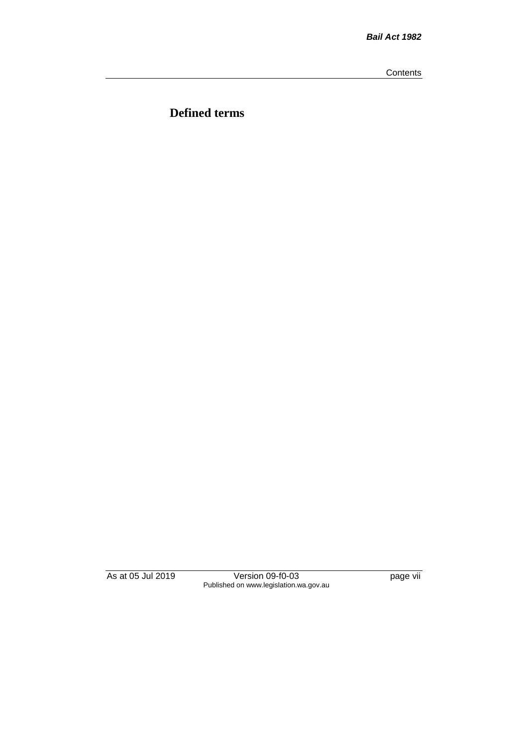**Contents** 

**Defined terms**

As at 05 Jul 2019 Version 09-f0-03 page vii Published on www.legislation.wa.gov.au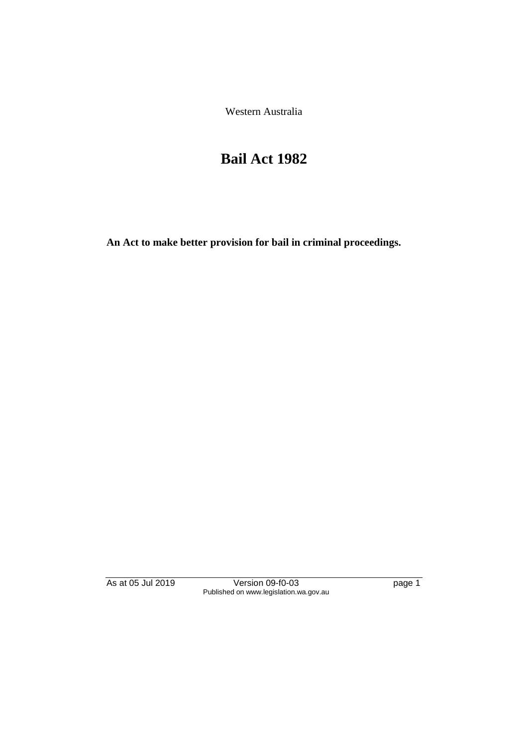Western Australia

# **Bail Act 1982**

**An Act to make better provision for bail in criminal proceedings.** 

As at 05 Jul 2019 Version 09-f0-03 page 1 Published on www.legislation.wa.gov.au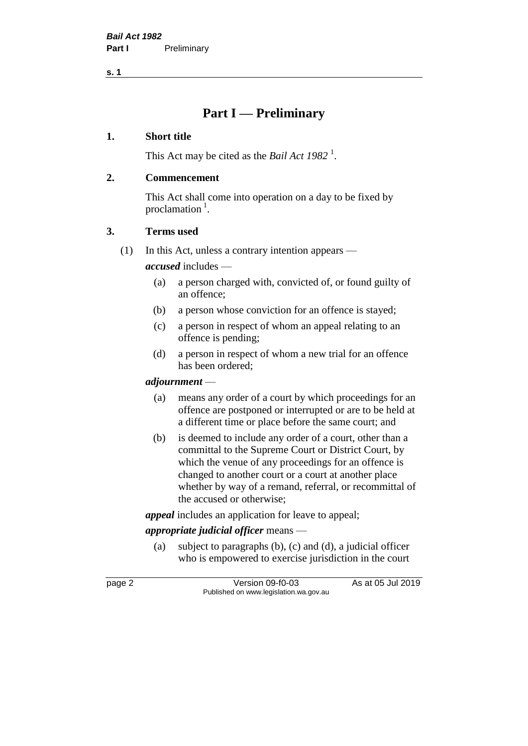**s. 1**

# **Part I — Preliminary**

#### **1. Short title**

This Act may be cited as the *Bail Act* 1982<sup>1</sup>.

#### **2. Commencement**

This Act shall come into operation on a day to be fixed by proclamation<sup>1</sup>.

#### **3. Terms used**

(1) In this Act, unless a contrary intention appears —

*accused* includes —

- (a) a person charged with, convicted of, or found guilty of an offence;
- (b) a person whose conviction for an offence is stayed;
- (c) a person in respect of whom an appeal relating to an offence is pending;
- (d) a person in respect of whom a new trial for an offence has been ordered;

#### *adjournment* —

- (a) means any order of a court by which proceedings for an offence are postponed or interrupted or are to be held at a different time or place before the same court; and
- (b) is deemed to include any order of a court, other than a committal to the Supreme Court or District Court, by which the venue of any proceedings for an offence is changed to another court or a court at another place whether by way of a remand, referral, or recommittal of the accused or otherwise;

*appeal* includes an application for leave to appeal;

# *appropriate judicial officer* means —

(a) subject to paragraphs (b), (c) and (d), a judicial officer who is empowered to exercise jurisdiction in the court

page 2 Version 09-f0-03 As at 05 Jul 2019 Published on www.legislation.wa.gov.au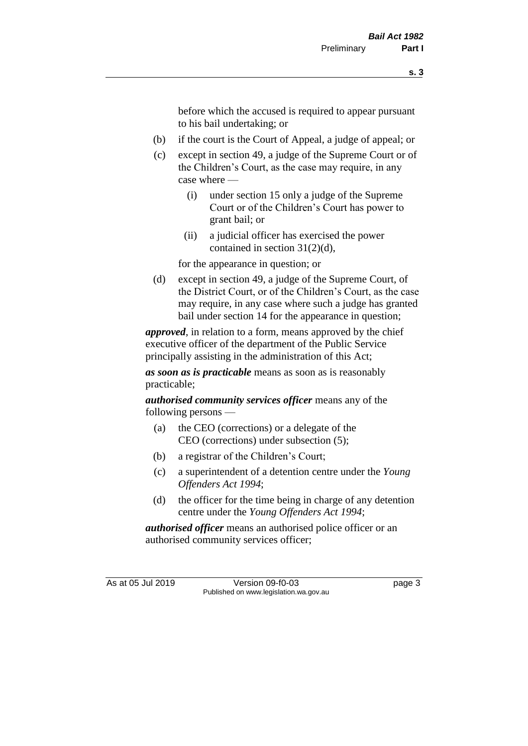before which the accused is required to appear pursuant to his bail undertaking; or

- (b) if the court is the Court of Appeal, a judge of appeal; or
- (c) except in section 49, a judge of the Supreme Court or of the Children's Court, as the case may require, in any case where —
	- (i) under section 15 only a judge of the Supreme Court or of the Children's Court has power to grant bail; or
	- (ii) a judicial officer has exercised the power contained in section 31(2)(d),

for the appearance in question; or

(d) except in section 49, a judge of the Supreme Court, of the District Court, or of the Children's Court, as the case may require, in any case where such a judge has granted bail under section 14 for the appearance in question;

*approved*, in relation to a form, means approved by the chief executive officer of the department of the Public Service principally assisting in the administration of this Act;

*as soon as is practicable* means as soon as is reasonably practicable;

*authorised community services officer* means any of the following persons —

- (a) the CEO (corrections) or a delegate of the CEO (corrections) under subsection (5);
- (b) a registrar of the Children's Court;
- (c) a superintendent of a detention centre under the *Young Offenders Act 1994*;
- (d) the officer for the time being in charge of any detention centre under the *Young Offenders Act 1994*;

*authorised officer* means an authorised police officer or an authorised community services officer;

As at 05 Jul 2019 Version 09-f0-03 page 3 Published on www.legislation.wa.gov.au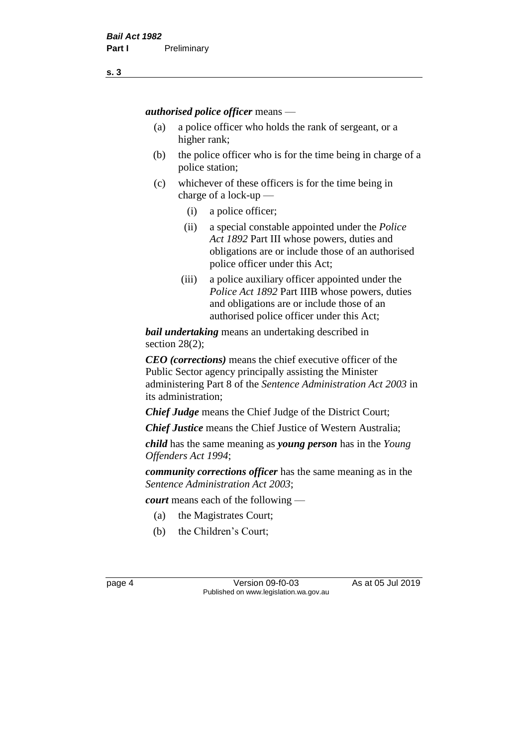*authorised police officer* means —

- (a) a police officer who holds the rank of sergeant, or a higher rank;
- (b) the police officer who is for the time being in charge of a police station;
- (c) whichever of these officers is for the time being in charge of a lock-up —
	- (i) a police officer;
	- (ii) a special constable appointed under the *Police Act 1892* Part III whose powers, duties and obligations are or include those of an authorised police officer under this Act;
	- (iii) a police auxiliary officer appointed under the *Police Act 1892* Part IIIB whose powers, duties and obligations are or include those of an authorised police officer under this Act;

*bail undertaking* means an undertaking described in section 28(2);

*CEO (corrections)* means the chief executive officer of the Public Sector agency principally assisting the Minister administering Part 8 of the *Sentence Administration Act 2003* in its administration;

*Chief Judge* means the Chief Judge of the District Court;

*Chief Justice* means the Chief Justice of Western Australia;

*child* has the same meaning as *young person* has in the *Young Offenders Act 1994*;

*community corrections officer* has the same meaning as in the *Sentence Administration Act 2003*;

*court* means each of the following —

- (a) the Magistrates Court;
- (b) the Children's Court;

page 4 Version 09-f0-03 As at 05 Jul 2019 Published on www.legislation.wa.gov.au

**s. 3**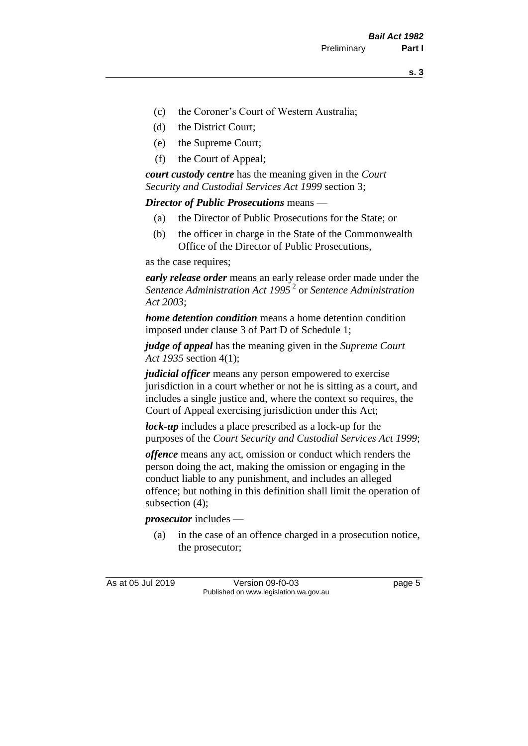- (c) the Coroner's Court of Western Australia;
- (d) the District Court;
- (e) the Supreme Court;
- (f) the Court of Appeal;

*court custody centre* has the meaning given in the *Court Security and Custodial Services Act 1999* section 3;

*Director of Public Prosecutions* means —

- (a) the Director of Public Prosecutions for the State; or
- (b) the officer in charge in the State of the Commonwealth Office of the Director of Public Prosecutions,

as the case requires;

*early release order* means an early release order made under the *Sentence Administration Act 1995* <sup>2</sup> or *Sentence Administration Act 2003*;

*home detention condition* means a home detention condition imposed under clause 3 of Part D of Schedule 1;

*judge of appeal* has the meaning given in the *Supreme Court Act 1935* section 4(1);

*judicial officer* means any person empowered to exercise jurisdiction in a court whether or not he is sitting as a court, and includes a single justice and, where the context so requires, the Court of Appeal exercising jurisdiction under this Act;

*lock-up* includes a place prescribed as a lock-up for the purposes of the *Court Security and Custodial Services Act 1999*;

*offence* means any act, omission or conduct which renders the person doing the act, making the omission or engaging in the conduct liable to any punishment, and includes an alleged offence; but nothing in this definition shall limit the operation of subsection (4);

*prosecutor* includes —

(a) in the case of an offence charged in a prosecution notice, the prosecutor;

As at 05 Jul 2019 Version 09-f0-03 page 5 Published on www.legislation.wa.gov.au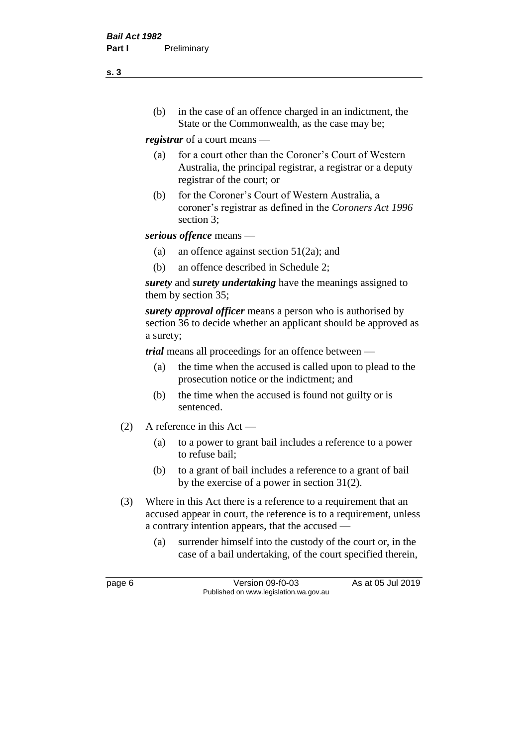(b) in the case of an offence charged in an indictment, the State or the Commonwealth, as the case may be;

*registrar* of a court means —

- (a) for a court other than the Coroner's Court of Western Australia, the principal registrar, a registrar or a deputy registrar of the court; or
- (b) for the Coroner's Court of Western Australia, a coroner's registrar as defined in the *Coroners Act 1996* section 3;

*serious offence* means —

- (a) an offence against section 51(2a); and
- (b) an offence described in Schedule 2;

*surety* and *surety undertaking* have the meanings assigned to them by section 35;

*surety approval officer* means a person who is authorised by section 36 to decide whether an applicant should be approved as a surety;

*trial* means all proceedings for an offence between —

- (a) the time when the accused is called upon to plead to the prosecution notice or the indictment; and
- (b) the time when the accused is found not guilty or is sentenced.
- (2) A reference in this Act
	- (a) to a power to grant bail includes a reference to a power to refuse bail;
	- (b) to a grant of bail includes a reference to a grant of bail by the exercise of a power in section 31(2).
- (3) Where in this Act there is a reference to a requirement that an accused appear in court, the reference is to a requirement, unless a contrary intention appears, that the accused —
	- (a) surrender himself into the custody of the court or, in the case of a bail undertaking, of the court specified therein,

page 6 Version 09-f0-03 As at 05 Jul 2019 Published on www.legislation.wa.gov.au

**s. 3**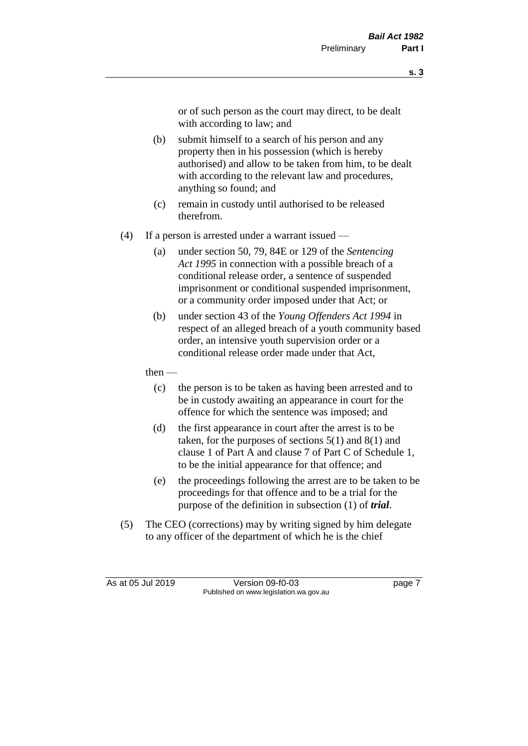or of such person as the court may direct, to be dealt with according to law; and

- (b) submit himself to a search of his person and any property then in his possession (which is hereby authorised) and allow to be taken from him, to be dealt with according to the relevant law and procedures, anything so found; and
- (c) remain in custody until authorised to be released therefrom.
- (4) If a person is arrested under a warrant issued
	- (a) under section 50, 79, 84E or 129 of the *Sentencing Act 1995* in connection with a possible breach of a conditional release order, a sentence of suspended imprisonment or conditional suspended imprisonment, or a community order imposed under that Act; or
	- (b) under section 43 of the *Young Offenders Act 1994* in respect of an alleged breach of a youth community based order, an intensive youth supervision order or a conditional release order made under that Act,
	- then
		- (c) the person is to be taken as having been arrested and to be in custody awaiting an appearance in court for the offence for which the sentence was imposed; and
		- (d) the first appearance in court after the arrest is to be taken, for the purposes of sections  $5(1)$  and  $8(1)$  and clause 1 of Part A and clause 7 of Part C of Schedule 1, to be the initial appearance for that offence; and
		- (e) the proceedings following the arrest are to be taken to be proceedings for that offence and to be a trial for the purpose of the definition in subsection (1) of *trial*.
- (5) The CEO (corrections) may by writing signed by him delegate to any officer of the department of which he is the chief

As at 05 Jul 2019 Version 09-f0-03 page 7 Published on www.legislation.wa.gov.au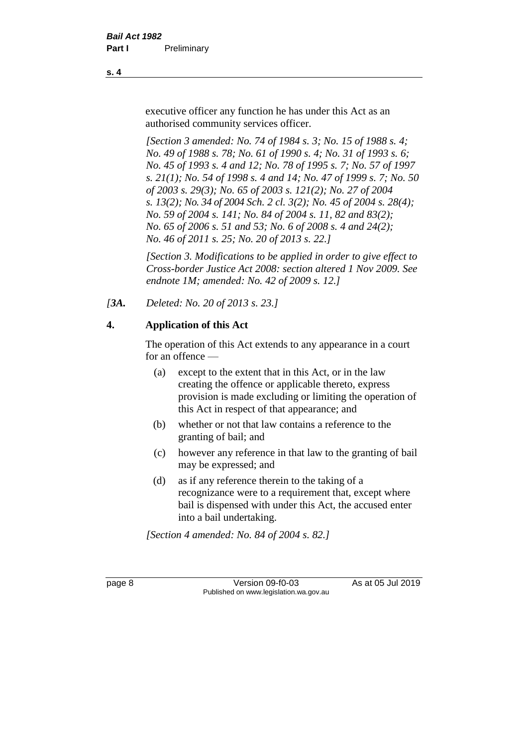executive officer any function he has under this Act as an authorised community services officer.

*[Section 3 amended: No. 74 of 1984 s. 3; No. 15 of 1988 s. 4; No. 49 of 1988 s. 78; No. 61 of 1990 s. 4; No. 31 of 1993 s. 6; No. 45 of 1993 s. 4 and 12; No. 78 of 1995 s. 7; No. 57 of 1997 s. 21(1); No. 54 of 1998 s. 4 and 14; No. 47 of 1999 s. 7; No. 50 of 2003 s. 29(3); No. 65 of 2003 s. 121(2); No. 27 of 2004 s. 13(2); No. 34 of 2004 Sch. 2 cl. 3(2); No. 45 of 2004 s. 28(4); No. 59 of 2004 s. 141; No. 84 of 2004 s. 11, 82 and 83(2); No. 65 of 2006 s. 51 and 53; No. 6 of 2008 s. 4 and 24(2); No. 46 of 2011 s. 25; No. 20 of 2013 s. 22.]* 

*[Section 3. Modifications to be applied in order to give effect to Cross-border Justice Act 2008: section altered 1 Nov 2009. See endnote 1M; amended: No. 42 of 2009 s. 12.]*

*[3A. Deleted: No. 20 of 2013 s. 23.]*

# **4. Application of this Act**

The operation of this Act extends to any appearance in a court for an offence —

- (a) except to the extent that in this Act, or in the law creating the offence or applicable thereto, express provision is made excluding or limiting the operation of this Act in respect of that appearance; and
- (b) whether or not that law contains a reference to the granting of bail; and
- (c) however any reference in that law to the granting of bail may be expressed; and
- (d) as if any reference therein to the taking of a recognizance were to a requirement that, except where bail is dispensed with under this Act, the accused enter into a bail undertaking.

*[Section 4 amended: No. 84 of 2004 s. 82.]*

page 8 Version 09-f0-03 As at 05 Jul 2019 Published on www.legislation.wa.gov.au

**s. 4**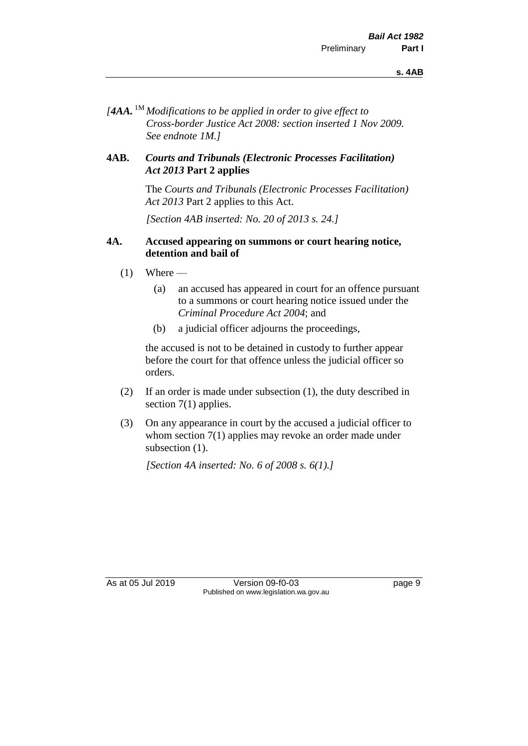*[4AA.* 1M *Modifications to be applied in order to give effect to Cross-border Justice Act 2008: section inserted 1 Nov 2009. See endnote 1M.]*

#### **4AB.** *Courts and Tribunals (Electronic Processes Facilitation) Act 2013* **Part 2 applies**

The *Courts and Tribunals (Electronic Processes Facilitation) Act 2013* Part 2 applies to this Act.

*[Section 4AB inserted: No. 20 of 2013 s. 24.]*

#### **4A. Accused appearing on summons or court hearing notice, detention and bail of**

- $(1)$  Where
	- (a) an accused has appeared in court for an offence pursuant to a summons or court hearing notice issued under the *Criminal Procedure Act 2004*; and
	- (b) a judicial officer adjourns the proceedings,

the accused is not to be detained in custody to further appear before the court for that offence unless the judicial officer so orders.

- (2) If an order is made under subsection (1), the duty described in section 7(1) applies.
- (3) On any appearance in court by the accused a judicial officer to whom section 7(1) applies may revoke an order made under subsection  $(1)$ .

*[Section 4A inserted: No. 6 of 2008 s. 6(1).]*

As at 05 Jul 2019 Version 09-f0-03 page 9 Published on www.legislation.wa.gov.au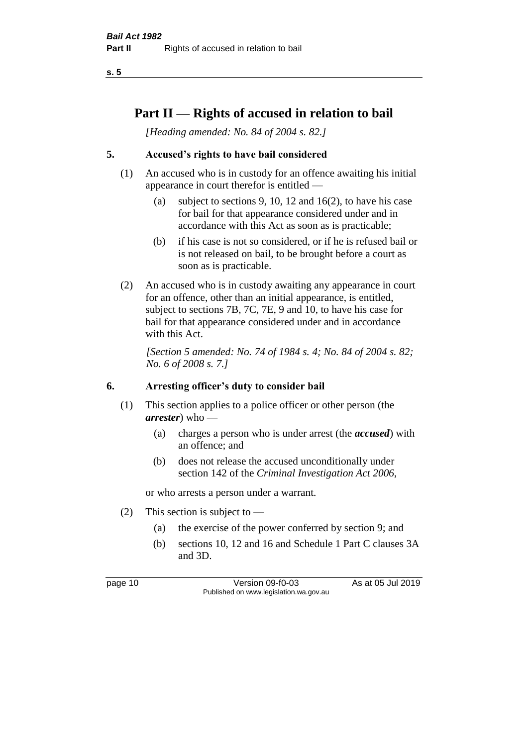**s. 5**

# **Part II — Rights of accused in relation to bail**

*[Heading amended: No. 84 of 2004 s. 82.]* 

# **5. Accused's rights to have bail considered**

- (1) An accused who is in custody for an offence awaiting his initial appearance in court therefor is entitled —
	- (a) subject to sections 9, 10, 12 and 16(2), to have his case for bail for that appearance considered under and in accordance with this Act as soon as is practicable;
	- (b) if his case is not so considered, or if he is refused bail or is not released on bail, to be brought before a court as soon as is practicable.
- (2) An accused who is in custody awaiting any appearance in court for an offence, other than an initial appearance, is entitled, subject to sections 7B, 7C, 7E, 9 and 10, to have his case for bail for that appearance considered under and in accordance with this Act.

*[Section 5 amended: No. 74 of 1984 s. 4; No. 84 of 2004 s. 82; No. 6 of 2008 s. 7.]* 

#### **6. Arresting officer's duty to consider bail**

- (1) This section applies to a police officer or other person (the *arrester*) who —
	- (a) charges a person who is under arrest (the *accused*) with an offence; and
	- (b) does not release the accused unconditionally under section 142 of the *Criminal Investigation Act 2006*,

or who arrests a person under a warrant.

- (2) This section is subject to
	- (a) the exercise of the power conferred by section 9; and
	- (b) sections 10, 12 and 16 and Schedule 1 Part C clauses 3A and 3D.

page 10 Version 09-f0-03 As at 05 Jul 2019 Published on www.legislation.wa.gov.au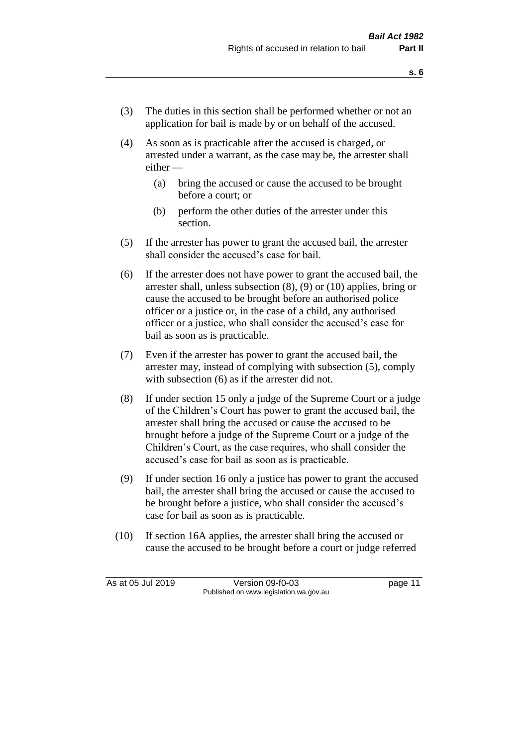- (3) The duties in this section shall be performed whether or not an application for bail is made by or on behalf of the accused.
- (4) As soon as is practicable after the accused is charged, or arrested under a warrant, as the case may be, the arrester shall either —
	- (a) bring the accused or cause the accused to be brought before a court; or
	- (b) perform the other duties of the arrester under this section.
- (5) If the arrester has power to grant the accused bail, the arrester shall consider the accused's case for bail.
- (6) If the arrester does not have power to grant the accused bail, the arrester shall, unless subsection (8), (9) or (10) applies, bring or cause the accused to be brought before an authorised police officer or a justice or, in the case of a child, any authorised officer or a justice, who shall consider the accused's case for bail as soon as is practicable.
- (7) Even if the arrester has power to grant the accused bail, the arrester may, instead of complying with subsection (5), comply with subsection  $(6)$  as if the arrester did not.
- (8) If under section 15 only a judge of the Supreme Court or a judge of the Children's Court has power to grant the accused bail, the arrester shall bring the accused or cause the accused to be brought before a judge of the Supreme Court or a judge of the Children's Court, as the case requires, who shall consider the accused's case for bail as soon as is practicable.
- (9) If under section 16 only a justice has power to grant the accused bail, the arrester shall bring the accused or cause the accused to be brought before a justice, who shall consider the accused's case for bail as soon as is practicable.
- (10) If section 16A applies, the arrester shall bring the accused or cause the accused to be brought before a court or judge referred

As at 05 Jul 2019 Version 09-f0-03 page 11 Published on www.legislation.wa.gov.au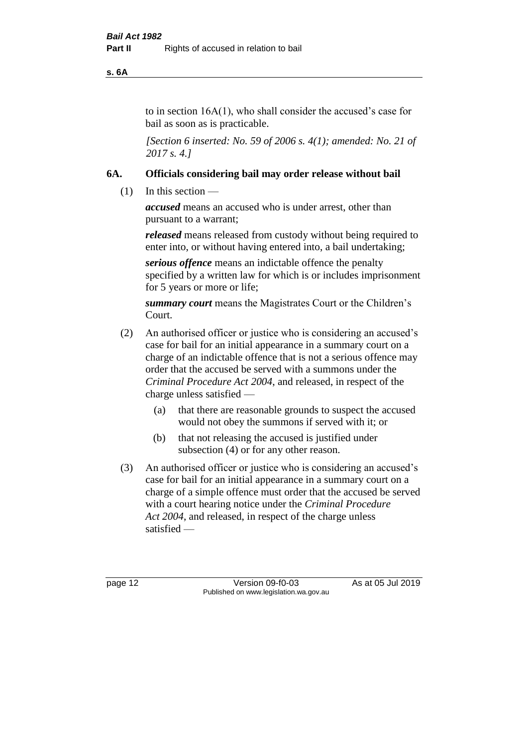**s. 6A**

to in section 16A(1), who shall consider the accused's case for bail as soon as is practicable.

*[Section 6 inserted: No. 59 of 2006 s. 4(1); amended: No. 21 of 2017 s. 4.]* 

# **6A. Officials considering bail may order release without bail**

(1) In this section —

*accused* means an accused who is under arrest, other than pursuant to a warrant;

*released* means released from custody without being required to enter into, or without having entered into, a bail undertaking;

*serious offence* means an indictable offence the penalty specified by a written law for which is or includes imprisonment for 5 years or more or life;

*summary court* means the Magistrates Court or the Children's Court.

- (2) An authorised officer or justice who is considering an accused's case for bail for an initial appearance in a summary court on a charge of an indictable offence that is not a serious offence may order that the accused be served with a summons under the *Criminal Procedure Act 2004*, and released, in respect of the charge unless satisfied —
	- (a) that there are reasonable grounds to suspect the accused would not obey the summons if served with it; or
	- (b) that not releasing the accused is justified under subsection (4) or for any other reason.
- (3) An authorised officer or justice who is considering an accused's case for bail for an initial appearance in a summary court on a charge of a simple offence must order that the accused be served with a court hearing notice under the *Criminal Procedure Act 2004*, and released, in respect of the charge unless satisfied —

page 12 Version 09-f0-03 As at 05 Jul 2019 Published on www.legislation.wa.gov.au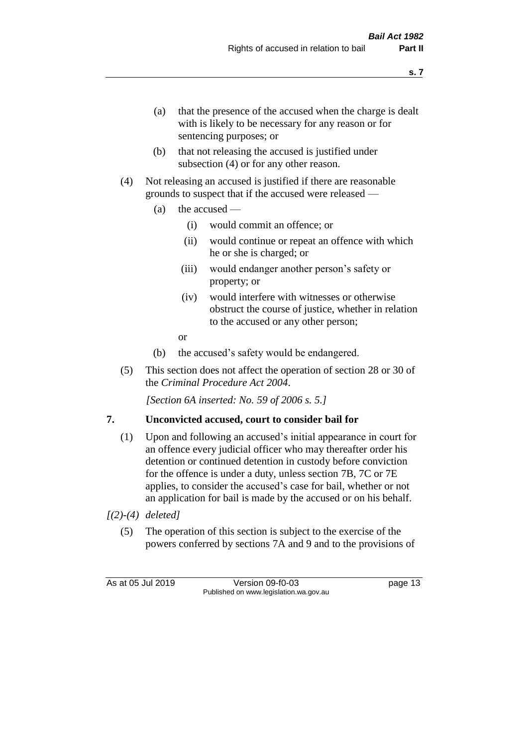- (a) that the presence of the accused when the charge is dealt with is likely to be necessary for any reason or for sentencing purposes; or
- (b) that not releasing the accused is justified under subsection (4) or for any other reason.
- (4) Not releasing an accused is justified if there are reasonable grounds to suspect that if the accused were released —
	- (a) the accused
		- (i) would commit an offence; or
		- (ii) would continue or repeat an offence with which he or she is charged; or
		- (iii) would endanger another person's safety or property; or
		- (iv) would interfere with witnesses or otherwise obstruct the course of justice, whether in relation to the accused or any other person;
		- or
	- (b) the accused's safety would be endangered.
- (5) This section does not affect the operation of section 28 or 30 of the *Criminal Procedure Act 2004*.

*[Section 6A inserted: No. 59 of 2006 s. 5.]* 

# **7. Unconvicted accused, court to consider bail for**

- (1) Upon and following an accused's initial appearance in court for an offence every judicial officer who may thereafter order his detention or continued detention in custody before conviction for the offence is under a duty, unless section 7B, 7C or 7E applies, to consider the accused's case for bail, whether or not an application for bail is made by the accused or on his behalf.
- *[(2)-(4) deleted]*
	- (5) The operation of this section is subject to the exercise of the powers conferred by sections 7A and 9 and to the provisions of

As at 05 Jul 2019 Version 09-f0-03 page 13 Published on www.legislation.wa.gov.au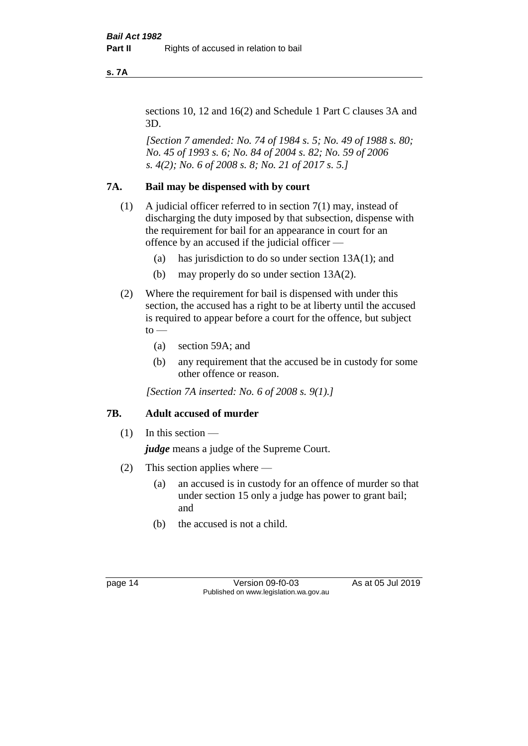**s. 7A**

sections 10, 12 and 16(2) and Schedule 1 Part C clauses 3A and 3D.

*[Section 7 amended: No. 74 of 1984 s. 5; No. 49 of 1988 s. 80; No. 45 of 1993 s. 6; No. 84 of 2004 s. 82; No. 59 of 2006 s. 4(2); No. 6 of 2008 s. 8; No. 21 of 2017 s. 5.]* 

#### **7A. Bail may be dispensed with by court**

- (1) A judicial officer referred to in section 7(1) may, instead of discharging the duty imposed by that subsection, dispense with the requirement for bail for an appearance in court for an offence by an accused if the judicial officer —
	- (a) has jurisdiction to do so under section 13A(1); and
	- (b) may properly do so under section 13A(2).
- (2) Where the requirement for bail is dispensed with under this section, the accused has a right to be at liberty until the accused is required to appear before a court for the offence, but subject  $to -$ 
	- (a) section 59A; and
	- (b) any requirement that the accused be in custody for some other offence or reason.

*[Section 7A inserted: No. 6 of 2008 s. 9(1).]*

# **7B. Adult accused of murder**

 $(1)$  In this section —

*judge* means a judge of the Supreme Court.

- (2) This section applies where
	- (a) an accused is in custody for an offence of murder so that under section 15 only a judge has power to grant bail; and
	- (b) the accused is not a child.

page 14 Version 09-f0-03 As at 05 Jul 2019 Published on www.legislation.wa.gov.au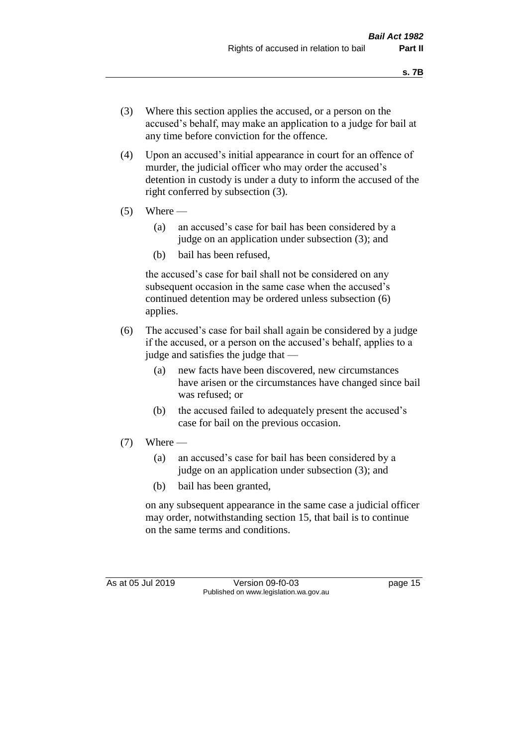- (3) Where this section applies the accused, or a person on the accused's behalf, may make an application to a judge for bail at any time before conviction for the offence.
- (4) Upon an accused's initial appearance in court for an offence of murder, the judicial officer who may order the accused's detention in custody is under a duty to inform the accused of the right conferred by subsection (3).
- $(5)$  Where
	- (a) an accused's case for bail has been considered by a judge on an application under subsection (3); and
	- (b) bail has been refused,

the accused's case for bail shall not be considered on any subsequent occasion in the same case when the accused's continued detention may be ordered unless subsection (6) applies.

- (6) The accused's case for bail shall again be considered by a judge if the accused, or a person on the accused's behalf, applies to a judge and satisfies the judge that —
	- (a) new facts have been discovered, new circumstances have arisen or the circumstances have changed since bail was refused; or
	- (b) the accused failed to adequately present the accused's case for bail on the previous occasion.
- $(7)$  Where
	- (a) an accused's case for bail has been considered by a judge on an application under subsection (3); and
	- (b) bail has been granted,

on any subsequent appearance in the same case a judicial officer may order, notwithstanding section 15, that bail is to continue on the same terms and conditions.

As at 05 Jul 2019 Version 09-f0-03 page 15 Published on www.legislation.wa.gov.au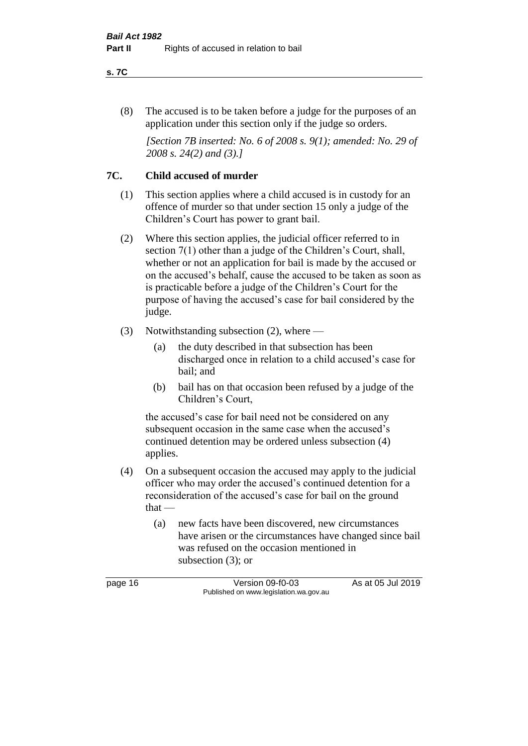#### **s. 7C**

(8) The accused is to be taken before a judge for the purposes of an application under this section only if the judge so orders.

*[Section 7B inserted: No. 6 of 2008 s. 9(1); amended: No. 29 of 2008 s. 24(2) and (3).]*

### **7C. Child accused of murder**

- (1) This section applies where a child accused is in custody for an offence of murder so that under section 15 only a judge of the Children's Court has power to grant bail.
- (2) Where this section applies, the judicial officer referred to in section 7(1) other than a judge of the Children's Court, shall, whether or not an application for bail is made by the accused or on the accused's behalf, cause the accused to be taken as soon as is practicable before a judge of the Children's Court for the purpose of having the accused's case for bail considered by the judge.
- (3) Notwithstanding subsection (2), where
	- (a) the duty described in that subsection has been discharged once in relation to a child accused's case for bail; and
	- (b) bail has on that occasion been refused by a judge of the Children's Court,

the accused's case for bail need not be considered on any subsequent occasion in the same case when the accused's continued detention may be ordered unless subsection (4) applies.

- (4) On a subsequent occasion the accused may apply to the judicial officer who may order the accused's continued detention for a reconsideration of the accused's case for bail on the ground that —
	- (a) new facts have been discovered, new circumstances have arisen or the circumstances have changed since bail was refused on the occasion mentioned in subsection (3); or

page 16 Version 09-f0-03 As at 05 Jul 2019 Published on www.legislation.wa.gov.au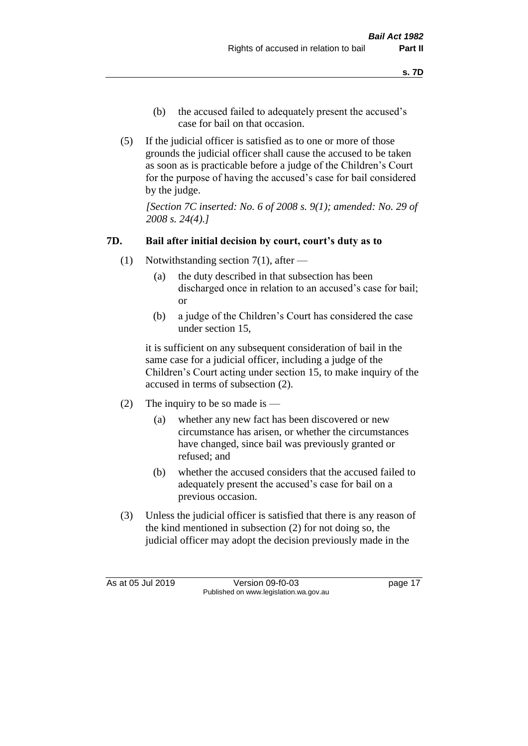- (b) the accused failed to adequately present the accused's case for bail on that occasion.
- (5) If the judicial officer is satisfied as to one or more of those grounds the judicial officer shall cause the accused to be taken as soon as is practicable before a judge of the Children's Court for the purpose of having the accused's case for bail considered by the judge.

*[Section 7C inserted: No. 6 of 2008 s. 9(1); amended: No. 29 of 2008 s. 24(4).]*

# **7D. Bail after initial decision by court, court's duty as to**

- (1) Notwithstanding section 7(1), after
	- (a) the duty described in that subsection has been discharged once in relation to an accused's case for bail; or
	- (b) a judge of the Children's Court has considered the case under section 15,

it is sufficient on any subsequent consideration of bail in the same case for a judicial officer, including a judge of the Children's Court acting under section 15, to make inquiry of the accused in terms of subsection (2).

- (2) The inquiry to be so made is
	- (a) whether any new fact has been discovered or new circumstance has arisen, or whether the circumstances have changed, since bail was previously granted or refused; and
	- (b) whether the accused considers that the accused failed to adequately present the accused's case for bail on a previous occasion.
- (3) Unless the judicial officer is satisfied that there is any reason of the kind mentioned in subsection (2) for not doing so, the judicial officer may adopt the decision previously made in the

As at 05 Jul 2019 Version 09-f0-03 page 17 Published on www.legislation.wa.gov.au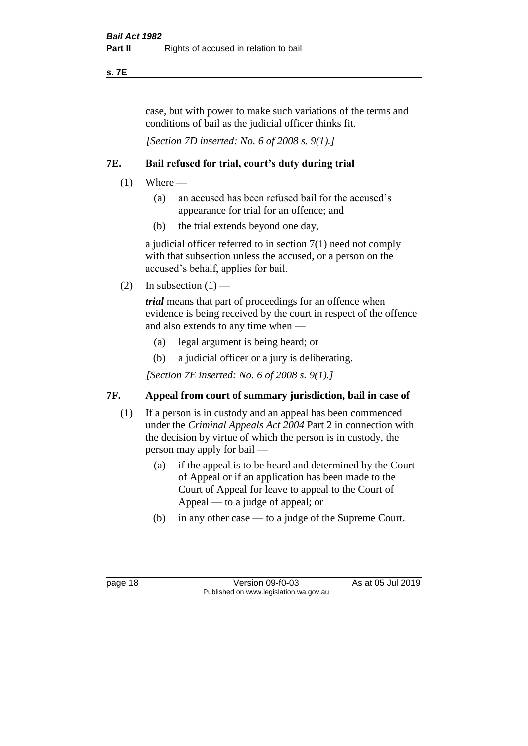**s. 7E**

case, but with power to make such variations of the terms and conditions of bail as the judicial officer thinks fit.

*[Section 7D inserted: No. 6 of 2008 s. 9(1).]*

# **7E. Bail refused for trial, court's duty during trial**

- $(1)$  Where
	- (a) an accused has been refused bail for the accused's appearance for trial for an offence; and
	- (b) the trial extends beyond one day,

a judicial officer referred to in section 7(1) need not comply with that subsection unless the accused, or a person on the accused's behalf, applies for bail.

(2) In subsection  $(1)$  —

*trial* means that part of proceedings for an offence when evidence is being received by the court in respect of the offence and also extends to any time when —

- (a) legal argument is being heard; or
- (b) a judicial officer or a jury is deliberating.

*[Section 7E inserted: No. 6 of 2008 s. 9(1).]*

# **7F. Appeal from court of summary jurisdiction, bail in case of**

- (1) If a person is in custody and an appeal has been commenced under the *Criminal Appeals Act 2004* Part 2 in connection with the decision by virtue of which the person is in custody, the person may apply for bail —
	- (a) if the appeal is to be heard and determined by the Court of Appeal or if an application has been made to the Court of Appeal for leave to appeal to the Court of Appeal — to a judge of appeal; or
	- (b) in any other case to a judge of the Supreme Court.

page 18 Version 09-f0-03 As at 05 Jul 2019 Published on www.legislation.wa.gov.au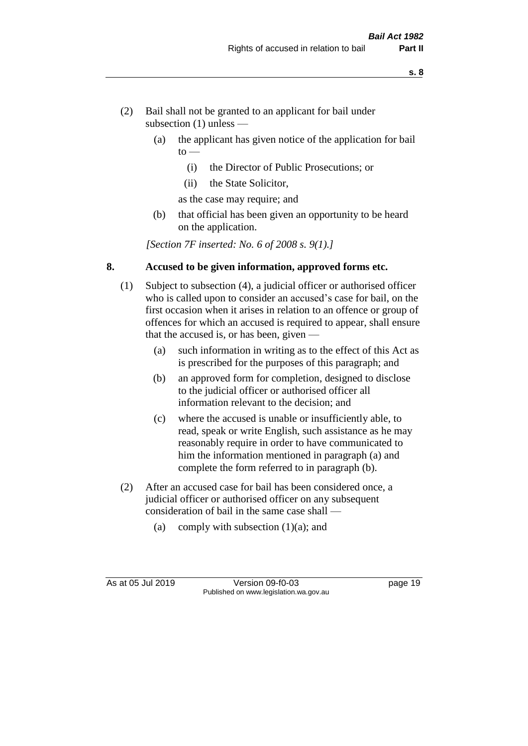- (2) Bail shall not be granted to an applicant for bail under subsection (1) unless —
	- (a) the applicant has given notice of the application for bail  $to -$ 
		- (i) the Director of Public Prosecutions; or
		- (ii) the State Solicitor,
		- as the case may require; and
	- (b) that official has been given an opportunity to be heard on the application.

*[Section 7F inserted: No. 6 of 2008 s. 9(1).]*

#### **8. Accused to be given information, approved forms etc.**

- (1) Subject to subsection (4), a judicial officer or authorised officer who is called upon to consider an accused's case for bail, on the first occasion when it arises in relation to an offence or group of offences for which an accused is required to appear, shall ensure that the accused is, or has been, given —
	- (a) such information in writing as to the effect of this Act as is prescribed for the purposes of this paragraph; and
	- (b) an approved form for completion, designed to disclose to the judicial officer or authorised officer all information relevant to the decision; and
	- (c) where the accused is unable or insufficiently able, to read, speak or write English, such assistance as he may reasonably require in order to have communicated to him the information mentioned in paragraph (a) and complete the form referred to in paragraph (b).
- (2) After an accused case for bail has been considered once, a judicial officer or authorised officer on any subsequent consideration of bail in the same case shall —
	- (a) comply with subsection  $(1)(a)$ ; and

As at 05 Jul 2019 Version 09-f0-03 page 19 Published on www.legislation.wa.gov.au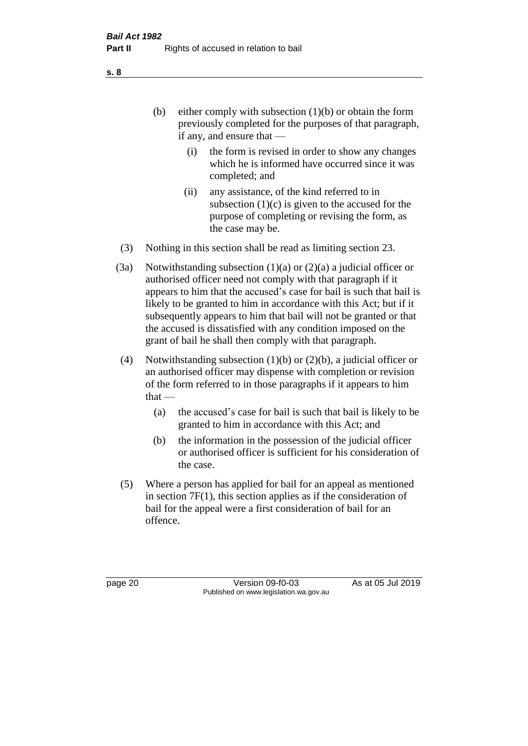(b) either comply with subsection  $(1)(b)$  or obtain the form previously completed for the purposes of that paragraph, if any, and ensure that —

- (i) the form is revised in order to show any changes which he is informed have occurred since it was completed; and
- (ii) any assistance, of the kind referred to in subsection  $(1)(c)$  is given to the accused for the purpose of completing or revising the form, as the case may be.
- (3) Nothing in this section shall be read as limiting section 23.
- (3a) Notwithstanding subsection  $(1)(a)$  or  $(2)(a)$  a judicial officer or authorised officer need not comply with that paragraph if it appears to him that the accused's case for bail is such that bail is likely to be granted to him in accordance with this Act; but if it subsequently appears to him that bail will not be granted or that the accused is dissatisfied with any condition imposed on the grant of bail he shall then comply with that paragraph.
- (4) Notwithstanding subsection (1)(b) or (2)(b), a judicial officer or an authorised officer may dispense with completion or revision of the form referred to in those paragraphs if it appears to him  $that -$ 
	- (a) the accused's case for bail is such that bail is likely to be granted to him in accordance with this Act; and
	- (b) the information in the possession of the judicial officer or authorised officer is sufficient for his consideration of the case.
- (5) Where a person has applied for bail for an appeal as mentioned in section 7F(1), this section applies as if the consideration of bail for the appeal were a first consideration of bail for an offence.

page 20 Version 09-f0-03 As at 05 Jul 2019 Published on www.legislation.wa.gov.au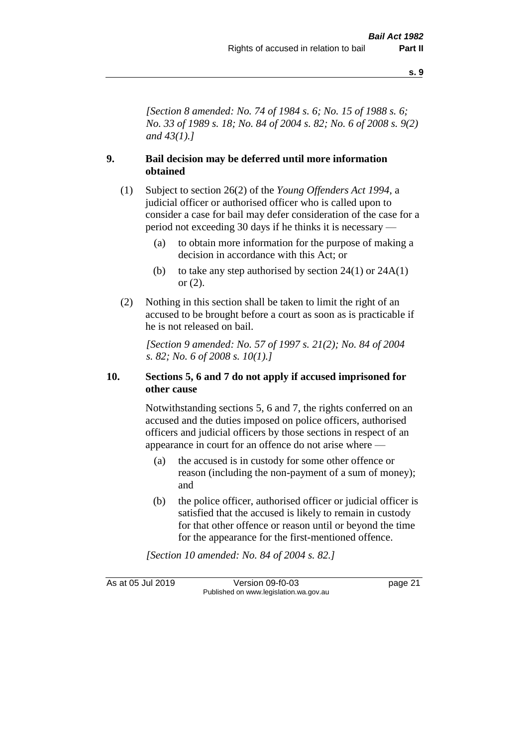**s. 9**

*[Section 8 amended: No. 74 of 1984 s. 6; No. 15 of 1988 s. 6; No. 33 of 1989 s. 18; No. 84 of 2004 s. 82; No. 6 of 2008 s. 9(2) and 43(1).]* 

### **9. Bail decision may be deferred until more information obtained**

- (1) Subject to section 26(2) of the *Young Offenders Act 1994*, a judicial officer or authorised officer who is called upon to consider a case for bail may defer consideration of the case for a period not exceeding 30 days if he thinks it is necessary —
	- (a) to obtain more information for the purpose of making a decision in accordance with this Act; or
	- (b) to take any step authorised by section  $24(1)$  or  $24A(1)$ or (2).
- (2) Nothing in this section shall be taken to limit the right of an accused to be brought before a court as soon as is practicable if he is not released on bail.

*[Section 9 amended: No. 57 of 1997 s. 21(2); No. 84 of 2004 s. 82; No. 6 of 2008 s. 10(1).]*

#### **10. Sections 5, 6 and 7 do not apply if accused imprisoned for other cause**

Notwithstanding sections 5, 6 and 7, the rights conferred on an accused and the duties imposed on police officers, authorised officers and judicial officers by those sections in respect of an appearance in court for an offence do not arise where —

- (a) the accused is in custody for some other offence or reason (including the non-payment of a sum of money); and
- (b) the police officer, authorised officer or judicial officer is satisfied that the accused is likely to remain in custody for that other offence or reason until or beyond the time for the appearance for the first-mentioned offence.

*[Section 10 amended: No. 84 of 2004 s. 82.]*

As at 05 Jul 2019 Version 09-f0-03 page 21 Published on www.legislation.wa.gov.au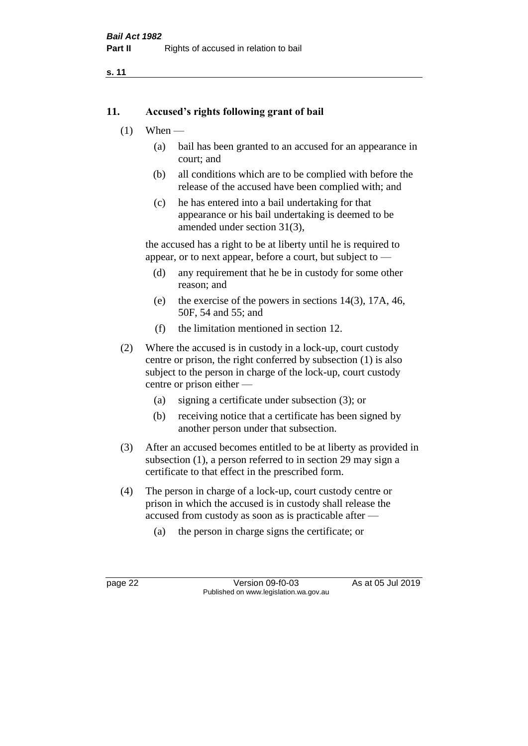**s. 11**

#### **11. Accused's rights following grant of bail**

- $(1)$  When
	- (a) bail has been granted to an accused for an appearance in court; and
	- (b) all conditions which are to be complied with before the release of the accused have been complied with; and
	- (c) he has entered into a bail undertaking for that appearance or his bail undertaking is deemed to be amended under section 31(3),

the accused has a right to be at liberty until he is required to appear, or to next appear, before a court, but subject to —

- (d) any requirement that he be in custody for some other reason; and
- (e) the exercise of the powers in sections 14(3), 17A, 46, 50F, 54 and 55; and
- (f) the limitation mentioned in section 12.
- (2) Where the accused is in custody in a lock-up, court custody centre or prison, the right conferred by subsection (1) is also subject to the person in charge of the lock-up, court custody centre or prison either —
	- (a) signing a certificate under subsection (3); or
	- (b) receiving notice that a certificate has been signed by another person under that subsection.
- (3) After an accused becomes entitled to be at liberty as provided in subsection (1), a person referred to in section 29 may sign a certificate to that effect in the prescribed form.
- (4) The person in charge of a lock-up, court custody centre or prison in which the accused is in custody shall release the accused from custody as soon as is practicable after —
	- (a) the person in charge signs the certificate; or

page 22 Version 09-f0-03 As at 05 Jul 2019 Published on www.legislation.wa.gov.au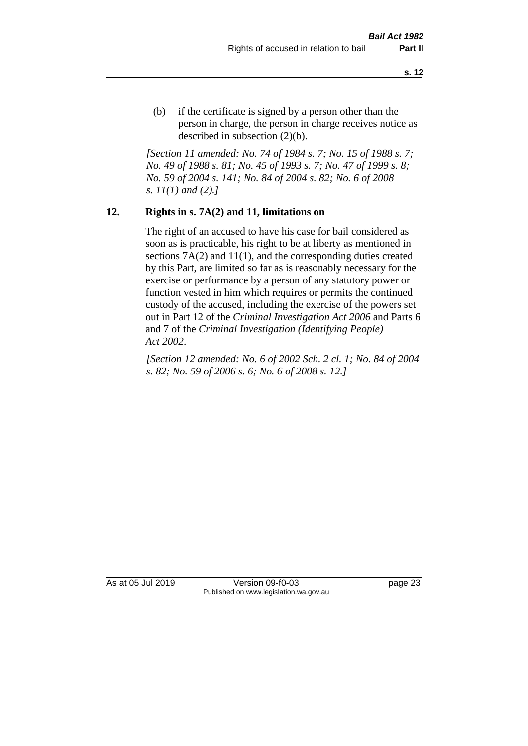(b) if the certificate is signed by a person other than the person in charge, the person in charge receives notice as described in subsection (2)(b).

*[Section 11 amended: No. 74 of 1984 s. 7; No. 15 of 1988 s. 7; No. 49 of 1988 s. 81; No. 45 of 1993 s. 7; No. 47 of 1999 s. 8; No. 59 of 2004 s. 141; No. 84 of 2004 s. 82; No. 6 of 2008 s. 11(1) and (2).]* 

#### **12. Rights in s. 7A(2) and 11, limitations on**

The right of an accused to have his case for bail considered as soon as is practicable, his right to be at liberty as mentioned in sections 7A(2) and 11(1), and the corresponding duties created by this Part, are limited so far as is reasonably necessary for the exercise or performance by a person of any statutory power or function vested in him which requires or permits the continued custody of the accused, including the exercise of the powers set out in Part 12 of the *Criminal Investigation Act 2006* and Parts 6 and 7 of the *Criminal Investigation (Identifying People) Act 2002*.

*[Section 12 amended: No. 6 of 2002 Sch. 2 cl. 1; No. 84 of 2004 s. 82; No. 59 of 2006 s. 6; No. 6 of 2008 s. 12.]*

As at 05 Jul 2019 Version 09-f0-03 page 23 Published on www.legislation.wa.gov.au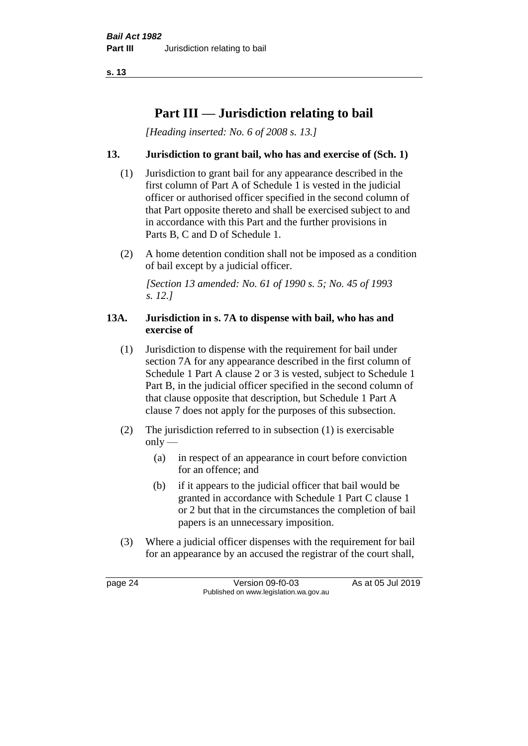**s. 13**

# **Part III — Jurisdiction relating to bail**

*[Heading inserted: No. 6 of 2008 s. 13.]*

### **13. Jurisdiction to grant bail, who has and exercise of (Sch. 1)**

- (1) Jurisdiction to grant bail for any appearance described in the first column of Part A of Schedule 1 is vested in the judicial officer or authorised officer specified in the second column of that Part opposite thereto and shall be exercised subject to and in accordance with this Part and the further provisions in Parts B, C and D of Schedule 1.
- (2) A home detention condition shall not be imposed as a condition of bail except by a judicial officer.

*[Section 13 amended: No. 61 of 1990 s. 5; No. 45 of 1993 s. 12.]* 

#### **13A. Jurisdiction in s. 7A to dispense with bail, who has and exercise of**

- (1) Jurisdiction to dispense with the requirement for bail under section 7A for any appearance described in the first column of Schedule 1 Part A clause 2 or 3 is vested, subject to Schedule 1 Part B, in the judicial officer specified in the second column of that clause opposite that description, but Schedule 1 Part A clause 7 does not apply for the purposes of this subsection.
- (2) The jurisdiction referred to in subsection (1) is exercisable  $only$ —
	- (a) in respect of an appearance in court before conviction for an offence; and
	- (b) if it appears to the judicial officer that bail would be granted in accordance with Schedule 1 Part C clause 1 or 2 but that in the circumstances the completion of bail papers is an unnecessary imposition.
- (3) Where a judicial officer dispenses with the requirement for bail for an appearance by an accused the registrar of the court shall,

page 24 Version 09-f0-03 As at 05 Jul 2019 Published on www.legislation.wa.gov.au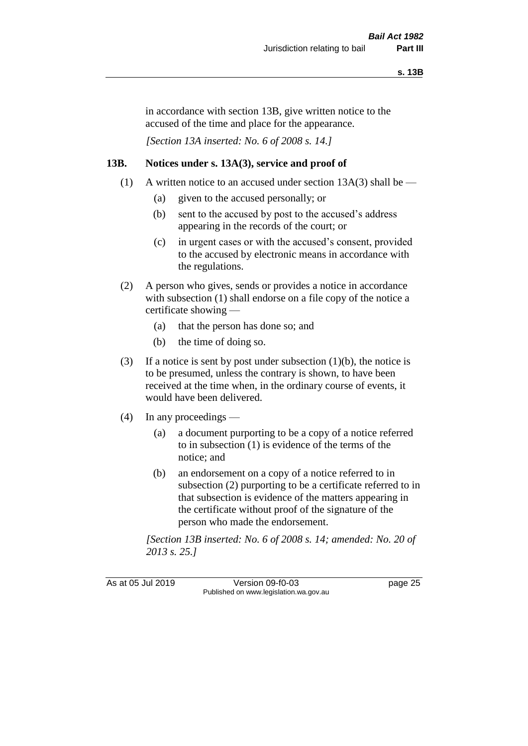in accordance with section 13B, give written notice to the accused of the time and place for the appearance.

*[Section 13A inserted: No. 6 of 2008 s. 14.]*

#### **13B. Notices under s. 13A(3), service and proof of**

- (1) A written notice to an accused under section  $13A(3)$  shall be
	- (a) given to the accused personally; or
	- (b) sent to the accused by post to the accused's address appearing in the records of the court; or
	- (c) in urgent cases or with the accused's consent, provided to the accused by electronic means in accordance with the regulations.
- (2) A person who gives, sends or provides a notice in accordance with subsection (1) shall endorse on a file copy of the notice a certificate showing —
	- (a) that the person has done so; and
	- (b) the time of doing so.
- (3) If a notice is sent by post under subsection  $(1)(b)$ , the notice is to be presumed, unless the contrary is shown, to have been received at the time when, in the ordinary course of events, it would have been delivered.
- (4) In any proceedings
	- (a) a document purporting to be a copy of a notice referred to in subsection (1) is evidence of the terms of the notice; and
	- (b) an endorsement on a copy of a notice referred to in subsection (2) purporting to be a certificate referred to in that subsection is evidence of the matters appearing in the certificate without proof of the signature of the person who made the endorsement.

*[Section 13B inserted: No. 6 of 2008 s. 14; amended: No. 20 of 2013 s. 25.]*

As at 05 Jul 2019 Version 09-f0-03 page 25 Published on www.legislation.wa.gov.au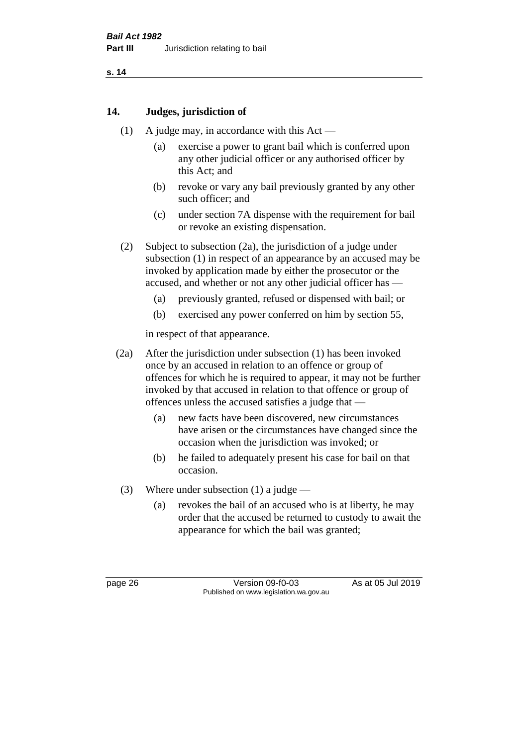**s. 14**

# **14. Judges, jurisdiction of**

- (1) A judge may, in accordance with this Act
	- (a) exercise a power to grant bail which is conferred upon any other judicial officer or any authorised officer by this Act; and
	- (b) revoke or vary any bail previously granted by any other such officer; and
	- (c) under section 7A dispense with the requirement for bail or revoke an existing dispensation.
- (2) Subject to subsection (2a), the jurisdiction of a judge under subsection (1) in respect of an appearance by an accused may be invoked by application made by either the prosecutor or the accused, and whether or not any other judicial officer has —
	- (a) previously granted, refused or dispensed with bail; or
	- (b) exercised any power conferred on him by section 55,

in respect of that appearance.

- (2a) After the jurisdiction under subsection (1) has been invoked once by an accused in relation to an offence or group of offences for which he is required to appear, it may not be further invoked by that accused in relation to that offence or group of offences unless the accused satisfies a judge that —
	- (a) new facts have been discovered, new circumstances have arisen or the circumstances have changed since the occasion when the jurisdiction was invoked; or
	- (b) he failed to adequately present his case for bail on that occasion.
- (3) Where under subsection (1) a judge
	- (a) revokes the bail of an accused who is at liberty, he may order that the accused be returned to custody to await the appearance for which the bail was granted;

page 26 Version 09-f0-03 As at 05 Jul 2019 Published on www.legislation.wa.gov.au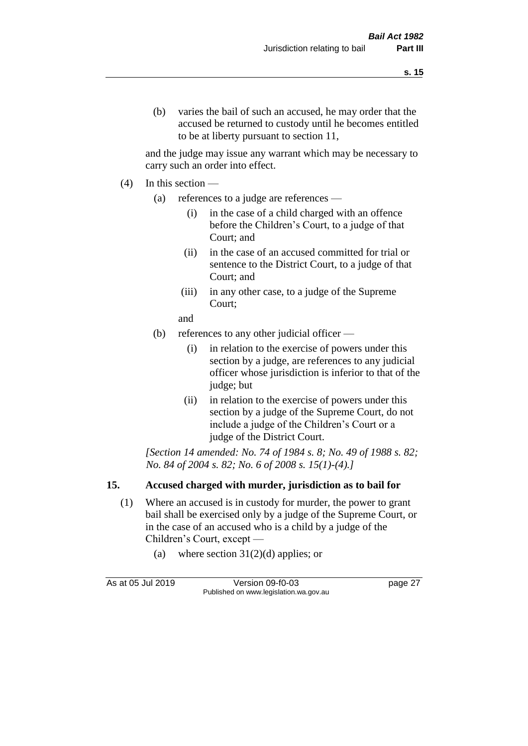and the judge may issue any warrant which may be necessary to carry such an order into effect.

- $(4)$  In this section
	- (a) references to a judge are references
		- (i) in the case of a child charged with an offence before the Children's Court, to a judge of that Court; and
		- (ii) in the case of an accused committed for trial or sentence to the District Court, to a judge of that Court; and
		- (iii) in any other case, to a judge of the Supreme Court;
		- and
	- (b) references to any other judicial officer
		- (i) in relation to the exercise of powers under this section by a judge, are references to any judicial officer whose jurisdiction is inferior to that of the judge; but
		- (ii) in relation to the exercise of powers under this section by a judge of the Supreme Court, do not include a judge of the Children's Court or a judge of the District Court.

*[Section 14 amended: No. 74 of 1984 s. 8; No. 49 of 1988 s. 82; No. 84 of 2004 s. 82; No. 6 of 2008 s. 15(1)-(4).]* 

# **15. Accused charged with murder, jurisdiction as to bail for**

- (1) Where an accused is in custody for murder, the power to grant bail shall be exercised only by a judge of the Supreme Court, or in the case of an accused who is a child by a judge of the Children's Court, except —
	- (a) where section  $31(2)(d)$  applies; or

As at 05 Jul 2019 Version 09-f0-03 page 27 Published on www.legislation.wa.gov.au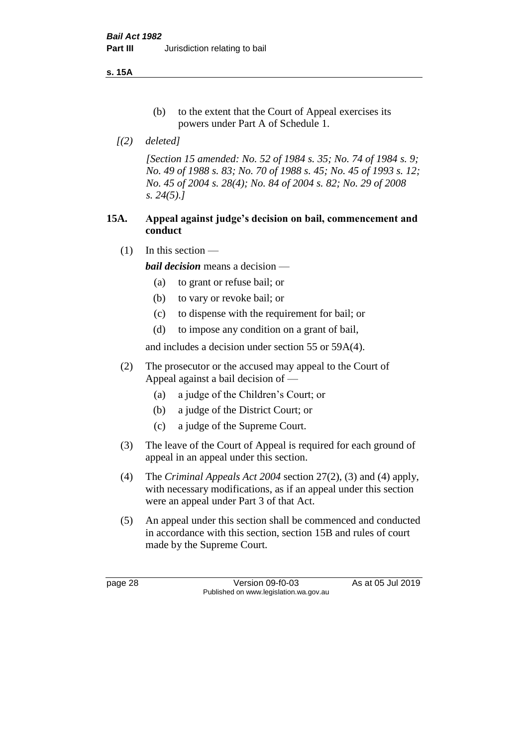**s. 15A**

- (b) to the extent that the Court of Appeal exercises its powers under Part A of Schedule 1.
- *[(2) deleted]*

*[Section 15 amended: No. 52 of 1984 s. 35; No. 74 of 1984 s. 9; No. 49 of 1988 s. 83; No. 70 of 1988 s. 45; No. 45 of 1993 s. 12; No. 45 of 2004 s. 28(4); No. 84 of 2004 s. 82; No. 29 of 2008 s. 24(5).]* 

# **15A. Appeal against judge's decision on bail, commencement and conduct**

 $(1)$  In this section —

*bail decision* means a decision —

- (a) to grant or refuse bail; or
- (b) to vary or revoke bail; or
- (c) to dispense with the requirement for bail; or
- (d) to impose any condition on a grant of bail,

and includes a decision under section 55 or 59A(4).

- (2) The prosecutor or the accused may appeal to the Court of Appeal against a bail decision of —
	- (a) a judge of the Children's Court; or
	- (b) a judge of the District Court; or
	- (c) a judge of the Supreme Court.
- (3) The leave of the Court of Appeal is required for each ground of appeal in an appeal under this section.
- (4) The *Criminal Appeals Act 2004* section 27(2), (3) and (4) apply, with necessary modifications, as if an appeal under this section were an appeal under Part 3 of that Act.
- (5) An appeal under this section shall be commenced and conducted in accordance with this section, section 15B and rules of court made by the Supreme Court.

page 28 Version 09-f0-03 As at 05 Jul 2019 Published on www.legislation.wa.gov.au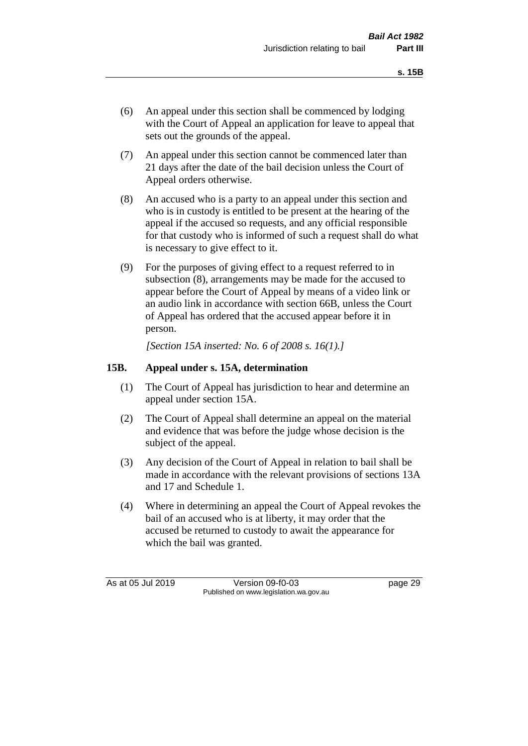- (6) An appeal under this section shall be commenced by lodging with the Court of Appeal an application for leave to appeal that sets out the grounds of the appeal.
- (7) An appeal under this section cannot be commenced later than 21 days after the date of the bail decision unless the Court of Appeal orders otherwise.
- (8) An accused who is a party to an appeal under this section and who is in custody is entitled to be present at the hearing of the appeal if the accused so requests, and any official responsible for that custody who is informed of such a request shall do what is necessary to give effect to it.
- (9) For the purposes of giving effect to a request referred to in subsection (8), arrangements may be made for the accused to appear before the Court of Appeal by means of a video link or an audio link in accordance with section 66B, unless the Court of Appeal has ordered that the accused appear before it in person.

*[Section 15A inserted: No. 6 of 2008 s. 16(1).]*

## **15B. Appeal under s. 15A, determination**

- (1) The Court of Appeal has jurisdiction to hear and determine an appeal under section 15A.
- (2) The Court of Appeal shall determine an appeal on the material and evidence that was before the judge whose decision is the subject of the appeal.
- (3) Any decision of the Court of Appeal in relation to bail shall be made in accordance with the relevant provisions of sections 13A and 17 and Schedule 1.
- (4) Where in determining an appeal the Court of Appeal revokes the bail of an accused who is at liberty, it may order that the accused be returned to custody to await the appearance for which the bail was granted.

As at 05 Jul 2019 Version 09-f0-03 page 29 Published on www.legislation.wa.gov.au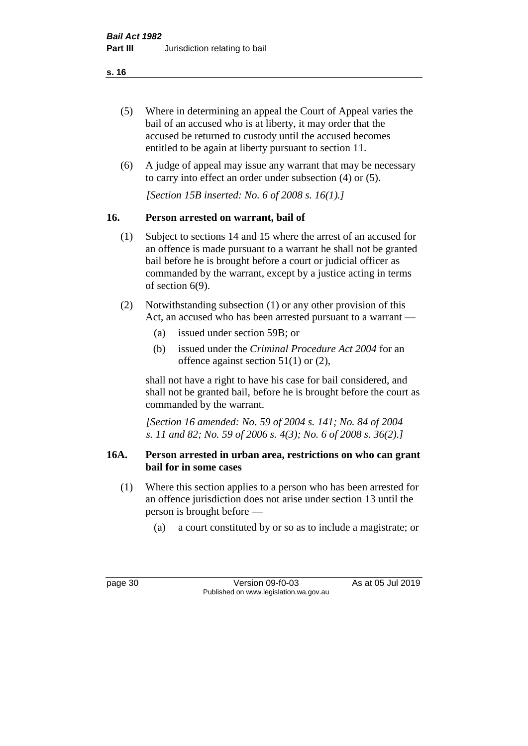- (5) Where in determining an appeal the Court of Appeal varies the bail of an accused who is at liberty, it may order that the accused be returned to custody until the accused becomes entitled to be again at liberty pursuant to section 11.
- (6) A judge of appeal may issue any warrant that may be necessary to carry into effect an order under subsection (4) or (5).

*[Section 15B inserted: No. 6 of 2008 s. 16(1).]*

# **16. Person arrested on warrant, bail of**

- (1) Subject to sections 14 and 15 where the arrest of an accused for an offence is made pursuant to a warrant he shall not be granted bail before he is brought before a court or judicial officer as commanded by the warrant, except by a justice acting in terms of section 6(9).
- (2) Notwithstanding subsection (1) or any other provision of this Act, an accused who has been arrested pursuant to a warrant —
	- (a) issued under section 59B; or
	- (b) issued under the *Criminal Procedure Act 2004* for an offence against section 51(1) or (2),

shall not have a right to have his case for bail considered, and shall not be granted bail, before he is brought before the court as commanded by the warrant.

*[Section 16 amended: No. 59 of 2004 s. 141; No. 84 of 2004 s. 11 and 82; No. 59 of 2006 s. 4(3); No. 6 of 2008 s. 36(2).]*

## **16A. Person arrested in urban area, restrictions on who can grant bail for in some cases**

- (1) Where this section applies to a person who has been arrested for an offence jurisdiction does not arise under section 13 until the person is brought before —
	- (a) a court constituted by or so as to include a magistrate; or

page 30 Version 09-f0-03 As at 05 Jul 2019 Published on www.legislation.wa.gov.au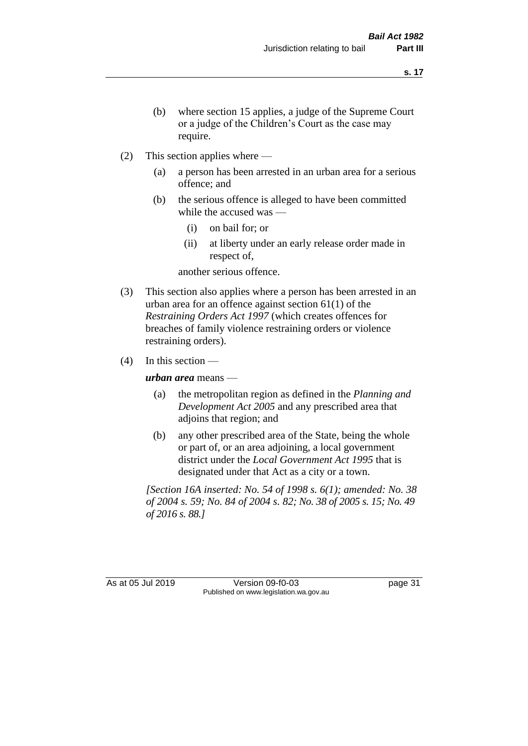- (b) where section 15 applies, a judge of the Supreme Court or a judge of the Children's Court as the case may require.
- (2) This section applies where
	- (a) a person has been arrested in an urban area for a serious offence; and
	- (b) the serious offence is alleged to have been committed while the accused was —
		- (i) on bail for; or
		- (ii) at liberty under an early release order made in respect of,

another serious offence.

- (3) This section also applies where a person has been arrested in an urban area for an offence against section 61(1) of the *Restraining Orders Act 1997* (which creates offences for breaches of family violence restraining orders or violence restraining orders).
- $(4)$  In this section —

*urban area* means —

- (a) the metropolitan region as defined in the *Planning and Development Act 2005* and any prescribed area that adjoins that region; and
- (b) any other prescribed area of the State, being the whole or part of, or an area adjoining, a local government district under the *Local Government Act 1995* that is designated under that Act as a city or a town.

*[Section 16A inserted: No. 54 of 1998 s. 6(1); amended: No. 38 of 2004 s. 59; No. 84 of 2004 s. 82; No. 38 of 2005 s. 15; No. 49 of 2016 s. 88.]*

As at 05 Jul 2019 Version 09-f0-03 page 31 Published on www.legislation.wa.gov.au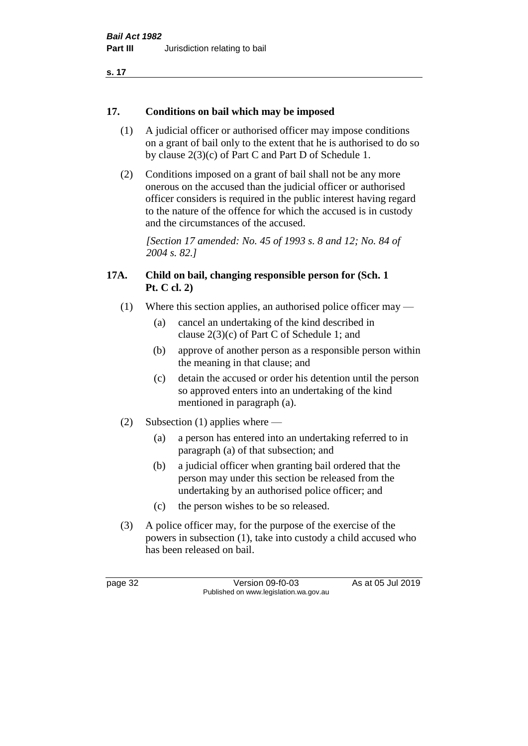# **17. Conditions on bail which may be imposed**

- (1) A judicial officer or authorised officer may impose conditions on a grant of bail only to the extent that he is authorised to do so by clause 2(3)(c) of Part C and Part D of Schedule 1.
- (2) Conditions imposed on a grant of bail shall not be any more onerous on the accused than the judicial officer or authorised officer considers is required in the public interest having regard to the nature of the offence for which the accused is in custody and the circumstances of the accused.

*[Section 17 amended: No. 45 of 1993 s. 8 and 12; No. 84 of 2004 s. 82.]* 

# **17A. Child on bail, changing responsible person for (Sch. 1 Pt. C cl. 2)**

- (1) Where this section applies, an authorised police officer may
	- (a) cancel an undertaking of the kind described in clause 2(3)(c) of Part C of Schedule 1; and
	- (b) approve of another person as a responsible person within the meaning in that clause; and
	- (c) detain the accused or order his detention until the person so approved enters into an undertaking of the kind mentioned in paragraph (a).
- (2) Subsection (1) applies where
	- (a) a person has entered into an undertaking referred to in paragraph (a) of that subsection; and
	- (b) a judicial officer when granting bail ordered that the person may under this section be released from the undertaking by an authorised police officer; and
	- (c) the person wishes to be so released.
- (3) A police officer may, for the purpose of the exercise of the powers in subsection (1), take into custody a child accused who has been released on bail.

page 32 Version 09-f0-03 As at 05 Jul 2019 Published on www.legislation.wa.gov.au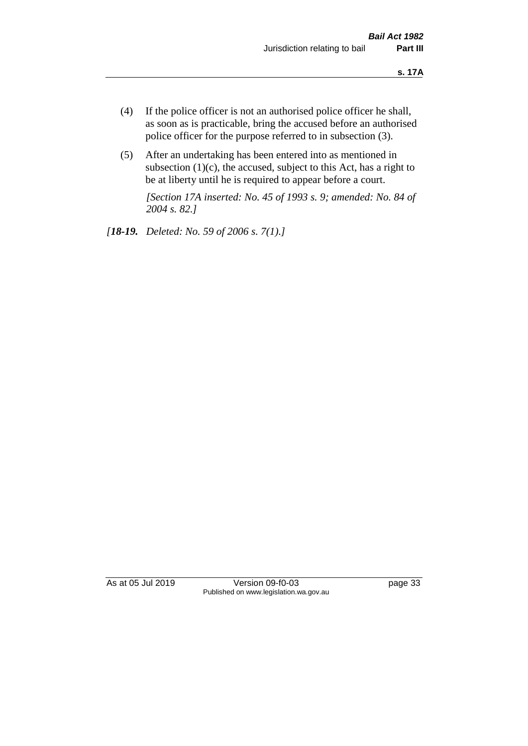- (4) If the police officer is not an authorised police officer he shall, as soon as is practicable, bring the accused before an authorised police officer for the purpose referred to in subsection (3).
- (5) After an undertaking has been entered into as mentioned in subsection  $(1)(c)$ , the accused, subject to this Act, has a right to be at liberty until he is required to appear before a court.

*[Section 17A inserted: No. 45 of 1993 s. 9; amended: No. 84 of 2004 s. 82.]* 

*[18-19. Deleted: No. 59 of 2006 s. 7(1).]*

As at 05 Jul 2019 Version 09-f0-03 page 33 Published on www.legislation.wa.gov.au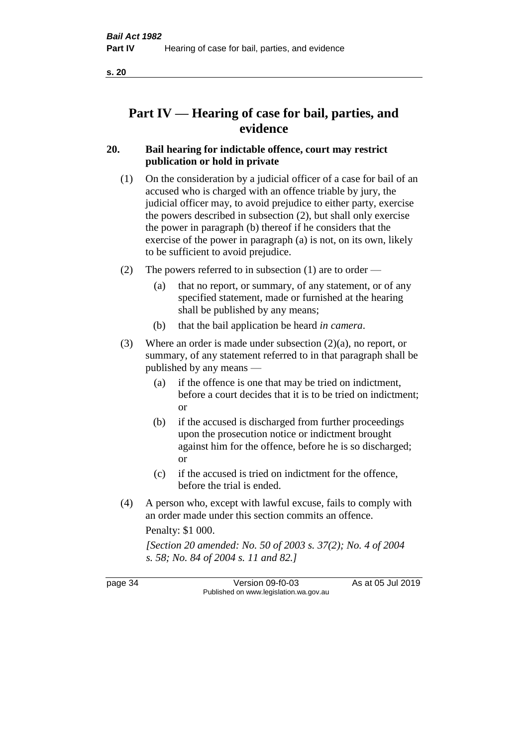# **Part IV — Hearing of case for bail, parties, and evidence**

# **20. Bail hearing for indictable offence, court may restrict publication or hold in private**

- (1) On the consideration by a judicial officer of a case for bail of an accused who is charged with an offence triable by jury, the judicial officer may, to avoid prejudice to either party, exercise the powers described in subsection (2), but shall only exercise the power in paragraph (b) thereof if he considers that the exercise of the power in paragraph (a) is not, on its own, likely to be sufficient to avoid prejudice.
- (2) The powers referred to in subsection (1) are to order
	- (a) that no report, or summary, of any statement, or of any specified statement, made or furnished at the hearing shall be published by any means;
	- (b) that the bail application be heard *in camera*.
- (3) Where an order is made under subsection (2)(a), no report, or summary, of any statement referred to in that paragraph shall be published by any means —
	- (a) if the offence is one that may be tried on indictment, before a court decides that it is to be tried on indictment; or
	- (b) if the accused is discharged from further proceedings upon the prosecution notice or indictment brought against him for the offence, before he is so discharged; or
	- (c) if the accused is tried on indictment for the offence, before the trial is ended.
- (4) A person who, except with lawful excuse, fails to comply with an order made under this section commits an offence.

Penalty: \$1 000.

*[Section 20 amended: No. 50 of 2003 s. 37(2); No. 4 of 2004 s. 58; No. 84 of 2004 s. 11 and 82.]*

page 34 Version 09-f0-03 As at 05 Jul 2019 Published on www.legislation.wa.gov.au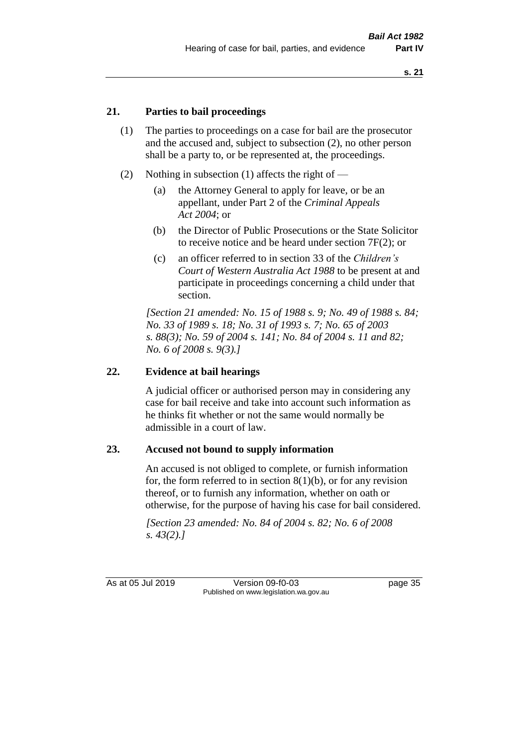## **21. Parties to bail proceedings**

- (1) The parties to proceedings on a case for bail are the prosecutor and the accused and, subject to subsection (2), no other person shall be a party to, or be represented at, the proceedings.
- (2) Nothing in subsection (1) affects the right of
	- (a) the Attorney General to apply for leave, or be an appellant, under Part 2 of the *Criminal Appeals Act 2004*; or
	- (b) the Director of Public Prosecutions or the State Solicitor to receive notice and be heard under section 7F(2); or
	- (c) an officer referred to in section 33 of the *Children's Court of Western Australia Act 1988* to be present at and participate in proceedings concerning a child under that section.

*[Section 21 amended: No. 15 of 1988 s. 9; No. 49 of 1988 s. 84; No. 33 of 1989 s. 18; No. 31 of 1993 s. 7; No. 65 of 2003 s. 88(3); No. 59 of 2004 s. 141; No. 84 of 2004 s. 11 and 82; No. 6 of 2008 s. 9(3).]* 

## **22. Evidence at bail hearings**

A judicial officer or authorised person may in considering any case for bail receive and take into account such information as he thinks fit whether or not the same would normally be admissible in a court of law.

#### **23. Accused not bound to supply information**

An accused is not obliged to complete, or furnish information for, the form referred to in section  $8(1)(b)$ , or for any revision thereof, or to furnish any information, whether on oath or otherwise, for the purpose of having his case for bail considered.

*[Section 23 amended: No. 84 of 2004 s. 82; No. 6 of 2008 s. 43(2).]* 

As at 05 Jul 2019 Version 09-f0-03 page 35 Published on www.legislation.wa.gov.au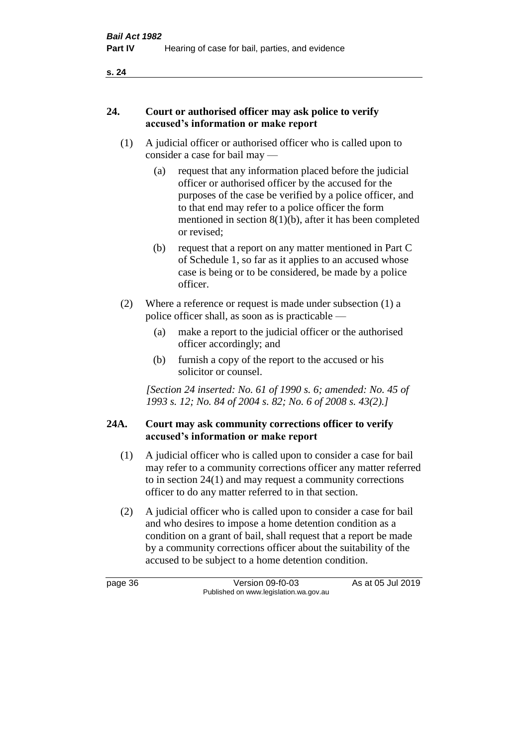### **24. Court or authorised officer may ask police to verify accused's information or make report**

- (1) A judicial officer or authorised officer who is called upon to consider a case for bail may —
	- (a) request that any information placed before the judicial officer or authorised officer by the accused for the purposes of the case be verified by a police officer, and to that end may refer to a police officer the form mentioned in section 8(1)(b), after it has been completed or revised;
	- (b) request that a report on any matter mentioned in Part C of Schedule 1, so far as it applies to an accused whose case is being or to be considered, be made by a police officer.
- (2) Where a reference or request is made under subsection (1) a police officer shall, as soon as is practicable —
	- (a) make a report to the judicial officer or the authorised officer accordingly; and
	- (b) furnish a copy of the report to the accused or his solicitor or counsel.

*[Section 24 inserted: No. 61 of 1990 s. 6; amended: No. 45 of 1993 s. 12; No. 84 of 2004 s. 82; No. 6 of 2008 s. 43(2).]* 

# **24A. Court may ask community corrections officer to verify accused's information or make report**

- (1) A judicial officer who is called upon to consider a case for bail may refer to a community corrections officer any matter referred to in section 24(1) and may request a community corrections officer to do any matter referred to in that section.
- (2) A judicial officer who is called upon to consider a case for bail and who desires to impose a home detention condition as a condition on a grant of bail, shall request that a report be made by a community corrections officer about the suitability of the accused to be subject to a home detention condition.

page 36 Version 09-f0-03 As at 05 Jul 2019 Published on www.legislation.wa.gov.au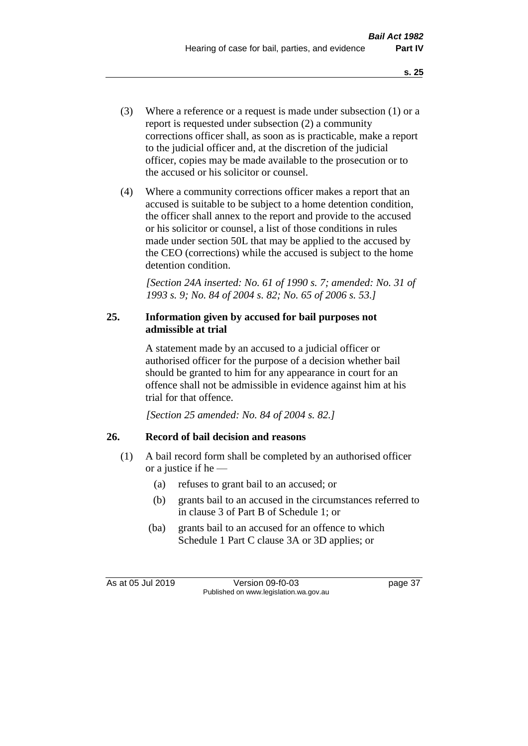- (3) Where a reference or a request is made under subsection (1) or a report is requested under subsection (2) a community corrections officer shall, as soon as is practicable, make a report to the judicial officer and, at the discretion of the judicial officer, copies may be made available to the prosecution or to the accused or his solicitor or counsel.
- (4) Where a community corrections officer makes a report that an accused is suitable to be subject to a home detention condition, the officer shall annex to the report and provide to the accused or his solicitor or counsel, a list of those conditions in rules made under section 50L that may be applied to the accused by the CEO (corrections) while the accused is subject to the home detention condition.

*[Section 24A inserted: No. 61 of 1990 s. 7; amended: No. 31 of 1993 s. 9; No. 84 of 2004 s. 82; No. 65 of 2006 s. 53.]* 

# **25. Information given by accused for bail purposes not admissible at trial**

A statement made by an accused to a judicial officer or authorised officer for the purpose of a decision whether bail should be granted to him for any appearance in court for an offence shall not be admissible in evidence against him at his trial for that offence.

*[Section 25 amended: No. 84 of 2004 s. 82.]* 

# **26. Record of bail decision and reasons**

- (1) A bail record form shall be completed by an authorised officer or a justice if he —
	- (a) refuses to grant bail to an accused; or
	- (b) grants bail to an accused in the circumstances referred to in clause 3 of Part B of Schedule 1; or
	- (ba) grants bail to an accused for an offence to which Schedule 1 Part C clause 3A or 3D applies; or

As at 05 Jul 2019 Version 09-f0-03 page 37 Published on www.legislation.wa.gov.au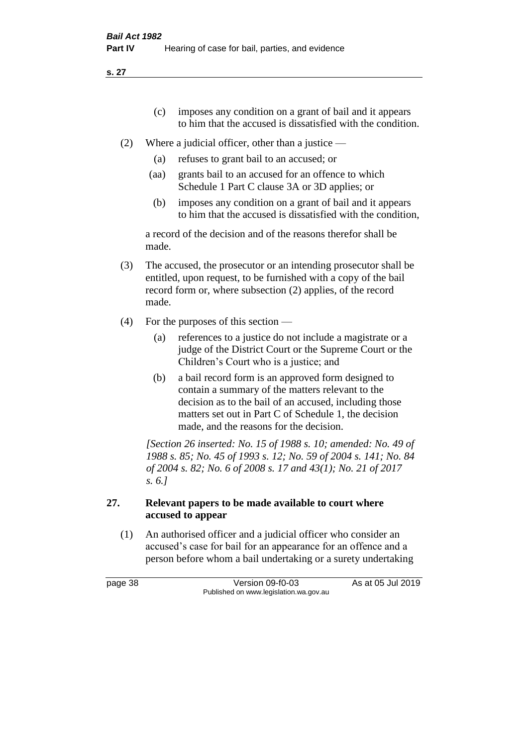- (c) imposes any condition on a grant of bail and it appears to him that the accused is dissatisfied with the condition.
- (2) Where a judicial officer, other than a justice
	- (a) refuses to grant bail to an accused; or
	- (aa) grants bail to an accused for an offence to which Schedule 1 Part C clause 3A or 3D applies; or
	- (b) imposes any condition on a grant of bail and it appears to him that the accused is dissatisfied with the condition,

a record of the decision and of the reasons therefor shall be made.

- (3) The accused, the prosecutor or an intending prosecutor shall be entitled, upon request, to be furnished with a copy of the bail record form or, where subsection (2) applies, of the record made.
- (4) For the purposes of this section
	- (a) references to a justice do not include a magistrate or a judge of the District Court or the Supreme Court or the Children's Court who is a justice; and
	- (b) a bail record form is an approved form designed to contain a summary of the matters relevant to the decision as to the bail of an accused, including those matters set out in Part C of Schedule 1, the decision made, and the reasons for the decision.

*[Section 26 inserted: No. 15 of 1988 s. 10; amended: No. 49 of 1988 s. 85; No. 45 of 1993 s. 12; No. 59 of 2004 s. 141; No. 84 of 2004 s. 82; No. 6 of 2008 s. 17 and 43(1); No. 21 of 2017 s. 6.]* 

## **27. Relevant papers to be made available to court where accused to appear**

(1) An authorised officer and a judicial officer who consider an accused's case for bail for an appearance for an offence and a person before whom a bail undertaking or a surety undertaking

page 38 Version 09-f0-03 As at 05 Jul 2019 Published on www.legislation.wa.gov.au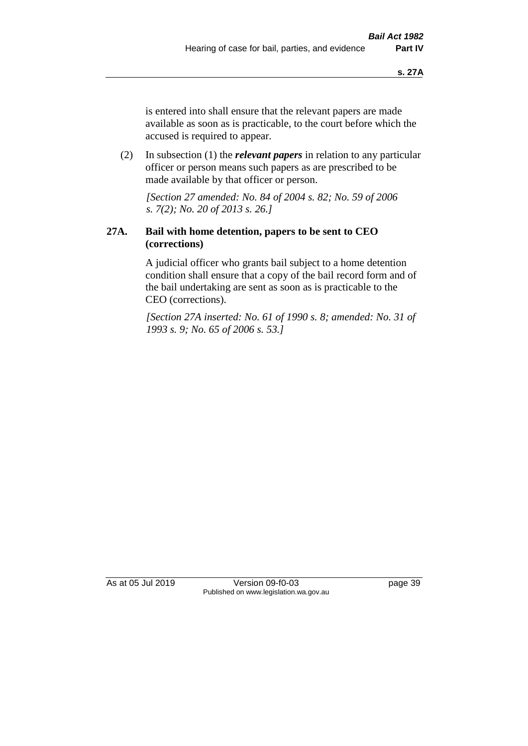is entered into shall ensure that the relevant papers are made available as soon as is practicable, to the court before which the accused is required to appear.

(2) In subsection (1) the *relevant papers* in relation to any particular officer or person means such papers as are prescribed to be made available by that officer or person.

*[Section 27 amended: No. 84 of 2004 s. 82; No. 59 of 2006 s. 7(2); No. 20 of 2013 s. 26.]* 

## **27A. Bail with home detention, papers to be sent to CEO (corrections)**

A judicial officer who grants bail subject to a home detention condition shall ensure that a copy of the bail record form and of the bail undertaking are sent as soon as is practicable to the CEO (corrections).

*[Section 27A inserted: No. 61 of 1990 s. 8; amended: No. 31 of 1993 s. 9; No. 65 of 2006 s. 53.]* 

As at 05 Jul 2019 Version 09-f0-03 page 39 Published on www.legislation.wa.gov.au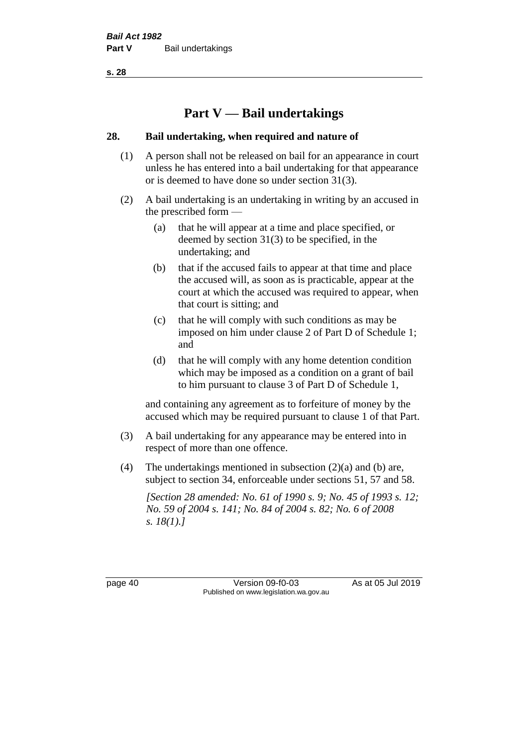# **Part V — Bail undertakings**

## **28. Bail undertaking, when required and nature of**

- (1) A person shall not be released on bail for an appearance in court unless he has entered into a bail undertaking for that appearance or is deemed to have done so under section 31(3).
- (2) A bail undertaking is an undertaking in writing by an accused in the prescribed form —
	- (a) that he will appear at a time and place specified, or deemed by section 31(3) to be specified, in the undertaking; and
	- (b) that if the accused fails to appear at that time and place the accused will, as soon as is practicable, appear at the court at which the accused was required to appear, when that court is sitting; and
	- (c) that he will comply with such conditions as may be imposed on him under clause 2 of Part D of Schedule 1; and
	- (d) that he will comply with any home detention condition which may be imposed as a condition on a grant of bail to him pursuant to clause 3 of Part D of Schedule 1,

and containing any agreement as to forfeiture of money by the accused which may be required pursuant to clause 1 of that Part.

- (3) A bail undertaking for any appearance may be entered into in respect of more than one offence.
- (4) The undertakings mentioned in subsection (2)(a) and (b) are, subject to section 34, enforceable under sections 51, 57 and 58.

*[Section 28 amended: No. 61 of 1990 s. 9; No. 45 of 1993 s. 12; No. 59 of 2004 s. 141; No. 84 of 2004 s. 82; No. 6 of 2008 s. 18(1).]* 

page 40 Version 09-f0-03 As at 05 Jul 2019 Published on www.legislation.wa.gov.au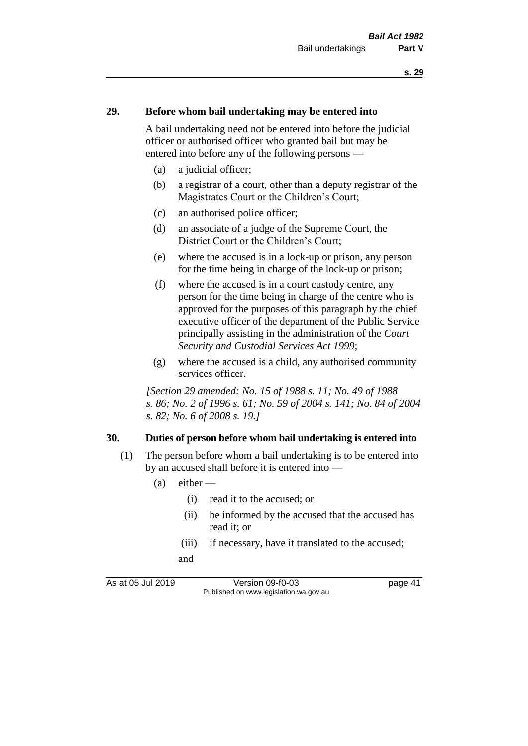#### **29. Before whom bail undertaking may be entered into**

A bail undertaking need not be entered into before the judicial officer or authorised officer who granted bail but may be entered into before any of the following persons —

- (a) a judicial officer;
- (b) a registrar of a court, other than a deputy registrar of the Magistrates Court or the Children's Court;
- (c) an authorised police officer;
- (d) an associate of a judge of the Supreme Court, the District Court or the Children's Court;
- (e) where the accused is in a lock-up or prison, any person for the time being in charge of the lock-up or prison;
- (f) where the accused is in a court custody centre, any person for the time being in charge of the centre who is approved for the purposes of this paragraph by the chief executive officer of the department of the Public Service principally assisting in the administration of the *Court Security and Custodial Services Act 1999*;
- (g) where the accused is a child, any authorised community services officer.

*[Section 29 amended: No. 15 of 1988 s. 11; No. 49 of 1988 s. 86; No. 2 of 1996 s. 61; No. 59 of 2004 s. 141; No. 84 of 2004 s. 82; No. 6 of 2008 s. 19.]* 

#### **30. Duties of person before whom bail undertaking is entered into**

- (1) The person before whom a bail undertaking is to be entered into by an accused shall before it is entered into —
	- $(a)$  either
		- (i) read it to the accused; or
		- (ii) be informed by the accused that the accused has read it; or
		- (iii) if necessary, have it translated to the accused; and

As at 05 Jul 2019 Version 09-f0-03 page 41 Published on www.legislation.wa.gov.au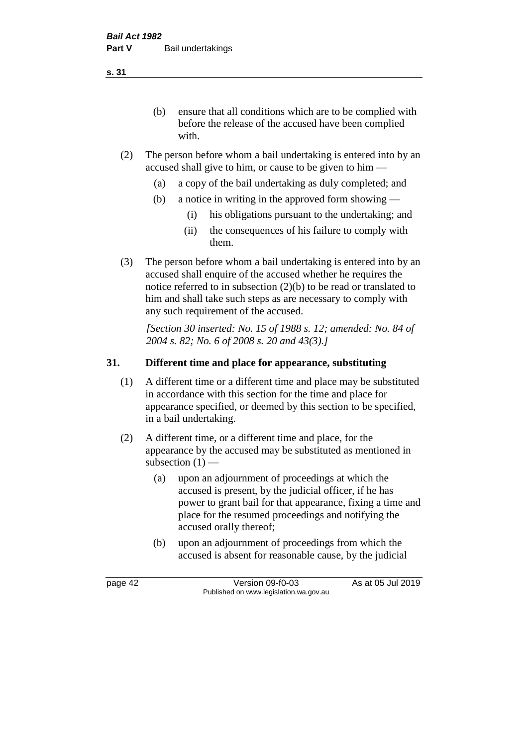(b) ensure that all conditions which are to be complied with before the release of the accused have been complied with.

- (2) The person before whom a bail undertaking is entered into by an accused shall give to him, or cause to be given to him —
	- (a) a copy of the bail undertaking as duly completed; and
	- (b) a notice in writing in the approved form showing
		- (i) his obligations pursuant to the undertaking; and
		- (ii) the consequences of his failure to comply with them.
- (3) The person before whom a bail undertaking is entered into by an accused shall enquire of the accused whether he requires the notice referred to in subsection (2)(b) to be read or translated to him and shall take such steps as are necessary to comply with any such requirement of the accused.

*[Section 30 inserted: No. 15 of 1988 s. 12; amended: No. 84 of 2004 s. 82; No. 6 of 2008 s. 20 and 43(3).]* 

## **31. Different time and place for appearance, substituting**

- (1) A different time or a different time and place may be substituted in accordance with this section for the time and place for appearance specified, or deemed by this section to be specified, in a bail undertaking.
- (2) A different time, or a different time and place, for the appearance by the accused may be substituted as mentioned in subsection  $(1)$  —
	- (a) upon an adjournment of proceedings at which the accused is present, by the judicial officer, if he has power to grant bail for that appearance, fixing a time and place for the resumed proceedings and notifying the accused orally thereof;
	- (b) upon an adjournment of proceedings from which the accused is absent for reasonable cause, by the judicial

page 42 Version 09-f0-03 As at 05 Jul 2019 Published on www.legislation.wa.gov.au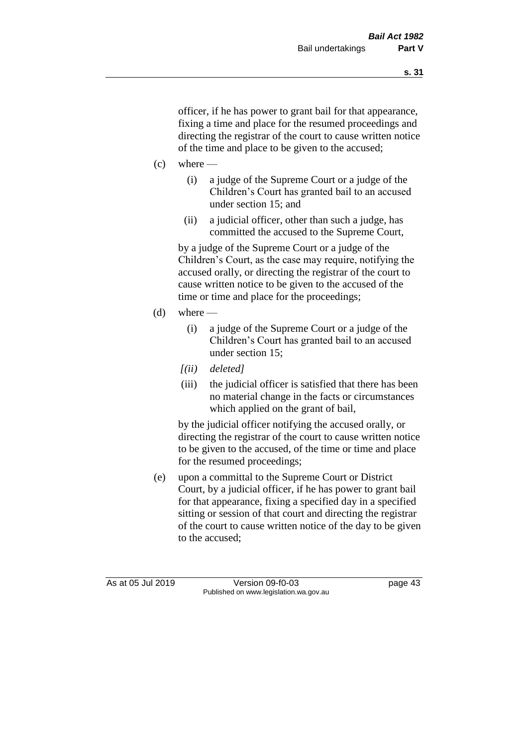officer, if he has power to grant bail for that appearance, fixing a time and place for the resumed proceedings and directing the registrar of the court to cause written notice of the time and place to be given to the accused;

- $(c)$  where
	- (i) a judge of the Supreme Court or a judge of the Children's Court has granted bail to an accused under section 15; and
	- (ii) a judicial officer, other than such a judge, has committed the accused to the Supreme Court,

by a judge of the Supreme Court or a judge of the Children's Court, as the case may require, notifying the accused orally, or directing the registrar of the court to cause written notice to be given to the accused of the time or time and place for the proceedings;

- (d) where  $-$ 
	- (i) a judge of the Supreme Court or a judge of the Children's Court has granted bail to an accused under section 15;
	- *[(ii) deleted]*
	- (iii) the judicial officer is satisfied that there has been no material change in the facts or circumstances which applied on the grant of bail,

by the judicial officer notifying the accused orally, or directing the registrar of the court to cause written notice to be given to the accused, of the time or time and place for the resumed proceedings;

(e) upon a committal to the Supreme Court or District Court, by a judicial officer, if he has power to grant bail for that appearance, fixing a specified day in a specified sitting or session of that court and directing the registrar of the court to cause written notice of the day to be given to the accused;

As at 05 Jul 2019 Version 09-f0-03 page 43 Published on www.legislation.wa.gov.au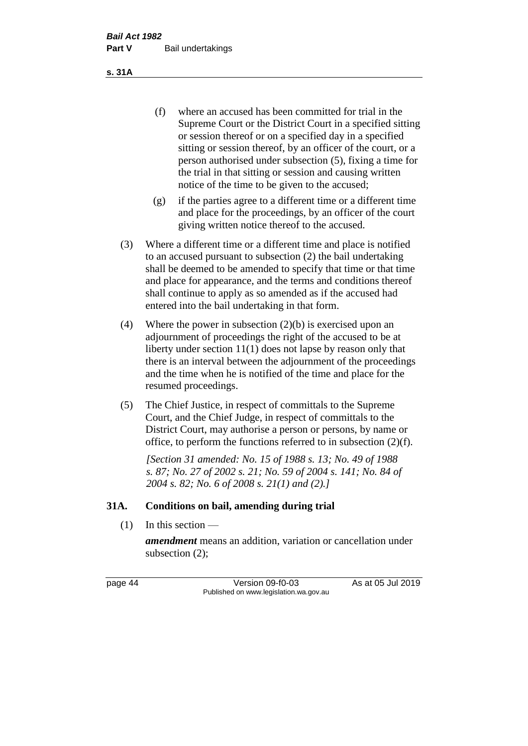(f) where an accused has been committed for trial in the Supreme Court or the District Court in a specified sitting or session thereof or on a specified day in a specified sitting or session thereof, by an officer of the court, or a person authorised under subsection (5), fixing a time for the trial in that sitting or session and causing written notice of the time to be given to the accused;

- (g) if the parties agree to a different time or a different time and place for the proceedings, by an officer of the court giving written notice thereof to the accused.
- (3) Where a different time or a different time and place is notified to an accused pursuant to subsection (2) the bail undertaking shall be deemed to be amended to specify that time or that time and place for appearance, and the terms and conditions thereof shall continue to apply as so amended as if the accused had entered into the bail undertaking in that form.
- (4) Where the power in subsection (2)(b) is exercised upon an adjournment of proceedings the right of the accused to be at liberty under section 11(1) does not lapse by reason only that there is an interval between the adjournment of the proceedings and the time when he is notified of the time and place for the resumed proceedings.
- (5) The Chief Justice, in respect of committals to the Supreme Court, and the Chief Judge, in respect of committals to the District Court, may authorise a person or persons, by name or office, to perform the functions referred to in subsection (2)(f).

*[Section 31 amended: No. 15 of 1988 s. 13; No. 49 of 1988 s. 87; No. 27 of 2002 s. 21; No. 59 of 2004 s. 141; No. 84 of 2004 s. 82; No. 6 of 2008 s. 21(1) and (2).]* 

#### **31A. Conditions on bail, amending during trial**

 $(1)$  In this section —

*amendment* means an addition, variation or cancellation under subsection (2);

page 44 Version 09-f0-03 As at 05 Jul 2019 Published on www.legislation.wa.gov.au

**s. 31A**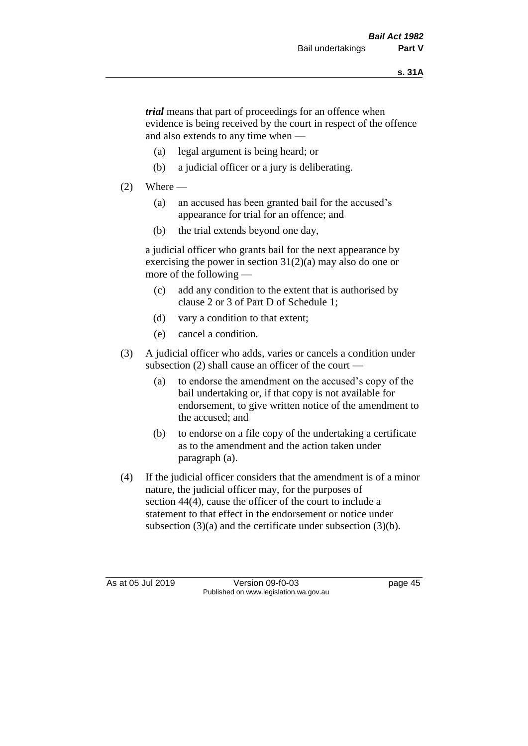*trial* means that part of proceedings for an offence when evidence is being received by the court in respect of the offence and also extends to any time when —

- (a) legal argument is being heard; or
- (b) a judicial officer or a jury is deliberating.

## $(2)$  Where —

- (a) an accused has been granted bail for the accused's appearance for trial for an offence; and
- (b) the trial extends beyond one day,

a judicial officer who grants bail for the next appearance by exercising the power in section  $31(2)(a)$  may also do one or more of the following —

- (c) add any condition to the extent that is authorised by clause 2 or 3 of Part D of Schedule 1;
- (d) vary a condition to that extent;
- (e) cancel a condition.
- (3) A judicial officer who adds, varies or cancels a condition under subsection (2) shall cause an officer of the court —
	- (a) to endorse the amendment on the accused's copy of the bail undertaking or, if that copy is not available for endorsement, to give written notice of the amendment to the accused; and
	- (b) to endorse on a file copy of the undertaking a certificate as to the amendment and the action taken under paragraph (a).
- (4) If the judicial officer considers that the amendment is of a minor nature, the judicial officer may, for the purposes of section 44(4), cause the officer of the court to include a statement to that effect in the endorsement or notice under subsection (3)(a) and the certificate under subsection (3)(b).

As at 05 Jul 2019 Version 09-f0-03 page 45 Published on www.legislation.wa.gov.au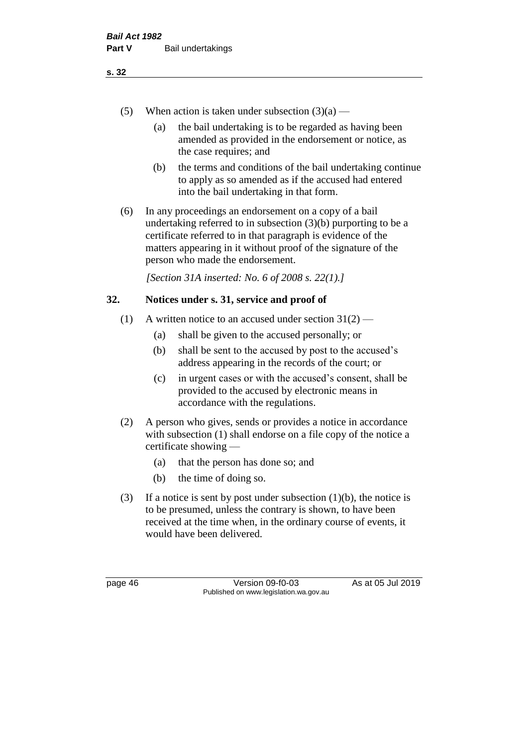- (5) When action is taken under subsection  $(3)(a)$ 
	- (a) the bail undertaking is to be regarded as having been amended as provided in the endorsement or notice, as the case requires; and
	- (b) the terms and conditions of the bail undertaking continue to apply as so amended as if the accused had entered into the bail undertaking in that form.
- (6) In any proceedings an endorsement on a copy of a bail undertaking referred to in subsection (3)(b) purporting to be a certificate referred to in that paragraph is evidence of the matters appearing in it without proof of the signature of the person who made the endorsement.

*[Section 31A inserted: No. 6 of 2008 s. 22(1).]*

## **32. Notices under s. 31, service and proof of**

- (1) A written notice to an accused under section  $31(2)$ 
	- (a) shall be given to the accused personally; or
	- (b) shall be sent to the accused by post to the accused's address appearing in the records of the court; or
	- (c) in urgent cases or with the accused's consent, shall be provided to the accused by electronic means in accordance with the regulations.
- (2) A person who gives, sends or provides a notice in accordance with subsection (1) shall endorse on a file copy of the notice a certificate showing —
	- (a) that the person has done so; and
	- (b) the time of doing so.
- (3) If a notice is sent by post under subsection  $(1)(b)$ , the notice is to be presumed, unless the contrary is shown, to have been received at the time when, in the ordinary course of events, it would have been delivered.

page 46 Version 09-f0-03 As at 05 Jul 2019 Published on www.legislation.wa.gov.au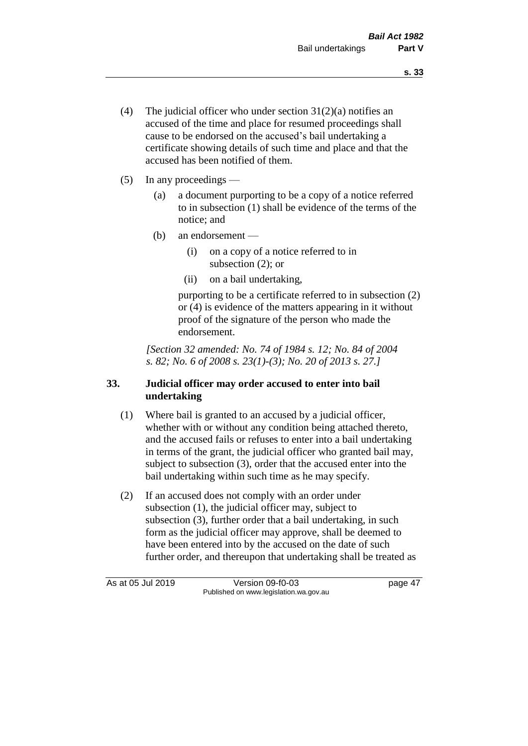- (4) The judicial officer who under section  $31(2)(a)$  notifies an accused of the time and place for resumed proceedings shall cause to be endorsed on the accused's bail undertaking a certificate showing details of such time and place and that the accused has been notified of them.
- (5) In any proceedings
	- (a) a document purporting to be a copy of a notice referred to in subsection (1) shall be evidence of the terms of the notice; and
	- (b) an endorsement
		- (i) on a copy of a notice referred to in subsection (2); or
		- (ii) on a bail undertaking,

purporting to be a certificate referred to in subsection (2) or (4) is evidence of the matters appearing in it without proof of the signature of the person who made the endorsement.

*[Section 32 amended: No. 74 of 1984 s. 12; No. 84 of 2004 s. 82; No. 6 of 2008 s. 23(1)-(3); No. 20 of 2013 s. 27.]* 

# **33. Judicial officer may order accused to enter into bail undertaking**

- (1) Where bail is granted to an accused by a judicial officer, whether with or without any condition being attached thereto, and the accused fails or refuses to enter into a bail undertaking in terms of the grant, the judicial officer who granted bail may, subject to subsection (3), order that the accused enter into the bail undertaking within such time as he may specify.
- (2) If an accused does not comply with an order under subsection (1), the judicial officer may, subject to subsection (3), further order that a bail undertaking, in such form as the judicial officer may approve, shall be deemed to have been entered into by the accused on the date of such further order, and thereupon that undertaking shall be treated as

As at 05 Jul 2019 Version 09-f0-03 page 47 Published on www.legislation.wa.gov.au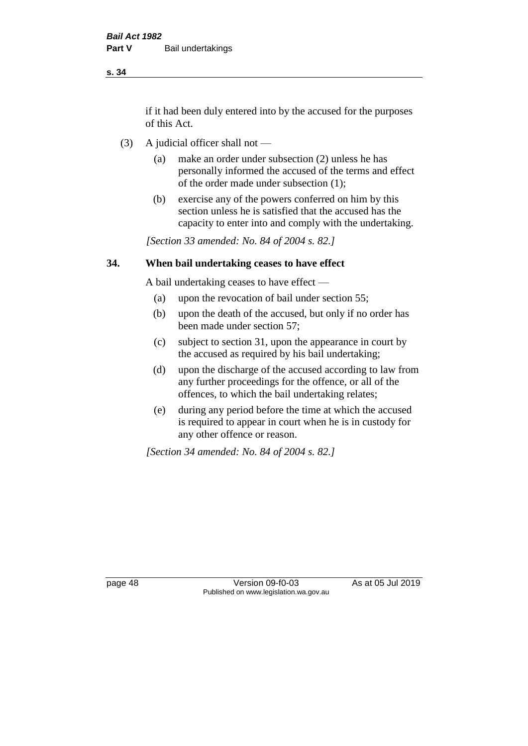if it had been duly entered into by the accused for the purposes of this Act.

- (3) A judicial officer shall not
	- (a) make an order under subsection (2) unless he has personally informed the accused of the terms and effect of the order made under subsection (1);
	- (b) exercise any of the powers conferred on him by this section unless he is satisfied that the accused has the capacity to enter into and comply with the undertaking.

*[Section 33 amended: No. 84 of 2004 s. 82.]* 

#### **34. When bail undertaking ceases to have effect**

A bail undertaking ceases to have effect —

- (a) upon the revocation of bail under section 55;
- (b) upon the death of the accused, but only if no order has been made under section 57;
- (c) subject to section 31, upon the appearance in court by the accused as required by his bail undertaking;
- (d) upon the discharge of the accused according to law from any further proceedings for the offence, or all of the offences, to which the bail undertaking relates;
- (e) during any period before the time at which the accused is required to appear in court when he is in custody for any other offence or reason.

*[Section 34 amended: No. 84 of 2004 s. 82.]* 

page 48 Version 09-f0-03 As at 05 Jul 2019 Published on www.legislation.wa.gov.au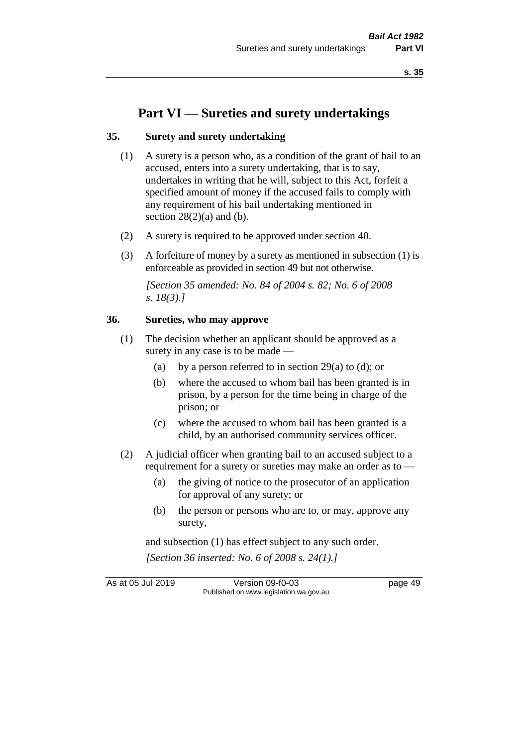# **Part VI — Sureties and surety undertakings**

#### **35. Surety and surety undertaking**

- (1) A surety is a person who, as a condition of the grant of bail to an accused, enters into a surety undertaking, that is to say, undertakes in writing that he will, subject to this Act, forfeit a specified amount of money if the accused fails to comply with any requirement of his bail undertaking mentioned in section  $28(2)(a)$  and (b).
- (2) A surety is required to be approved under section 40.
- (3) A forfeiture of money by a surety as mentioned in subsection (1) is enforceable as provided in section 49 but not otherwise.

*[Section 35 amended: No. 84 of 2004 s. 82; No. 6 of 2008 s. 18(3).]* 

#### **36. Sureties, who may approve**

- (1) The decision whether an applicant should be approved as a surety in any case is to be made —
	- (a) by a person referred to in section 29(a) to (d); or
	- (b) where the accused to whom bail has been granted is in prison, by a person for the time being in charge of the prison; or
	- (c) where the accused to whom bail has been granted is a child, by an authorised community services officer.
- (2) A judicial officer when granting bail to an accused subject to a requirement for a surety or sureties may make an order as to -
	- (a) the giving of notice to the prosecutor of an application for approval of any surety; or
	- (b) the person or persons who are to, or may, approve any surety,

and subsection (1) has effect subject to any such order. *[Section 36 inserted: No. 6 of 2008 s. 24(1).]*

As at 05 Jul 2019 Version 09-f0-03 page 49 Published on www.legislation.wa.gov.au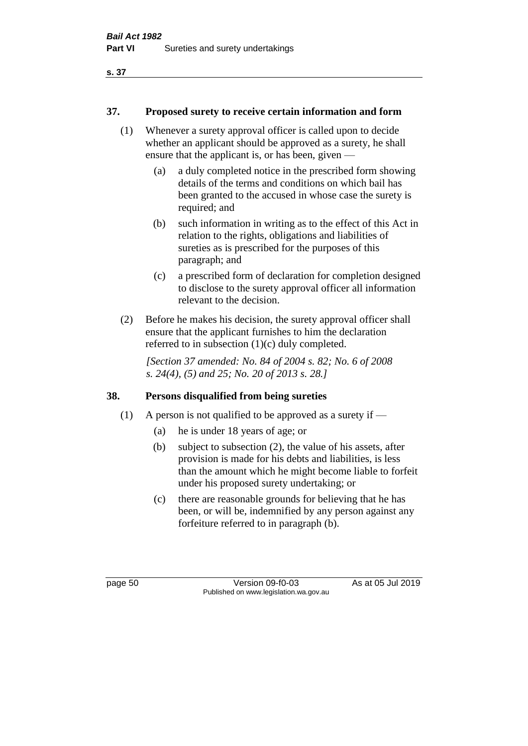## **37. Proposed surety to receive certain information and form**

- (1) Whenever a surety approval officer is called upon to decide whether an applicant should be approved as a surety, he shall ensure that the applicant is, or has been, given —
	- (a) a duly completed notice in the prescribed form showing details of the terms and conditions on which bail has been granted to the accused in whose case the surety is required; and
	- (b) such information in writing as to the effect of this Act in relation to the rights, obligations and liabilities of sureties as is prescribed for the purposes of this paragraph; and
	- (c) a prescribed form of declaration for completion designed to disclose to the surety approval officer all information relevant to the decision.
- (2) Before he makes his decision, the surety approval officer shall ensure that the applicant furnishes to him the declaration referred to in subsection (1)(c) duly completed.

*[Section 37 amended: No. 84 of 2004 s. 82; No. 6 of 2008 s. 24(4), (5) and 25; No. 20 of 2013 s. 28.]* 

# **38. Persons disqualified from being sureties**

- (1) A person is not qualified to be approved as a surety if  $-$ 
	- (a) he is under 18 years of age; or
	- (b) subject to subsection (2), the value of his assets, after provision is made for his debts and liabilities, is less than the amount which he might become liable to forfeit under his proposed surety undertaking; or
	- (c) there are reasonable grounds for believing that he has been, or will be, indemnified by any person against any forfeiture referred to in paragraph (b).

page 50 Version 09-f0-03 As at 05 Jul 2019 Published on www.legislation.wa.gov.au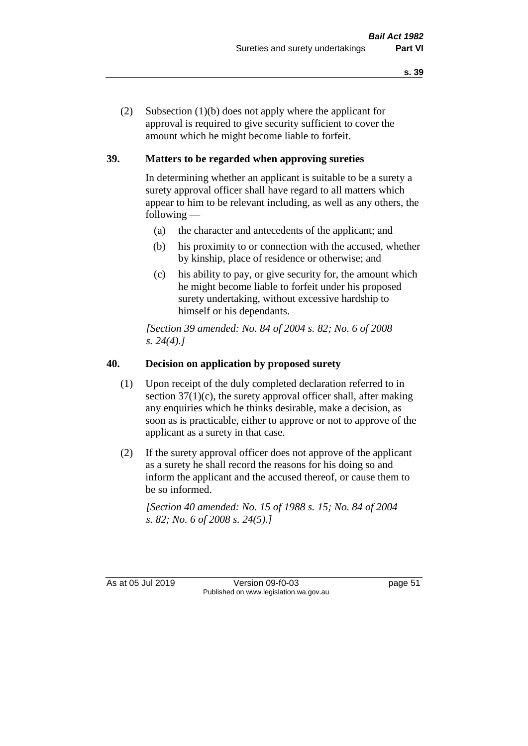(2) Subsection (1)(b) does not apply where the applicant for approval is required to give security sufficient to cover the amount which he might become liable to forfeit.

# **39. Matters to be regarded when approving sureties**

In determining whether an applicant is suitable to be a surety a surety approval officer shall have regard to all matters which appear to him to be relevant including, as well as any others, the following —

- (a) the character and antecedents of the applicant; and
- (b) his proximity to or connection with the accused, whether by kinship, place of residence or otherwise; and
- (c) his ability to pay, or give security for, the amount which he might become liable to forfeit under his proposed surety undertaking, without excessive hardship to himself or his dependants.

*[Section 39 amended: No. 84 of 2004 s. 82; No. 6 of 2008 s. 24(4).]* 

## **40. Decision on application by proposed surety**

- (1) Upon receipt of the duly completed declaration referred to in section  $37(1)(c)$ , the surety approval officer shall, after making any enquiries which he thinks desirable, make a decision, as soon as is practicable, either to approve or not to approve of the applicant as a surety in that case.
- (2) If the surety approval officer does not approve of the applicant as a surety he shall record the reasons for his doing so and inform the applicant and the accused thereof, or cause them to be so informed.

*[Section 40 amended: No. 15 of 1988 s. 15; No. 84 of 2004 s. 82; No. 6 of 2008 s. 24(5).]* 

As at 05 Jul 2019 Version 09-f0-03 page 51 Published on www.legislation.wa.gov.au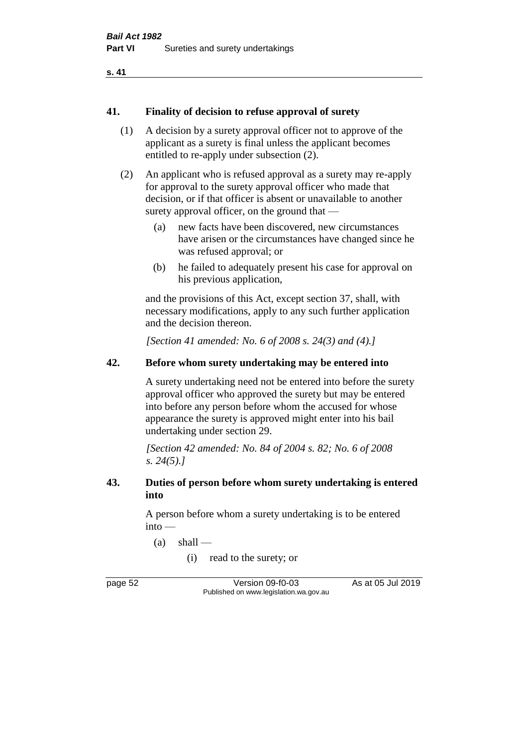#### **41. Finality of decision to refuse approval of surety**

- (1) A decision by a surety approval officer not to approve of the applicant as a surety is final unless the applicant becomes entitled to re-apply under subsection (2).
- (2) An applicant who is refused approval as a surety may re-apply for approval to the surety approval officer who made that decision, or if that officer is absent or unavailable to another surety approval officer, on the ground that —
	- (a) new facts have been discovered, new circumstances have arisen or the circumstances have changed since he was refused approval; or
	- (b) he failed to adequately present his case for approval on his previous application,

and the provisions of this Act, except section 37, shall, with necessary modifications, apply to any such further application and the decision thereon.

*[Section 41 amended: No. 6 of 2008 s. 24(3) and (4).]*

#### **42. Before whom surety undertaking may be entered into**

A surety undertaking need not be entered into before the surety approval officer who approved the surety but may be entered into before any person before whom the accused for whose appearance the surety is approved might enter into his bail undertaking under section 29.

*[Section 42 amended: No. 84 of 2004 s. 82; No. 6 of 2008 s. 24(5).]* 

#### **43. Duties of person before whom surety undertaking is entered into**

A person before whom a surety undertaking is to be entered into —

 $(a)$  shall —

(i) read to the surety; or

page 52 Version 09-f0-03 As at 05 Jul 2019 Published on www.legislation.wa.gov.au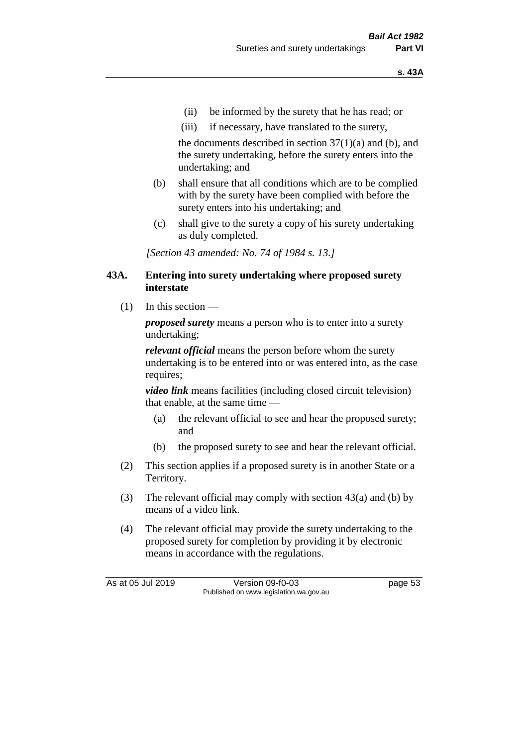- (ii) be informed by the surety that he has read; or
- (iii) if necessary, have translated to the surety,

the documents described in section  $37(1)(a)$  and (b), and the surety undertaking, before the surety enters into the undertaking; and

- (b) shall ensure that all conditions which are to be complied with by the surety have been complied with before the surety enters into his undertaking; and
- (c) shall give to the surety a copy of his surety undertaking as duly completed.

*[Section 43 amended: No. 74 of 1984 s. 13.]* 

#### **43A. Entering into surety undertaking where proposed surety interstate**

 $(1)$  In this section —

*proposed surety* means a person who is to enter into a surety undertaking;

*relevant official* means the person before whom the surety undertaking is to be entered into or was entered into, as the case requires;

*video link* means facilities (including closed circuit television) that enable, at the same time —

- (a) the relevant official to see and hear the proposed surety; and
- (b) the proposed surety to see and hear the relevant official.
- (2) This section applies if a proposed surety is in another State or a Territory.
- (3) The relevant official may comply with section 43(a) and (b) by means of a video link.
- (4) The relevant official may provide the surety undertaking to the proposed surety for completion by providing it by electronic means in accordance with the regulations.

As at 05 Jul 2019 Version 09-f0-03 page 53 Published on www.legislation.wa.gov.au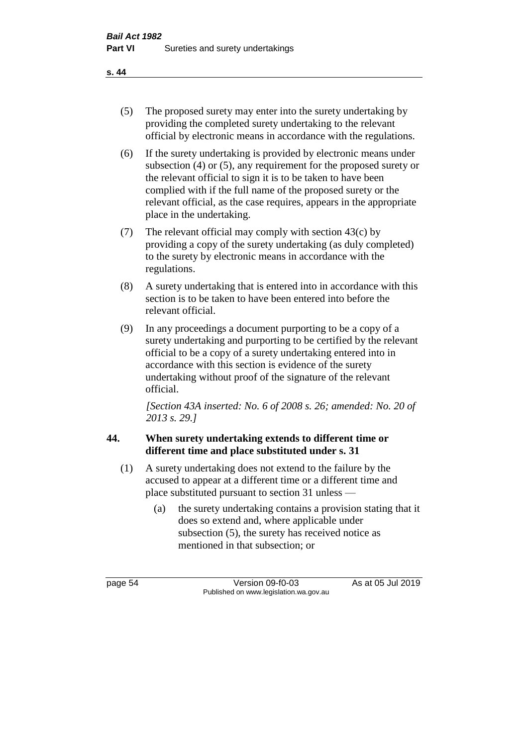- (5) The proposed surety may enter into the surety undertaking by providing the completed surety undertaking to the relevant official by electronic means in accordance with the regulations.
- (6) If the surety undertaking is provided by electronic means under subsection (4) or (5), any requirement for the proposed surety or the relevant official to sign it is to be taken to have been complied with if the full name of the proposed surety or the relevant official, as the case requires, appears in the appropriate place in the undertaking.
- (7) The relevant official may comply with section 43(c) by providing a copy of the surety undertaking (as duly completed) to the surety by electronic means in accordance with the regulations.
- (8) A surety undertaking that is entered into in accordance with this section is to be taken to have been entered into before the relevant official.
- (9) In any proceedings a document purporting to be a copy of a surety undertaking and purporting to be certified by the relevant official to be a copy of a surety undertaking entered into in accordance with this section is evidence of the surety undertaking without proof of the signature of the relevant official.

*[Section 43A inserted: No. 6 of 2008 s. 26; amended: No. 20 of 2013 s. 29.]*

# **44. When surety undertaking extends to different time or different time and place substituted under s. 31**

- (1) A surety undertaking does not extend to the failure by the accused to appear at a different time or a different time and place substituted pursuant to section 31 unless —
	- (a) the surety undertaking contains a provision stating that it does so extend and, where applicable under subsection (5), the surety has received notice as mentioned in that subsection; or

page 54 Version 09-f0-03 As at 05 Jul 2019 Published on www.legislation.wa.gov.au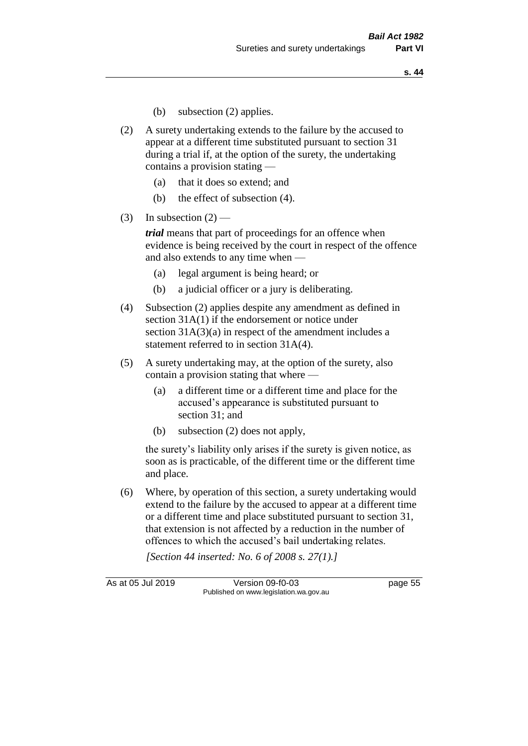- (b) subsection (2) applies.
- (2) A surety undertaking extends to the failure by the accused to appear at a different time substituted pursuant to section 31 during a trial if, at the option of the surety, the undertaking contains a provision stating —
	- (a) that it does so extend; and
	- (b) the effect of subsection (4).
- (3) In subsection  $(2)$  —

*trial* means that part of proceedings for an offence when evidence is being received by the court in respect of the offence and also extends to any time when —

- (a) legal argument is being heard; or
- (b) a judicial officer or a jury is deliberating.
- (4) Subsection (2) applies despite any amendment as defined in section 31A(1) if the endorsement or notice under section 31A(3)(a) in respect of the amendment includes a statement referred to in section 31A(4).
- (5) A surety undertaking may, at the option of the surety, also contain a provision stating that where —
	- (a) a different time or a different time and place for the accused's appearance is substituted pursuant to section 31; and
	- (b) subsection (2) does not apply,

the surety's liability only arises if the surety is given notice, as soon as is practicable, of the different time or the different time and place.

(6) Where, by operation of this section, a surety undertaking would extend to the failure by the accused to appear at a different time or a different time and place substituted pursuant to section 31, that extension is not affected by a reduction in the number of offences to which the accused's bail undertaking relates.

*[Section 44 inserted: No. 6 of 2008 s. 27(1).]*

As at 05 Jul 2019 Version 09-f0-03 page 55 Published on www.legislation.wa.gov.au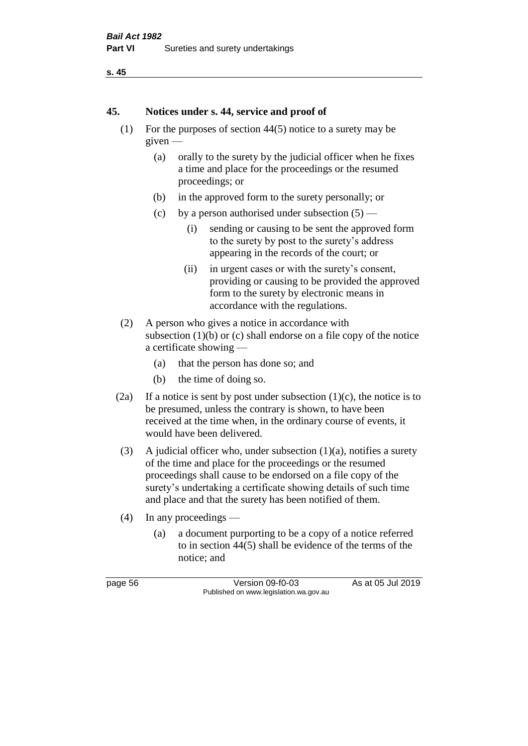```
s. 45
```
#### **45. Notices under s. 44, service and proof of**

- (1) For the purposes of section 44(5) notice to a surety may be given —
	- (a) orally to the surety by the judicial officer when he fixes a time and place for the proceedings or the resumed proceedings; or
	- (b) in the approved form to the surety personally; or
	- (c) by a person authorised under subsection  $(5)$ 
		- (i) sending or causing to be sent the approved form to the surety by post to the surety's address appearing in the records of the court; or
		- (ii) in urgent cases or with the surety's consent, providing or causing to be provided the approved form to the surety by electronic means in accordance with the regulations.
- (2) A person who gives a notice in accordance with subsection  $(1)(b)$  or  $(c)$  shall endorse on a file copy of the notice a certificate showing —
	- (a) that the person has done so; and
	- (b) the time of doing so.
- (2a) If a notice is sent by post under subsection  $(1)(c)$ , the notice is to be presumed, unless the contrary is shown, to have been received at the time when, in the ordinary course of events, it would have been delivered.
- (3) A judicial officer who, under subsection  $(1)(a)$ , notifies a surety of the time and place for the proceedings or the resumed proceedings shall cause to be endorsed on a file copy of the surety's undertaking a certificate showing details of such time and place and that the surety has been notified of them.
- (4) In any proceedings
	- (a) a document purporting to be a copy of a notice referred to in section 44(5) shall be evidence of the terms of the notice; and

page 56 Version 09-f0-03 As at 05 Jul 2019 Published on www.legislation.wa.gov.au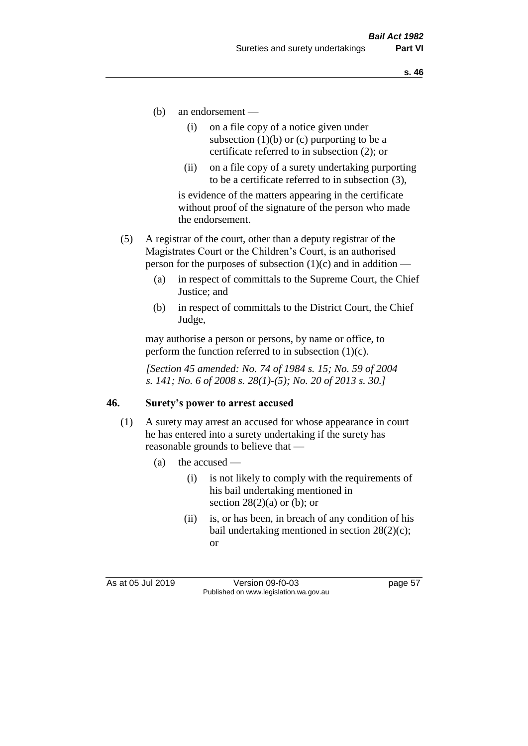- (b) an endorsement
	- (i) on a file copy of a notice given under subsection  $(1)(b)$  or  $(c)$  purporting to be a certificate referred to in subsection (2); or
	- (ii) on a file copy of a surety undertaking purporting to be a certificate referred to in subsection (3),

is evidence of the matters appearing in the certificate without proof of the signature of the person who made the endorsement.

- (5) A registrar of the court, other than a deputy registrar of the Magistrates Court or the Children's Court, is an authorised person for the purposes of subsection  $(1)(c)$  and in addition —
	- (a) in respect of committals to the Supreme Court, the Chief Justice; and
	- (b) in respect of committals to the District Court, the Chief Judge,

may authorise a person or persons, by name or office, to perform the function referred to in subsection  $(1)(c)$ .

*[Section 45 amended: No. 74 of 1984 s. 15; No. 59 of 2004 s. 141; No. 6 of 2008 s. 28(1)-(5); No. 20 of 2013 s. 30.]* 

#### **46. Surety's power to arrest accused**

- (1) A surety may arrest an accused for whose appearance in court he has entered into a surety undertaking if the surety has reasonable grounds to believe that —
	- (a) the accused
		- (i) is not likely to comply with the requirements of his bail undertaking mentioned in section  $28(2)(a)$  or (b); or
		- (ii) is, or has been, in breach of any condition of his bail undertaking mentioned in section 28(2)(c); or

As at 05 Jul 2019 Version 09-f0-03 page 57 Published on www.legislation.wa.gov.au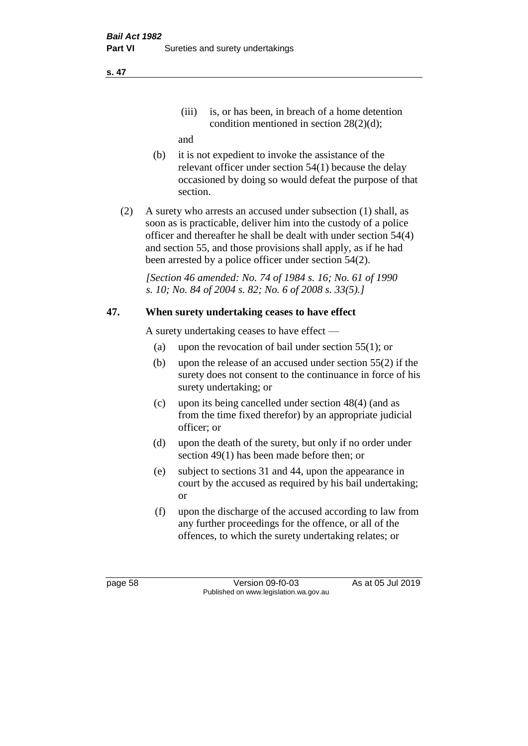(iii) is, or has been, in breach of a home detention condition mentioned in section 28(2)(d);

and

- (b) it is not expedient to invoke the assistance of the relevant officer under section 54(1) because the delay occasioned by doing so would defeat the purpose of that section.
- (2) A surety who arrests an accused under subsection (1) shall, as soon as is practicable, deliver him into the custody of a police officer and thereafter he shall be dealt with under section 54(4) and section 55, and those provisions shall apply, as if he had been arrested by a police officer under section 54(2).

*[Section 46 amended: No. 74 of 1984 s. 16; No. 61 of 1990 s. 10; No. 84 of 2004 s. 82; No. 6 of 2008 s. 33(5).]* 

# **47. When surety undertaking ceases to have effect**

A surety undertaking ceases to have effect —

- (a) upon the revocation of bail under section 55(1); or
- (b) upon the release of an accused under section 55(2) if the surety does not consent to the continuance in force of his surety undertaking; or
- (c) upon its being cancelled under section 48(4) (and as from the time fixed therefor) by an appropriate judicial officer; or
- (d) upon the death of the surety, but only if no order under section 49(1) has been made before then; or
- (e) subject to sections 31 and 44, upon the appearance in court by the accused as required by his bail undertaking; or
- (f) upon the discharge of the accused according to law from any further proceedings for the offence, or all of the offences, to which the surety undertaking relates; or

page 58 Version 09-f0-03 As at 05 Jul 2019 Published on www.legislation.wa.gov.au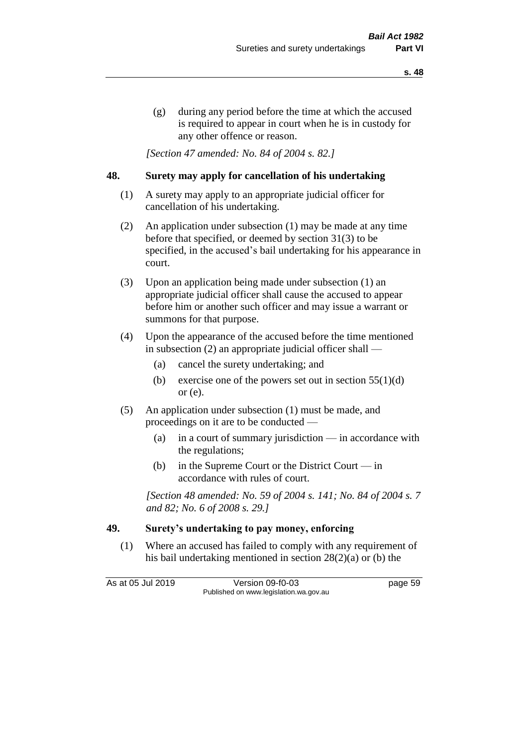(g) during any period before the time at which the accused is required to appear in court when he is in custody for any other offence or reason.

*[Section 47 amended: No. 84 of 2004 s. 82.]* 

#### **48. Surety may apply for cancellation of his undertaking**

- (1) A surety may apply to an appropriate judicial officer for cancellation of his undertaking.
- (2) An application under subsection (1) may be made at any time before that specified, or deemed by section 31(3) to be specified, in the accused's bail undertaking for his appearance in court.
- (3) Upon an application being made under subsection (1) an appropriate judicial officer shall cause the accused to appear before him or another such officer and may issue a warrant or summons for that purpose.
- (4) Upon the appearance of the accused before the time mentioned in subsection (2) an appropriate judicial officer shall —
	- (a) cancel the surety undertaking; and
	- (b) exercise one of the powers set out in section  $55(1)(d)$ or (e).
- (5) An application under subsection (1) must be made, and proceedings on it are to be conducted —
	- (a) in a court of summary jurisdiction in accordance with the regulations;
	- (b) in the Supreme Court or the District Court  $-\text{in}$ accordance with rules of court.

*[Section 48 amended: No. 59 of 2004 s. 141; No. 84 of 2004 s. 7 and 82; No. 6 of 2008 s. 29.]* 

### **49. Surety's undertaking to pay money, enforcing**

(1) Where an accused has failed to comply with any requirement of his bail undertaking mentioned in section 28(2)(a) or (b) the

As at 05 Jul 2019 Version 09-f0-03 page 59 Published on www.legislation.wa.gov.au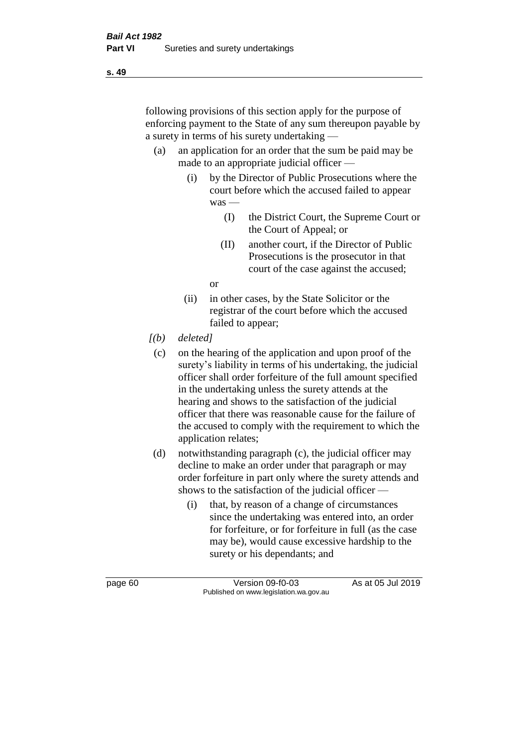following provisions of this section apply for the purpose of enforcing payment to the State of any sum thereupon payable by a surety in terms of his surety undertaking —

- (a) an application for an order that the sum be paid may be made to an appropriate judicial officer —
	- (i) by the Director of Public Prosecutions where the court before which the accused failed to appear was —
		- (I) the District Court, the Supreme Court or the Court of Appeal; or
		- (II) another court, if the Director of Public Prosecutions is the prosecutor in that court of the case against the accused;

or

- (ii) in other cases, by the State Solicitor or the registrar of the court before which the accused failed to appear;
- *[(b) deleted]*
	- (c) on the hearing of the application and upon proof of the surety's liability in terms of his undertaking, the judicial officer shall order forfeiture of the full amount specified in the undertaking unless the surety attends at the hearing and shows to the satisfaction of the judicial officer that there was reasonable cause for the failure of the accused to comply with the requirement to which the application relates;
- (d) notwithstanding paragraph (c), the judicial officer may decline to make an order under that paragraph or may order forfeiture in part only where the surety attends and shows to the satisfaction of the judicial officer —
	- (i) that, by reason of a change of circumstances since the undertaking was entered into, an order for forfeiture, or for forfeiture in full (as the case may be), would cause excessive hardship to the surety or his dependants; and

page 60 Version 09-f0-03 As at 05 Jul 2019 Published on www.legislation.wa.gov.au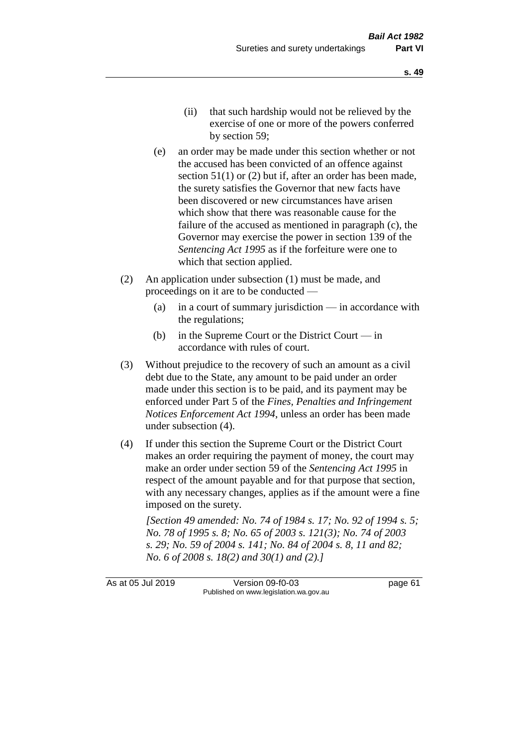- (ii) that such hardship would not be relieved by the exercise of one or more of the powers conferred by section 59;
- (e) an order may be made under this section whether or not the accused has been convicted of an offence against section 51(1) or (2) but if, after an order has been made, the surety satisfies the Governor that new facts have been discovered or new circumstances have arisen which show that there was reasonable cause for the failure of the accused as mentioned in paragraph (c), the Governor may exercise the power in section 139 of the *Sentencing Act 1995* as if the forfeiture were one to which that section applied.
- (2) An application under subsection (1) must be made, and proceedings on it are to be conducted —
	- (a) in a court of summary jurisdiction in accordance with the regulations;
	- (b) in the Supreme Court or the District Court  $-\text{in}$ accordance with rules of court.
- (3) Without prejudice to the recovery of such an amount as a civil debt due to the State, any amount to be paid under an order made under this section is to be paid, and its payment may be enforced under Part 5 of the *Fines, Penalties and Infringement Notices Enforcement Act 1994*, unless an order has been made under subsection (4).
- (4) If under this section the Supreme Court or the District Court makes an order requiring the payment of money, the court may make an order under section 59 of the *Sentencing Act 1995* in respect of the amount payable and for that purpose that section, with any necessary changes, applies as if the amount were a fine imposed on the surety.

*[Section 49 amended: No. 74 of 1984 s. 17; No. 92 of 1994 s. 5; No. 78 of 1995 s. 8; No. 65 of 2003 s. 121(3); No. 74 of 2003 s. 29; No. 59 of 2004 s. 141; No. 84 of 2004 s. 8, 11 and 82; No. 6 of 2008 s. 18(2) and 30(1) and (2).]* 

As at 05 Jul 2019 Version 09-f0-03 page 61 Published on www.legislation.wa.gov.au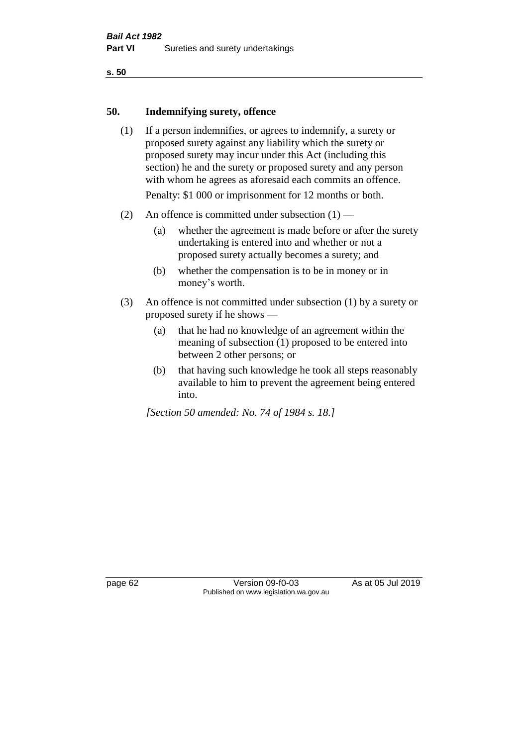#### **50. Indemnifying surety, offence**

- (1) If a person indemnifies, or agrees to indemnify, a surety or proposed surety against any liability which the surety or proposed surety may incur under this Act (including this section) he and the surety or proposed surety and any person with whom he agrees as aforesaid each commits an offence. Penalty: \$1 000 or imprisonment for 12 months or both.
- (2) An offence is committed under subsection  $(1)$ 
	- (a) whether the agreement is made before or after the surety undertaking is entered into and whether or not a proposed surety actually becomes a surety; and
	- (b) whether the compensation is to be in money or in money's worth.
- (3) An offence is not committed under subsection (1) by a surety or proposed surety if he shows —
	- (a) that he had no knowledge of an agreement within the meaning of subsection (1) proposed to be entered into between 2 other persons; or
	- (b) that having such knowledge he took all steps reasonably available to him to prevent the agreement being entered into.

*[Section 50 amended: No. 74 of 1984 s. 18.]* 

page 62 Version 09-f0-03 As at 05 Jul 2019 Published on www.legislation.wa.gov.au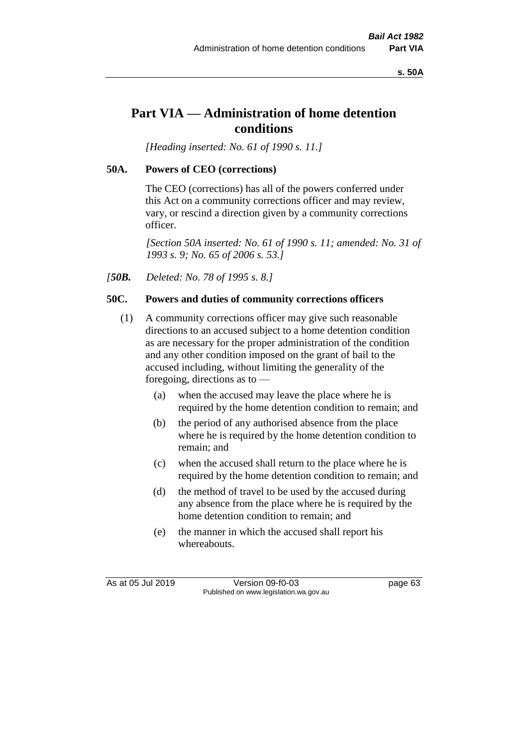**s. 50A**

# **Part VIA — Administration of home detention conditions**

*[Heading inserted: No. 61 of 1990 s. 11.]* 

# **50A. Powers of CEO (corrections)**

The CEO (corrections) has all of the powers conferred under this Act on a community corrections officer and may review, vary, or rescind a direction given by a community corrections officer.

*[Section 50A inserted: No. 61 of 1990 s. 11; amended: No. 31 of 1993 s. 9; No. 65 of 2006 s. 53.]* 

*[50B. Deleted: No. 78 of 1995 s. 8.]* 

# **50C. Powers and duties of community corrections officers**

- (1) A community corrections officer may give such reasonable directions to an accused subject to a home detention condition as are necessary for the proper administration of the condition and any other condition imposed on the grant of bail to the accused including, without limiting the generality of the foregoing, directions as to —
	- (a) when the accused may leave the place where he is required by the home detention condition to remain; and
	- (b) the period of any authorised absence from the place where he is required by the home detention condition to remain; and
	- (c) when the accused shall return to the place where he is required by the home detention condition to remain; and
	- (d) the method of travel to be used by the accused during any absence from the place where he is required by the home detention condition to remain; and
	- (e) the manner in which the accused shall report his whereabouts.

As at 05 Jul 2019 Version 09-f0-03 page 63 Published on www.legislation.wa.gov.au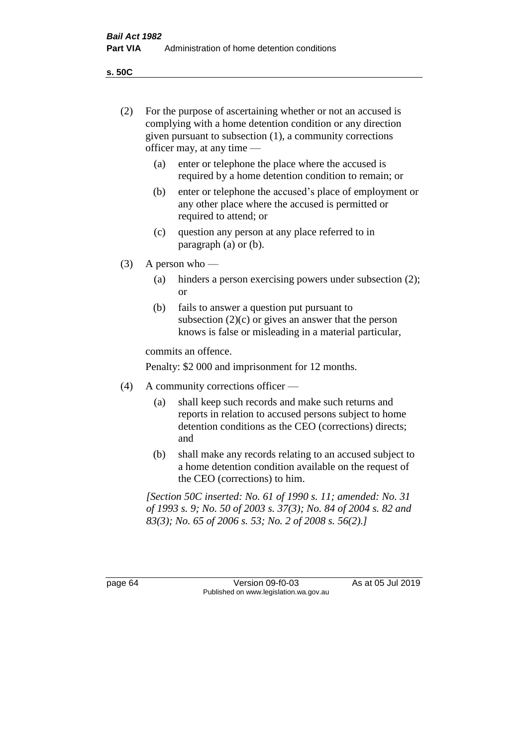(2) For the purpose of ascertaining whether or not an accused is

**s. 50C**

|         |                                                                                                                                                                                          | complying with a home detention condition or any direction<br>given pursuant to subsection (1), a community corrections<br>officer may, at any time $-$                      |  |
|---------|------------------------------------------------------------------------------------------------------------------------------------------------------------------------------------------|------------------------------------------------------------------------------------------------------------------------------------------------------------------------------|--|
|         | (a)                                                                                                                                                                                      | enter or telephone the place where the accused is<br>required by a home detention condition to remain; or                                                                    |  |
|         | (b)                                                                                                                                                                                      | enter or telephone the accused's place of employment or<br>any other place where the accused is permitted or<br>required to attend; or                                       |  |
|         | (c)                                                                                                                                                                                      | question any person at any place referred to in<br>paragraph $(a)$ or $(b)$ .                                                                                                |  |
| (3)     | A person who $-$                                                                                                                                                                         |                                                                                                                                                                              |  |
|         | (a)                                                                                                                                                                                      | hinders a person exercising powers under subsection (2);<br><b>or</b>                                                                                                        |  |
|         | (b)                                                                                                                                                                                      | fails to answer a question put pursuant to<br>subsection $(2)(c)$ or gives an answer that the person<br>knows is false or misleading in a material particular,               |  |
|         |                                                                                                                                                                                          | commits an offence.                                                                                                                                                          |  |
|         |                                                                                                                                                                                          | Penalty: \$2 000 and imprisonment for 12 months.                                                                                                                             |  |
| (4)     | A community corrections officer —                                                                                                                                                        |                                                                                                                                                                              |  |
|         | (a)                                                                                                                                                                                      | shall keep such records and make such returns and<br>reports in relation to accused persons subject to home<br>detention conditions as the CEO (corrections) directs;<br>and |  |
|         | (b)                                                                                                                                                                                      | shall make any records relating to an accused subject to<br>a home detention condition available on the request of<br>the CEO (corrections) to him.                          |  |
|         | [Section 50C inserted: No. 61 of 1990 s. 11; amended: No. 31<br>of 1993 s. 9; No. 50 of 2003 s. 37(3); No. 84 of 2004 s. 82 and<br>83(3); No. 65 of 2006 s. 53; No. 2 of 2008 s. 56(2).] |                                                                                                                                                                              |  |
|         |                                                                                                                                                                                          |                                                                                                                                                                              |  |
| page 64 |                                                                                                                                                                                          | As at 05 Jul 2019<br>Version 09-f0-03<br>Published on www.legislation.wa.gov.au                                                                                              |  |
|         |                                                                                                                                                                                          |                                                                                                                                                                              |  |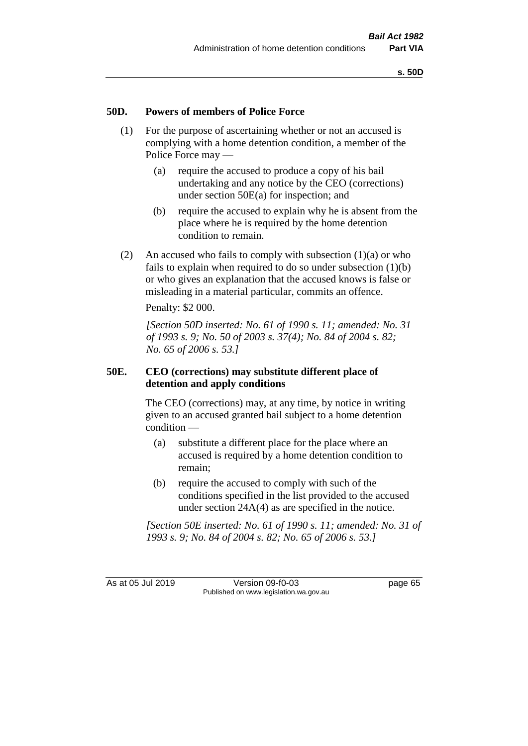#### **50D. Powers of members of Police Force**

- (1) For the purpose of ascertaining whether or not an accused is complying with a home detention condition, a member of the Police Force may —
	- (a) require the accused to produce a copy of his bail undertaking and any notice by the CEO (corrections) under section 50E(a) for inspection; and
	- (b) require the accused to explain why he is absent from the place where he is required by the home detention condition to remain.
- (2) An accused who fails to comply with subsection  $(1)(a)$  or who fails to explain when required to do so under subsection  $(1)(b)$ or who gives an explanation that the accused knows is false or misleading in a material particular, commits an offence.

Penalty: \$2 000.

*[Section 50D inserted: No. 61 of 1990 s. 11; amended: No. 31 of 1993 s. 9; No. 50 of 2003 s. 37(4); No. 84 of 2004 s. 82; No. 65 of 2006 s. 53.]* 

#### **50E. CEO (corrections) may substitute different place of detention and apply conditions**

The CEO (corrections) may, at any time, by notice in writing given to an accused granted bail subject to a home detention condition —

- (a) substitute a different place for the place where an accused is required by a home detention condition to remain;
- (b) require the accused to comply with such of the conditions specified in the list provided to the accused under section 24A(4) as are specified in the notice.

*[Section 50E inserted: No. 61 of 1990 s. 11; amended: No. 31 of 1993 s. 9; No. 84 of 2004 s. 82; No. 65 of 2006 s. 53.]* 

As at 05 Jul 2019 Version 09-f0-03 page 65 Published on www.legislation.wa.gov.au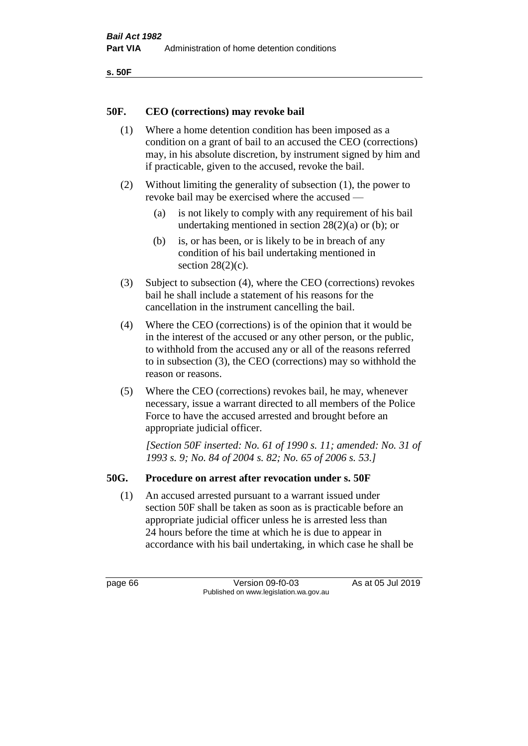```
s. 50F
```
#### **50F. CEO (corrections) may revoke bail**

- (1) Where a home detention condition has been imposed as a condition on a grant of bail to an accused the CEO (corrections) may, in his absolute discretion, by instrument signed by him and if practicable, given to the accused, revoke the bail.
- (2) Without limiting the generality of subsection (1), the power to revoke bail may be exercised where the accused —
	- (a) is not likely to comply with any requirement of his bail undertaking mentioned in section 28(2)(a) or (b); or
	- (b) is, or has been, or is likely to be in breach of any condition of his bail undertaking mentioned in section  $28(2)(c)$ .
- (3) Subject to subsection (4), where the CEO (corrections) revokes bail he shall include a statement of his reasons for the cancellation in the instrument cancelling the bail.
- (4) Where the CEO (corrections) is of the opinion that it would be in the interest of the accused or any other person, or the public, to withhold from the accused any or all of the reasons referred to in subsection (3), the CEO (corrections) may so withhold the reason or reasons.
- (5) Where the CEO (corrections) revokes bail, he may, whenever necessary, issue a warrant directed to all members of the Police Force to have the accused arrested and brought before an appropriate judicial officer.

*[Section 50F inserted: No. 61 of 1990 s. 11; amended: No. 31 of 1993 s. 9; No. 84 of 2004 s. 82; No. 65 of 2006 s. 53.]* 

# **50G. Procedure on arrest after revocation under s. 50F**

(1) An accused arrested pursuant to a warrant issued under section 50F shall be taken as soon as is practicable before an appropriate judicial officer unless he is arrested less than 24 hours before the time at which he is due to appear in accordance with his bail undertaking, in which case he shall be

page 66 Version 09-f0-03 As at 05 Jul 2019 Published on www.legislation.wa.gov.au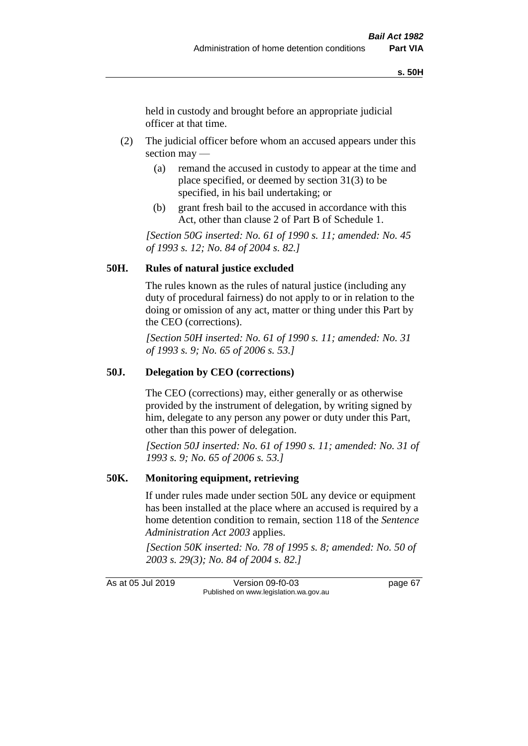held in custody and brought before an appropriate judicial officer at that time.

- (2) The judicial officer before whom an accused appears under this section may —
	- (a) remand the accused in custody to appear at the time and place specified, or deemed by section 31(3) to be specified, in his bail undertaking; or
	- (b) grant fresh bail to the accused in accordance with this Act, other than clause 2 of Part B of Schedule 1.

*[Section 50G inserted: No. 61 of 1990 s. 11; amended: No. 45 of 1993 s. 12; No. 84 of 2004 s. 82.]* 

#### **50H. Rules of natural justice excluded**

The rules known as the rules of natural justice (including any duty of procedural fairness) do not apply to or in relation to the doing or omission of any act, matter or thing under this Part by the CEO (corrections).

*[Section 50H inserted: No. 61 of 1990 s. 11; amended: No. 31 of 1993 s. 9; No. 65 of 2006 s. 53.]* 

#### **50J. Delegation by CEO (corrections)**

The CEO (corrections) may, either generally or as otherwise provided by the instrument of delegation, by writing signed by him, delegate to any person any power or duty under this Part, other than this power of delegation.

*[Section 50J inserted: No. 61 of 1990 s. 11; amended: No. 31 of 1993 s. 9; No. 65 of 2006 s. 53.]* 

#### **50K. Monitoring equipment, retrieving**

If under rules made under section 50L any device or equipment has been installed at the place where an accused is required by a home detention condition to remain, section 118 of the *Sentence Administration Act 2003* applies.

*[Section 50K inserted: No. 78 of 1995 s. 8; amended: No. 50 of 2003 s. 29(3); No. 84 of 2004 s. 82.]* 

As at 05 Jul 2019 Version 09-f0-03 page 67 Published on www.legislation.wa.gov.au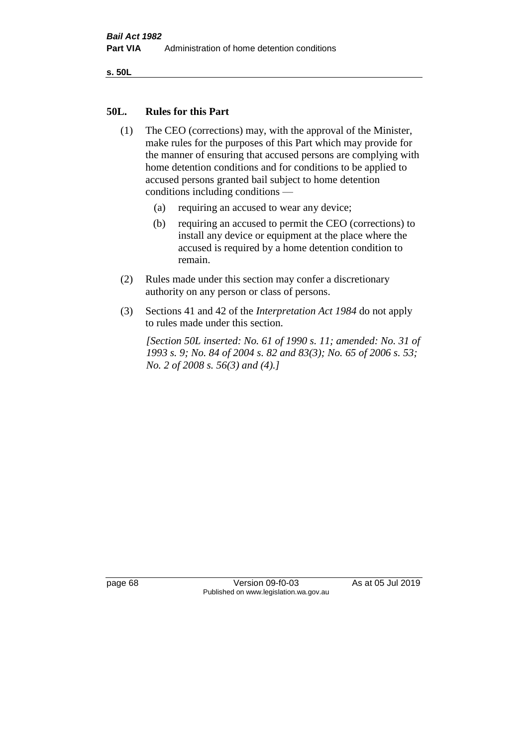**s. 50L**

#### **50L. Rules for this Part**

- (1) The CEO (corrections) may, with the approval of the Minister, make rules for the purposes of this Part which may provide for the manner of ensuring that accused persons are complying with home detention conditions and for conditions to be applied to accused persons granted bail subject to home detention conditions including conditions —
	- (a) requiring an accused to wear any device;
	- (b) requiring an accused to permit the CEO (corrections) to install any device or equipment at the place where the accused is required by a home detention condition to remain.
- (2) Rules made under this section may confer a discretionary authority on any person or class of persons.
- (3) Sections 41 and 42 of the *Interpretation Act 1984* do not apply to rules made under this section.

*[Section 50L inserted: No. 61 of 1990 s. 11; amended: No. 31 of 1993 s. 9; No. 84 of 2004 s. 82 and 83(3); No. 65 of 2006 s. 53; No. 2 of 2008 s. 56(3) and (4).]* 

page 68 Version 09-f0-03 As at 05 Jul 2019 Published on www.legislation.wa.gov.au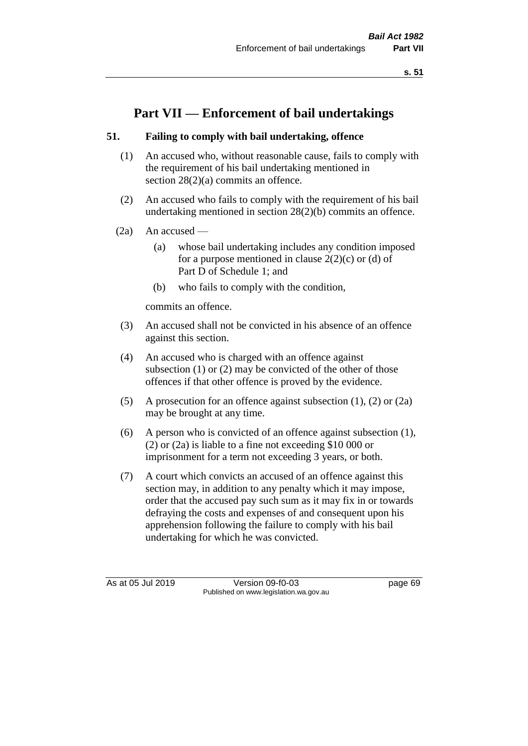**s. 51**

# **Part VII — Enforcement of bail undertakings**

# **51. Failing to comply with bail undertaking, offence**

- (1) An accused who, without reasonable cause, fails to comply with the requirement of his bail undertaking mentioned in section 28(2)(a) commits an offence.
- (2) An accused who fails to comply with the requirement of his bail undertaking mentioned in section 28(2)(b) commits an offence.
- $(2a)$  An accused
	- (a) whose bail undertaking includes any condition imposed for a purpose mentioned in clause  $2(2)(c)$  or (d) of Part D of Schedule 1; and
	- (b) who fails to comply with the condition,

commits an offence.

- (3) An accused shall not be convicted in his absence of an offence against this section.
- (4) An accused who is charged with an offence against subsection (1) or (2) may be convicted of the other of those offences if that other offence is proved by the evidence.
- (5) A prosecution for an offence against subsection (1), (2) or (2a) may be brought at any time.
- (6) A person who is convicted of an offence against subsection (1), (2) or (2a) is liable to a fine not exceeding \$10 000 or imprisonment for a term not exceeding 3 years, or both.
- (7) A court which convicts an accused of an offence against this section may, in addition to any penalty which it may impose, order that the accused pay such sum as it may fix in or towards defraying the costs and expenses of and consequent upon his apprehension following the failure to comply with his bail undertaking for which he was convicted.

As at 05 Jul 2019 Version 09-f0-03 page 69 Published on www.legislation.wa.gov.au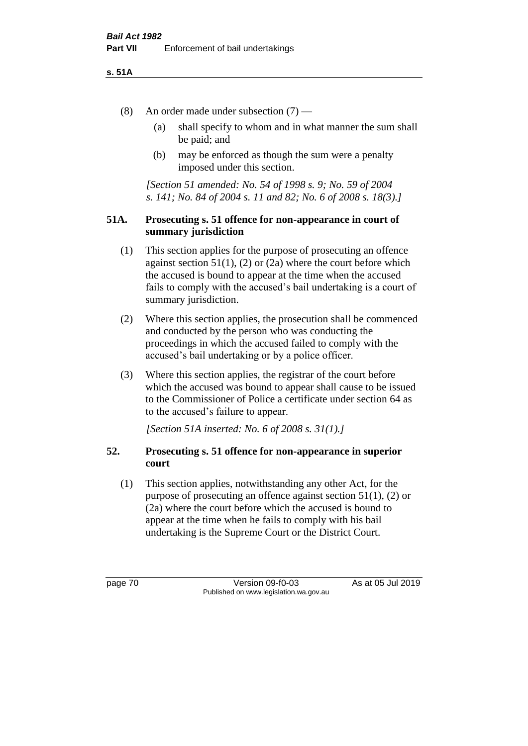#### **s. 51A**

- (8) An order made under subsection (7)
	- (a) shall specify to whom and in what manner the sum shall be paid; and
	- (b) may be enforced as though the sum were a penalty imposed under this section.

*[Section 51 amended: No. 54 of 1998 s. 9; No. 59 of 2004 s. 141; No. 84 of 2004 s. 11 and 82; No. 6 of 2008 s. 18(3).]*

#### **51A. Prosecuting s. 51 offence for non-appearance in court of summary jurisdiction**

- (1) This section applies for the purpose of prosecuting an offence against section  $51(1)$ , (2) or (2a) where the court before which the accused is bound to appear at the time when the accused fails to comply with the accused's bail undertaking is a court of summary jurisdiction.
- (2) Where this section applies, the prosecution shall be commenced and conducted by the person who was conducting the proceedings in which the accused failed to comply with the accused's bail undertaking or by a police officer.
- (3) Where this section applies, the registrar of the court before which the accused was bound to appear shall cause to be issued to the Commissioner of Police a certificate under section 64 as to the accused's failure to appear.

*[Section 51A inserted: No. 6 of 2008 s. 31(1).]*

# **52. Prosecuting s. 51 offence for non-appearance in superior court**

(1) This section applies, notwithstanding any other Act, for the purpose of prosecuting an offence against section 51(1), (2) or (2a) where the court before which the accused is bound to appear at the time when he fails to comply with his bail undertaking is the Supreme Court or the District Court.

page 70 Version 09-f0-03 As at 05 Jul 2019 Published on www.legislation.wa.gov.au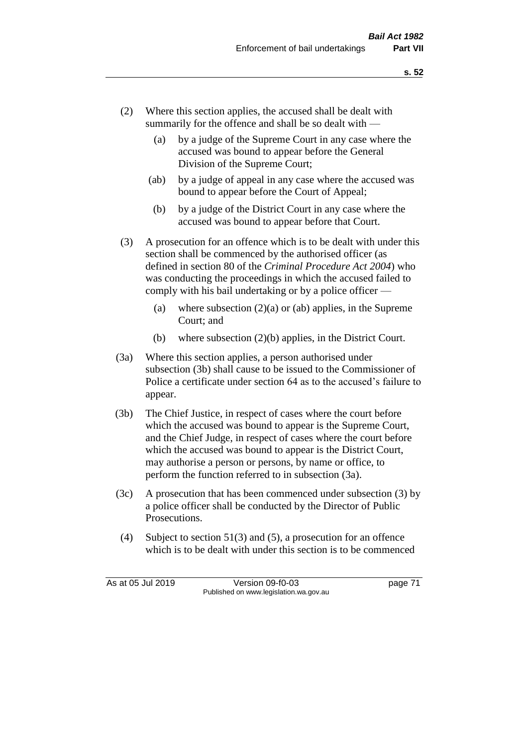- (2) Where this section applies, the accused shall be dealt with summarily for the offence and shall be so dealt with —
	- (a) by a judge of the Supreme Court in any case where the accused was bound to appear before the General Division of the Supreme Court;
	- (ab) by a judge of appeal in any case where the accused was bound to appear before the Court of Appeal;
	- (b) by a judge of the District Court in any case where the accused was bound to appear before that Court.
- (3) A prosecution for an offence which is to be dealt with under this section shall be commenced by the authorised officer (as defined in section 80 of the *Criminal Procedure Act 2004*) who was conducting the proceedings in which the accused failed to comply with his bail undertaking or by a police officer —
	- (a) where subsection  $(2)(a)$  or (ab) applies, in the Supreme Court; and
	- (b) where subsection (2)(b) applies, in the District Court.
- (3a) Where this section applies, a person authorised under subsection (3b) shall cause to be issued to the Commissioner of Police a certificate under section 64 as to the accused's failure to appear.
- (3b) The Chief Justice, in respect of cases where the court before which the accused was bound to appear is the Supreme Court, and the Chief Judge, in respect of cases where the court before which the accused was bound to appear is the District Court, may authorise a person or persons, by name or office, to perform the function referred to in subsection (3a).
- (3c) A prosecution that has been commenced under subsection (3) by a police officer shall be conducted by the Director of Public Prosecutions.
- (4) Subject to section 51(3) and (5), a prosecution for an offence which is to be dealt with under this section is to be commenced

As at 05 Jul 2019 Version 09-f0-03 page 71 Published on www.legislation.wa.gov.au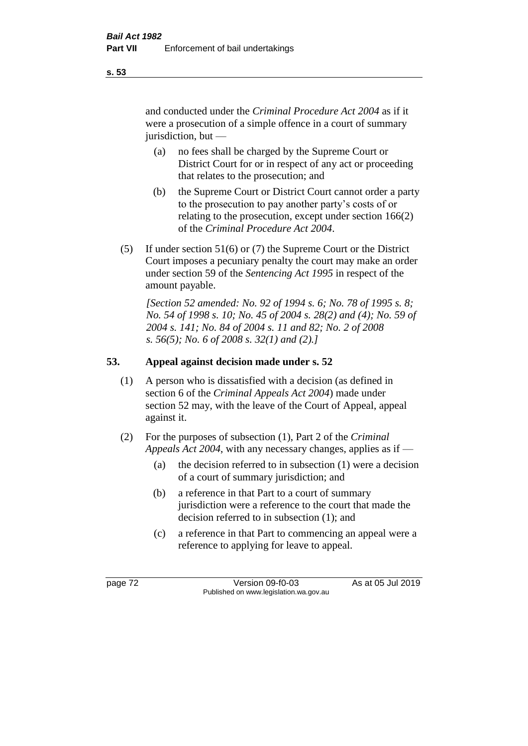and conducted under the *Criminal Procedure Act 2004* as if it were a prosecution of a simple offence in a court of summary jurisdiction, but —

- (a) no fees shall be charged by the Supreme Court or District Court for or in respect of any act or proceeding that relates to the prosecution; and
- (b) the Supreme Court or District Court cannot order a party to the prosecution to pay another party's costs of or relating to the prosecution, except under section 166(2) of the *Criminal Procedure Act 2004*.
- (5) If under section 51(6) or (7) the Supreme Court or the District Court imposes a pecuniary penalty the court may make an order under section 59 of the *Sentencing Act 1995* in respect of the amount payable.

*[Section 52 amended: No. 92 of 1994 s. 6; No. 78 of 1995 s. 8; No. 54 of 1998 s. 10; No. 45 of 2004 s. 28(2) and (4); No. 59 of 2004 s. 141; No. 84 of 2004 s. 11 and 82; No. 2 of 2008 s. 56(5); No. 6 of 2008 s. 32(1) and (2).]* 

# **53. Appeal against decision made under s. 52**

- (1) A person who is dissatisfied with a decision (as defined in section 6 of the *Criminal Appeals Act 2004*) made under section 52 may, with the leave of the Court of Appeal, appeal against it.
- (2) For the purposes of subsection (1), Part 2 of the *Criminal Appeals Act 2004*, with any necessary changes, applies as if —
	- (a) the decision referred to in subsection (1) were a decision of a court of summary jurisdiction; and
	- (b) a reference in that Part to a court of summary jurisdiction were a reference to the court that made the decision referred to in subsection (1); and
	- (c) a reference in that Part to commencing an appeal were a reference to applying for leave to appeal.

page 72 Version 09-f0-03 As at 05 Jul 2019 Published on www.legislation.wa.gov.au

**s. 53**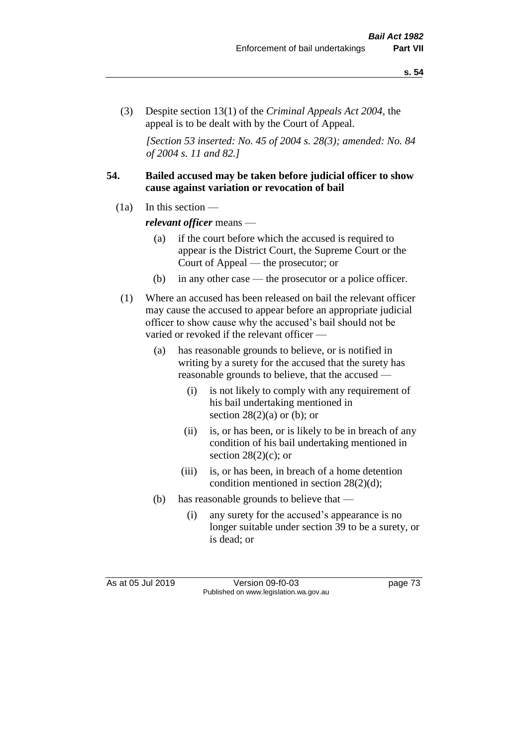(3) Despite section 13(1) of the *Criminal Appeals Act 2004*, the appeal is to be dealt with by the Court of Appeal.

*[Section 53 inserted: No. 45 of 2004 s. 28(3); amended: No. 84 of 2004 s. 11 and 82.]*

#### **54. Bailed accused may be taken before judicial officer to show cause against variation or revocation of bail**

 $(1a)$  In this section —

*relevant officer* means —

- (a) if the court before which the accused is required to appear is the District Court, the Supreme Court or the Court of Appeal — the prosecutor; or
- (b) in any other case the prosecutor or a police officer.
- (1) Where an accused has been released on bail the relevant officer may cause the accused to appear before an appropriate judicial officer to show cause why the accused's bail should not be varied or revoked if the relevant officer —
	- (a) has reasonable grounds to believe, or is notified in writing by a surety for the accused that the surety has reasonable grounds to believe, that the accused —
		- (i) is not likely to comply with any requirement of his bail undertaking mentioned in section  $28(2)(a)$  or (b); or
		- (ii) is, or has been, or is likely to be in breach of any condition of his bail undertaking mentioned in section  $28(2)(c)$ ; or
		- (iii) is, or has been, in breach of a home detention condition mentioned in section 28(2)(d);
	- (b) has reasonable grounds to believe that
		- (i) any surety for the accused's appearance is no longer suitable under section 39 to be a surety, or is dead; or

As at 05 Jul 2019 Version 09-f0-03 page 73 Published on www.legislation.wa.gov.au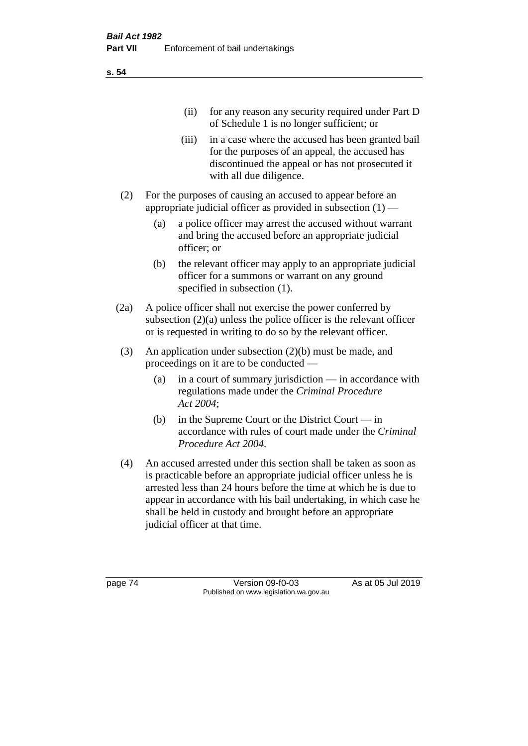(ii) for any reason any security required under Part D of Schedule 1 is no longer sufficient; or

- (iii) in a case where the accused has been granted bail for the purposes of an appeal, the accused has discontinued the appeal or has not prosecuted it with all due diligence.
- (2) For the purposes of causing an accused to appear before an appropriate judicial officer as provided in subsection  $(1)$  —
	- (a) a police officer may arrest the accused without warrant and bring the accused before an appropriate judicial officer; or
	- (b) the relevant officer may apply to an appropriate judicial officer for a summons or warrant on any ground specified in subsection (1).
- (2a) A police officer shall not exercise the power conferred by subsection (2)(a) unless the police officer is the relevant officer or is requested in writing to do so by the relevant officer.
- (3) An application under subsection (2)(b) must be made, and proceedings on it are to be conducted —
	- (a) in a court of summary jurisdiction in accordance with regulations made under the *Criminal Procedure Act 2004*;
	- (b) in the Supreme Court or the District Court  $-\text{in}$ accordance with rules of court made under the *Criminal Procedure Act 2004*.
- (4) An accused arrested under this section shall be taken as soon as is practicable before an appropriate judicial officer unless he is arrested less than 24 hours before the time at which he is due to appear in accordance with his bail undertaking, in which case he shall be held in custody and brought before an appropriate judicial officer at that time.

page 74 Version 09-f0-03 As at 05 Jul 2019 Published on www.legislation.wa.gov.au

**s. 54**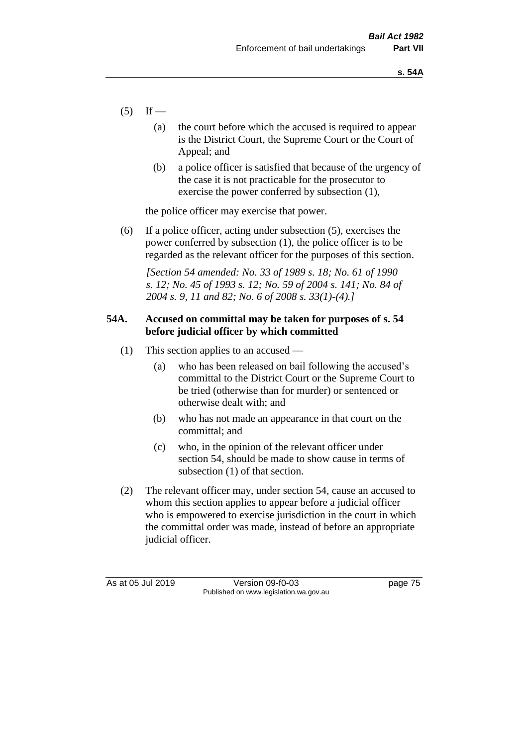- $(5)$  If
	- (a) the court before which the accused is required to appear is the District Court, the Supreme Court or the Court of Appeal; and
	- (b) a police officer is satisfied that because of the urgency of the case it is not practicable for the prosecutor to exercise the power conferred by subsection (1),

the police officer may exercise that power.

(6) If a police officer, acting under subsection (5), exercises the power conferred by subsection (1), the police officer is to be regarded as the relevant officer for the purposes of this section.

*[Section 54 amended: No. 33 of 1989 s. 18; No. 61 of 1990 s. 12; No. 45 of 1993 s. 12; No. 59 of 2004 s. 141; No. 84 of 2004 s. 9, 11 and 82; No. 6 of 2008 s. 33(1)-(4).]* 

# **54A. Accused on committal may be taken for purposes of s. 54 before judicial officer by which committed**

- (1) This section applies to an accused
	- (a) who has been released on bail following the accused's committal to the District Court or the Supreme Court to be tried (otherwise than for murder) or sentenced or otherwise dealt with; and
	- (b) who has not made an appearance in that court on the committal; and
	- (c) who, in the opinion of the relevant officer under section 54, should be made to show cause in terms of subsection (1) of that section.
- (2) The relevant officer may, under section 54, cause an accused to whom this section applies to appear before a judicial officer who is empowered to exercise jurisdiction in the court in which the committal order was made, instead of before an appropriate judicial officer.

As at 05 Jul 2019 Version 09-f0-03 page 75 Published on www.legislation.wa.gov.au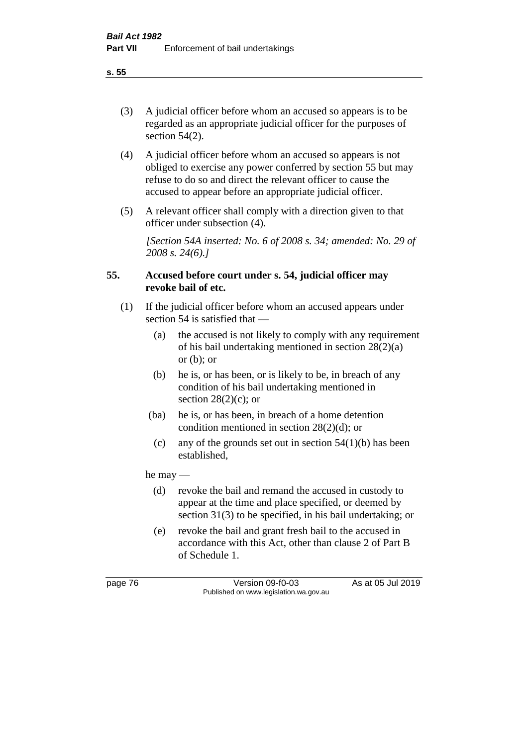(3) A judicial officer before whom an accused so appears is to be regarded as an appropriate judicial officer for the purposes of section 54(2).

- (4) A judicial officer before whom an accused so appears is not obliged to exercise any power conferred by section 55 but may refuse to do so and direct the relevant officer to cause the accused to appear before an appropriate judicial officer.
- (5) A relevant officer shall comply with a direction given to that officer under subsection (4).

*[Section 54A inserted: No. 6 of 2008 s. 34; amended: No. 29 of 2008 s. 24(6).]*

# **55. Accused before court under s. 54, judicial officer may revoke bail of etc.**

- (1) If the judicial officer before whom an accused appears under section 54 is satisfied that —
	- (a) the accused is not likely to comply with any requirement of his bail undertaking mentioned in section 28(2)(a) or  $(b)$ ; or
	- (b) he is, or has been, or is likely to be, in breach of any condition of his bail undertaking mentioned in section  $28(2)(c)$ ; or
	- (ba) he is, or has been, in breach of a home detention condition mentioned in section 28(2)(d); or
	- (c) any of the grounds set out in section  $54(1)(b)$  has been established,

he may —

- (d) revoke the bail and remand the accused in custody to appear at the time and place specified, or deemed by section 31(3) to be specified, in his bail undertaking; or
- (e) revoke the bail and grant fresh bail to the accused in accordance with this Act, other than clause 2 of Part B of Schedule 1.

page 76 Version 09-f0-03 As at 05 Jul 2019 Published on www.legislation.wa.gov.au

**s. 55**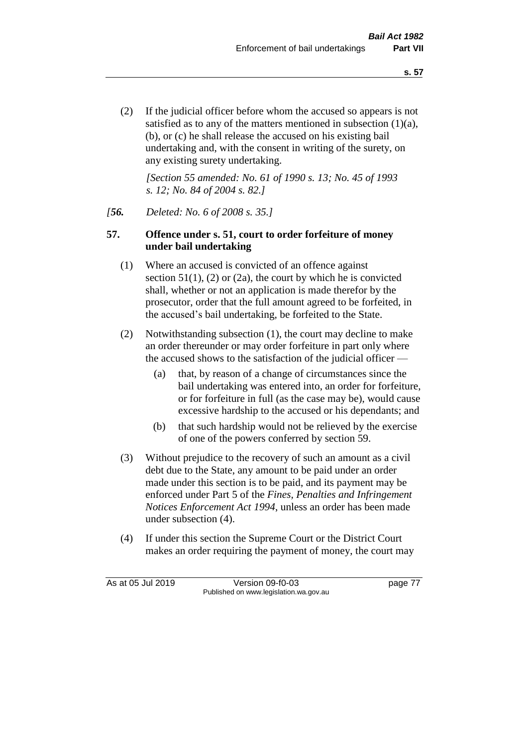(2) If the judicial officer before whom the accused so appears is not satisfied as to any of the matters mentioned in subsection (1)(a), (b), or (c) he shall release the accused on his existing bail undertaking and, with the consent in writing of the surety, on any existing surety undertaking.

*[Section 55 amended: No. 61 of 1990 s. 13; No. 45 of 1993 s. 12; No. 84 of 2004 s. 82.]* 

#### *[56. Deleted: No. 6 of 2008 s. 35.]*

# **57. Offence under s. 51, court to order forfeiture of money under bail undertaking**

- (1) Where an accused is convicted of an offence against section  $51(1)$ ,  $(2)$  or  $(2a)$ , the court by which he is convicted shall, whether or not an application is made therefor by the prosecutor, order that the full amount agreed to be forfeited, in the accused's bail undertaking, be forfeited to the State.
- (2) Notwithstanding subsection (1), the court may decline to make an order thereunder or may order forfeiture in part only where the accused shows to the satisfaction of the judicial officer —
	- (a) that, by reason of a change of circumstances since the bail undertaking was entered into, an order for forfeiture, or for forfeiture in full (as the case may be), would cause excessive hardship to the accused or his dependants; and
	- (b) that such hardship would not be relieved by the exercise of one of the powers conferred by section 59.
- (3) Without prejudice to the recovery of such an amount as a civil debt due to the State, any amount to be paid under an order made under this section is to be paid, and its payment may be enforced under Part 5 of the *Fines, Penalties and Infringement Notices Enforcement Act 1994*, unless an order has been made under subsection (4).
- (4) If under this section the Supreme Court or the District Court makes an order requiring the payment of money, the court may

As at 05 Jul 2019 Version 09-f0-03 page 77 Published on www.legislation.wa.gov.au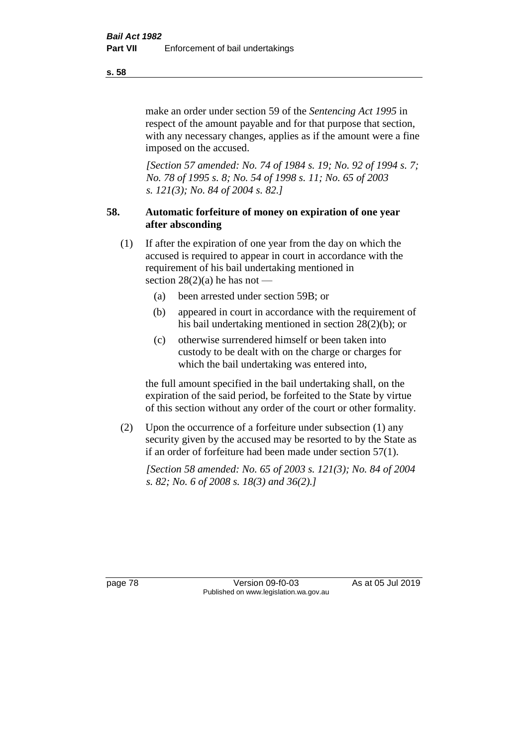make an order under section 59 of the *Sentencing Act 1995* in respect of the amount payable and for that purpose that section, with any necessary changes, applies as if the amount were a fine imposed on the accused.

*[Section 57 amended: No. 74 of 1984 s. 19; No. 92 of 1994 s. 7; No. 78 of 1995 s. 8; No. 54 of 1998 s. 11; No. 65 of 2003 s. 121(3); No. 84 of 2004 s. 82.]* 

# **58. Automatic forfeiture of money on expiration of one year after absconding**

- (1) If after the expiration of one year from the day on which the accused is required to appear in court in accordance with the requirement of his bail undertaking mentioned in section  $28(2)(a)$  he has not —
	- (a) been arrested under section 59B; or
	- (b) appeared in court in accordance with the requirement of his bail undertaking mentioned in section 28(2)(b); or
	- (c) otherwise surrendered himself or been taken into custody to be dealt with on the charge or charges for which the bail undertaking was entered into,

the full amount specified in the bail undertaking shall, on the expiration of the said period, be forfeited to the State by virtue of this section without any order of the court or other formality.

(2) Upon the occurrence of a forfeiture under subsection (1) any security given by the accused may be resorted to by the State as if an order of forfeiture had been made under section 57(1).

*[Section 58 amended: No. 65 of 2003 s. 121(3); No. 84 of 2004 s. 82; No. 6 of 2008 s. 18(3) and 36(2).]*

page 78 Version 09-f0-03 As at 05 Jul 2019 Published on www.legislation.wa.gov.au

**s. 58**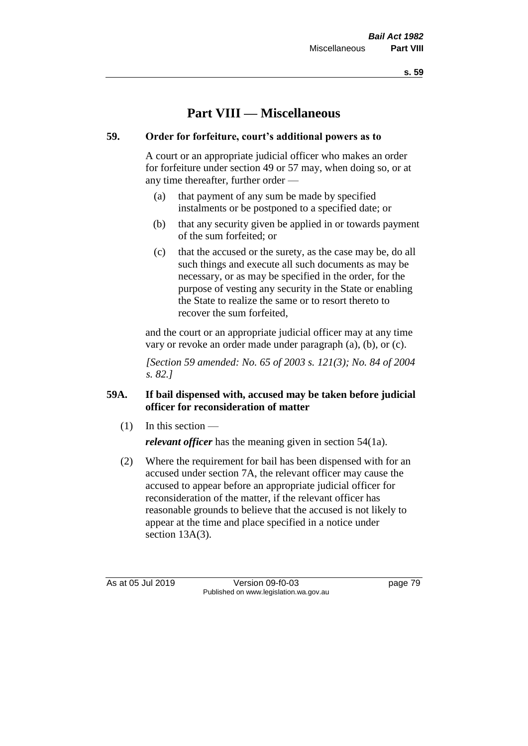**s. 59**

# **Part VIII — Miscellaneous**

# **59. Order for forfeiture, court's additional powers as to**

A court or an appropriate judicial officer who makes an order for forfeiture under section 49 or 57 may, when doing so, or at any time thereafter, further order —

- (a) that payment of any sum be made by specified instalments or be postponed to a specified date; or
- (b) that any security given be applied in or towards payment of the sum forfeited; or
- (c) that the accused or the surety, as the case may be, do all such things and execute all such documents as may be necessary, or as may be specified in the order, for the purpose of vesting any security in the State or enabling the State to realize the same or to resort thereto to recover the sum forfeited,

and the court or an appropriate judicial officer may at any time vary or revoke an order made under paragraph (a), (b), or (c).

*[Section 59 amended: No. 65 of 2003 s. 121(3); No. 84 of 2004 s. 82.]*

# **59A. If bail dispensed with, accused may be taken before judicial officer for reconsideration of matter**

 $(1)$  In this section —

*relevant officer* has the meaning given in section 54(1a).

(2) Where the requirement for bail has been dispensed with for an accused under section 7A, the relevant officer may cause the accused to appear before an appropriate judicial officer for reconsideration of the matter, if the relevant officer has reasonable grounds to believe that the accused is not likely to appear at the time and place specified in a notice under section 13A(3).

As at 05 Jul 2019 Version 09-f0-03 page 79 Published on www.legislation.wa.gov.au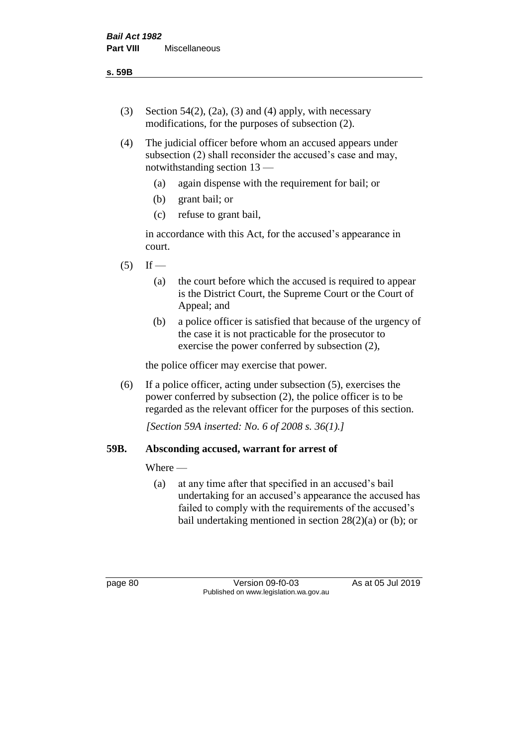- (3) Section 54(2), (2a), (3) and (4) apply, with necessary modifications, for the purposes of subsection (2).
- (4) The judicial officer before whom an accused appears under subsection (2) shall reconsider the accused's case and may, notwithstanding section 13 —
	- (a) again dispense with the requirement for bail; or
	- (b) grant bail; or
	- (c) refuse to grant bail,

in accordance with this Act, for the accused's appearance in court.

- $(5)$  If
	- (a) the court before which the accused is required to appear is the District Court, the Supreme Court or the Court of Appeal; and
	- (b) a police officer is satisfied that because of the urgency of the case it is not practicable for the prosecutor to exercise the power conferred by subsection (2),

the police officer may exercise that power.

(6) If a police officer, acting under subsection (5), exercises the power conferred by subsection (2), the police officer is to be regarded as the relevant officer for the purposes of this section.

*[Section 59A inserted: No. 6 of 2008 s. 36(1).]*

#### **59B. Absconding accused, warrant for arrest of**

Where —

(a) at any time after that specified in an accused's bail undertaking for an accused's appearance the accused has failed to comply with the requirements of the accused's bail undertaking mentioned in section  $28(2)(a)$  or (b); or

page 80 Version 09-f0-03 As at 05 Jul 2019 Published on www.legislation.wa.gov.au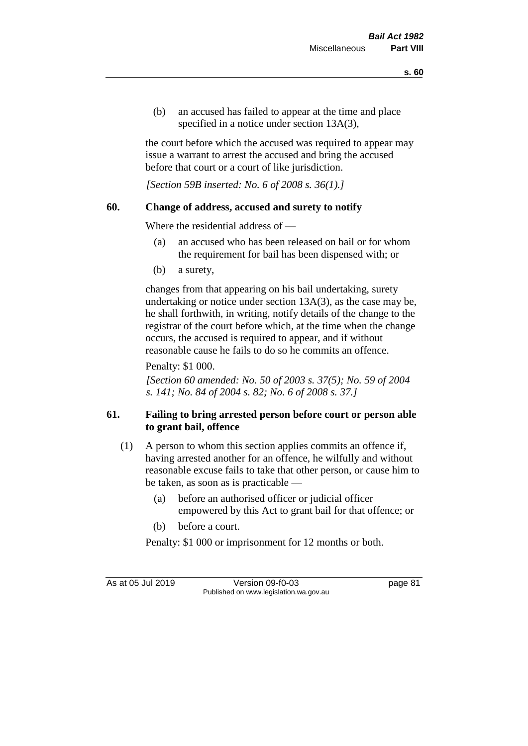(b) an accused has failed to appear at the time and place specified in a notice under section 13A(3),

the court before which the accused was required to appear may issue a warrant to arrest the accused and bring the accused before that court or a court of like jurisdiction.

*[Section 59B inserted: No. 6 of 2008 s. 36(1).]*

# **60. Change of address, accused and surety to notify**

Where the residential address of —

- (a) an accused who has been released on bail or for whom the requirement for bail has been dispensed with; or
- (b) a surety,

changes from that appearing on his bail undertaking, surety undertaking or notice under section 13A(3), as the case may be, he shall forthwith, in writing, notify details of the change to the registrar of the court before which, at the time when the change occurs, the accused is required to appear, and if without reasonable cause he fails to do so he commits an offence.

Penalty: \$1 000.

*[Section 60 amended: No. 50 of 2003 s. 37(5); No. 59 of 2004 s. 141; No. 84 of 2004 s. 82; No. 6 of 2008 s. 37.]*

# **61. Failing to bring arrested person before court or person able to grant bail, offence**

- (1) A person to whom this section applies commits an offence if, having arrested another for an offence, he wilfully and without reasonable excuse fails to take that other person, or cause him to be taken, as soon as is practicable —
	- (a) before an authorised officer or judicial officer empowered by this Act to grant bail for that offence; or
	- (b) before a court.

Penalty: \$1 000 or imprisonment for 12 months or both.

As at 05 Jul 2019 Version 09-f0-03 page 81 Published on www.legislation.wa.gov.au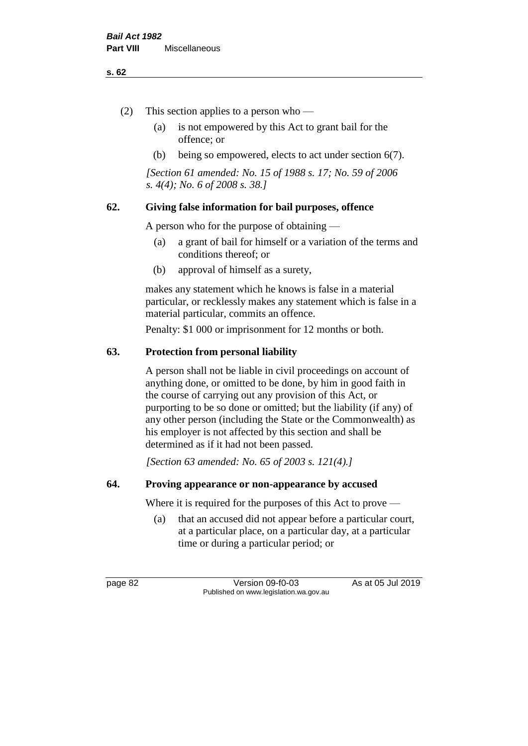#### **s. 62**

- (2) This section applies to a person who
	- (a) is not empowered by this Act to grant bail for the offence; or
	- (b) being so empowered, elects to act under section 6(7).

*[Section 61 amended: No. 15 of 1988 s. 17; No. 59 of 2006 s. 4(4); No. 6 of 2008 s. 38.]* 

# **62. Giving false information for bail purposes, offence**

A person who for the purpose of obtaining —

- (a) a grant of bail for himself or a variation of the terms and conditions thereof; or
- (b) approval of himself as a surety,

makes any statement which he knows is false in a material particular, or recklessly makes any statement which is false in a material particular, commits an offence.

Penalty: \$1 000 or imprisonment for 12 months or both.

# **63. Protection from personal liability**

A person shall not be liable in civil proceedings on account of anything done, or omitted to be done, by him in good faith in the course of carrying out any provision of this Act, or purporting to be so done or omitted; but the liability (if any) of any other person (including the State or the Commonwealth) as his employer is not affected by this section and shall be determined as if it had not been passed.

*[Section 63 amended: No. 65 of 2003 s. 121(4).]*

#### **64. Proving appearance or non-appearance by accused**

Where it is required for the purposes of this Act to prove —

(a) that an accused did not appear before a particular court, at a particular place, on a particular day, at a particular time or during a particular period; or

page 82 Version 09-f0-03 As at 05 Jul 2019 Published on www.legislation.wa.gov.au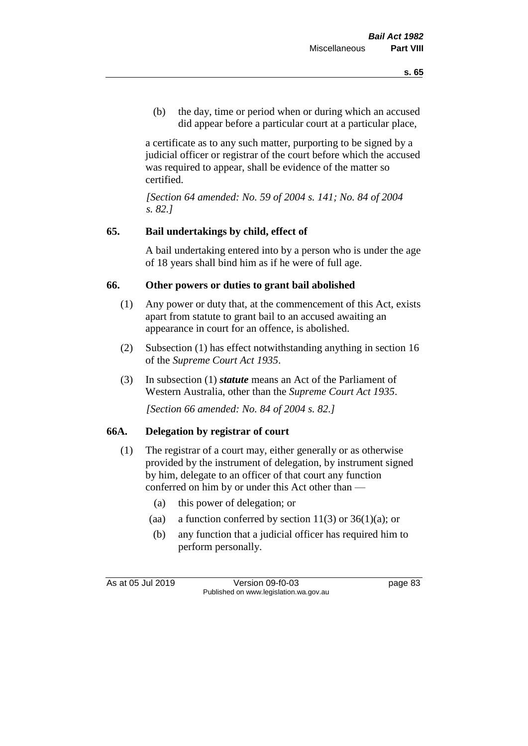(b) the day, time or period when or during which an accused did appear before a particular court at a particular place,

a certificate as to any such matter, purporting to be signed by a judicial officer or registrar of the court before which the accused was required to appear, shall be evidence of the matter so certified.

*[Section 64 amended: No. 59 of 2004 s. 141; No. 84 of 2004 s. 82.]* 

# **65. Bail undertakings by child, effect of**

A bail undertaking entered into by a person who is under the age of 18 years shall bind him as if he were of full age.

# **66. Other powers or duties to grant bail abolished**

- (1) Any power or duty that, at the commencement of this Act, exists apart from statute to grant bail to an accused awaiting an appearance in court for an offence, is abolished.
- (2) Subsection (1) has effect notwithstanding anything in section 16 of the *Supreme Court Act 1935*.
- (3) In subsection (1) *statute* means an Act of the Parliament of Western Australia, other than the *Supreme Court Act 1935*.

*[Section 66 amended: No. 84 of 2004 s. 82.]*

#### **66A. Delegation by registrar of court**

- (1) The registrar of a court may, either generally or as otherwise provided by the instrument of delegation, by instrument signed by him, delegate to an officer of that court any function conferred on him by or under this Act other than —
	- (a) this power of delegation; or
	- (aa) a function conferred by section  $11(3)$  or  $36(1)(a)$ ; or
	- (b) any function that a judicial officer has required him to perform personally.

As at 05 Jul 2019 Version 09-f0-03 page 83 Published on www.legislation.wa.gov.au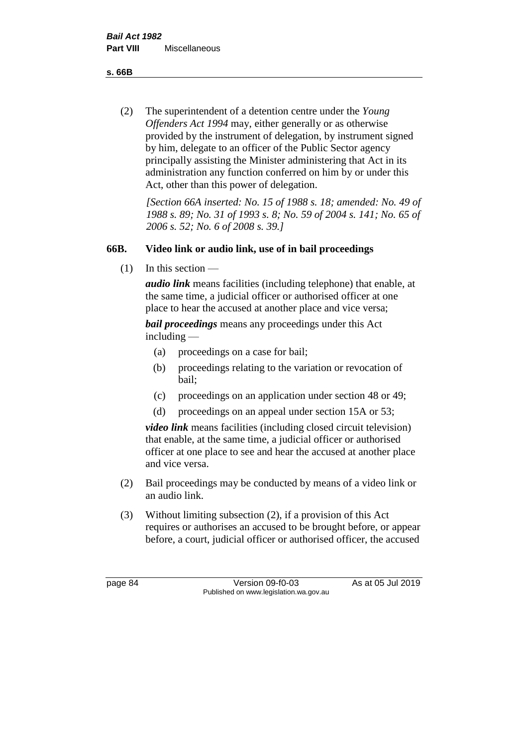**s. 66B**

(2) The superintendent of a detention centre under the *Young Offenders Act 1994* may, either generally or as otherwise provided by the instrument of delegation, by instrument signed by him, delegate to an officer of the Public Sector agency principally assisting the Minister administering that Act in its administration any function conferred on him by or under this Act, other than this power of delegation.

*[Section 66A inserted: No. 15 of 1988 s. 18; amended: No. 49 of 1988 s. 89; No. 31 of 1993 s. 8; No. 59 of 2004 s. 141; No. 65 of 2006 s. 52; No. 6 of 2008 s. 39.]* 

# **66B. Video link or audio link, use of in bail proceedings**

 $(1)$  In this section —

*audio link* means facilities (including telephone) that enable, at the same time, a judicial officer or authorised officer at one place to hear the accused at another place and vice versa;

*bail proceedings* means any proceedings under this Act including —

- (a) proceedings on a case for bail;
- (b) proceedings relating to the variation or revocation of bail;
- (c) proceedings on an application under section 48 or 49;
- (d) proceedings on an appeal under section 15A or 53;

*video link* means facilities (including closed circuit television) that enable, at the same time, a judicial officer or authorised officer at one place to see and hear the accused at another place and vice versa.

- (2) Bail proceedings may be conducted by means of a video link or an audio link.
- (3) Without limiting subsection (2), if a provision of this Act requires or authorises an accused to be brought before, or appear before, a court, judicial officer or authorised officer, the accused

page 84 Version 09-f0-03 As at 05 Jul 2019 Published on www.legislation.wa.gov.au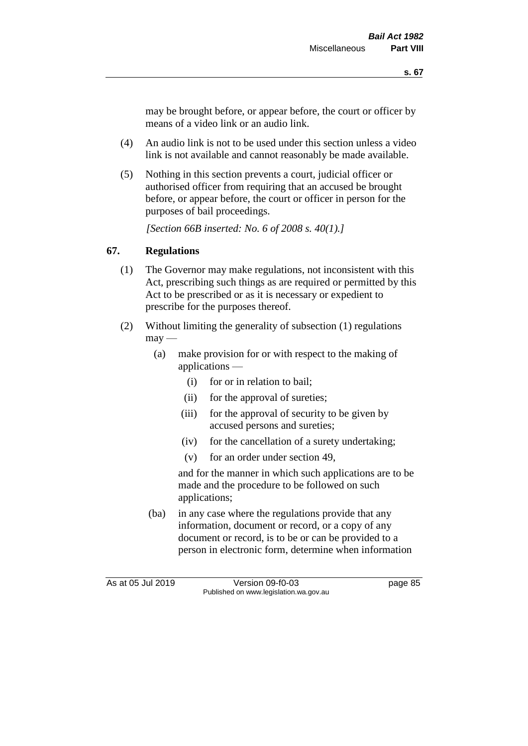may be brought before, or appear before, the court or officer by means of a video link or an audio link.

- (4) An audio link is not to be used under this section unless a video link is not available and cannot reasonably be made available.
- (5) Nothing in this section prevents a court, judicial officer or authorised officer from requiring that an accused be brought before, or appear before, the court or officer in person for the purposes of bail proceedings.

*[Section 66B inserted: No. 6 of 2008 s. 40(1).]*

#### **67. Regulations**

- (1) The Governor may make regulations, not inconsistent with this Act, prescribing such things as are required or permitted by this Act to be prescribed or as it is necessary or expedient to prescribe for the purposes thereof.
- (2) Without limiting the generality of subsection (1) regulations  $\text{max}$  —
	- (a) make provision for or with respect to the making of applications —
		- (i) for or in relation to bail;
		- (ii) for the approval of sureties;
		- (iii) for the approval of security to be given by accused persons and sureties;
		- (iv) for the cancellation of a surety undertaking;
		- (v) for an order under section 49,

and for the manner in which such applications are to be made and the procedure to be followed on such applications;

(ba) in any case where the regulations provide that any information, document or record, or a copy of any document or record, is to be or can be provided to a person in electronic form, determine when information

As at 05 Jul 2019 Version 09-f0-03 page 85 Published on www.legislation.wa.gov.au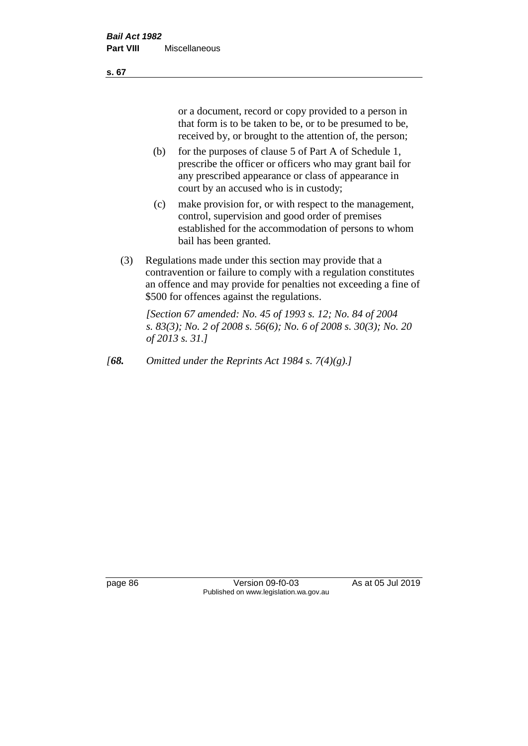or a document, record or copy provided to a person in that form is to be taken to be, or to be presumed to be, received by, or brought to the attention of, the person;

- (b) for the purposes of clause 5 of Part A of Schedule 1, prescribe the officer or officers who may grant bail for any prescribed appearance or class of appearance in court by an accused who is in custody;
- (c) make provision for, or with respect to the management, control, supervision and good order of premises established for the accommodation of persons to whom bail has been granted.
- (3) Regulations made under this section may provide that a contravention or failure to comply with a regulation constitutes an offence and may provide for penalties not exceeding a fine of \$500 for offences against the regulations.

*[Section 67 amended: No. 45 of 1993 s. 12; No. 84 of 2004 s. 83(3); No. 2 of 2008 s. 56(6); No. 6 of 2008 s. 30(3); No. 20 of 2013 s. 31.]* 

*[68. Omitted under the Reprints Act 1984 s. 7(4)(g).]*

page 86 Version 09-f0-03 As at 05 Jul 2019 Published on www.legislation.wa.gov.au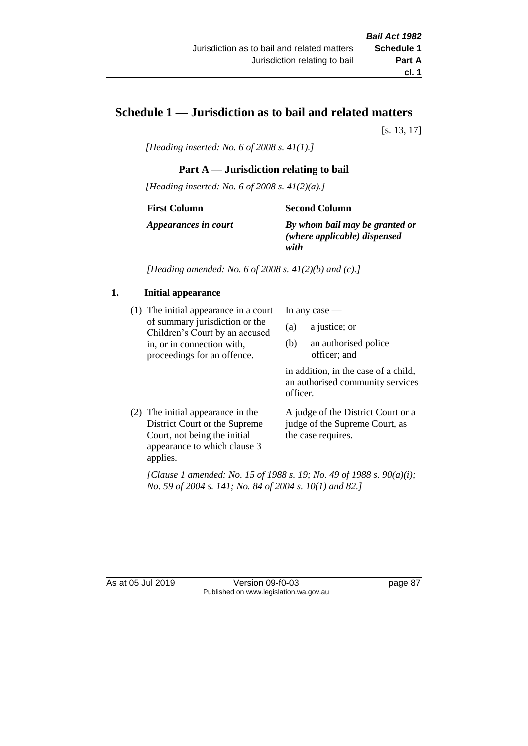# **Schedule 1 — Jurisdiction as to bail and related matters**

[s. 13, 17]

*[Heading inserted: No. 6 of 2008 s. 41(1).]*

#### **Part A** — **Jurisdiction relating to bail**

*[Heading inserted: No. 6 of 2008 s. 41(2)(a).]*

#### **First Column**

**Second Column**

*Appearances in court*

*By whom bail may be granted or (where applicable) dispensed with*

*[Heading amended: No. 6 of 2008 s. 41(2)(b) and (c).]*

#### **1. Initial appearance**

(1) The initial appearance in a court of summary jurisdiction or the Children's Court by an accused in, or in connection with, proceedings for an offence.

In any case —

- (a) a justice; or
- (b) an authorised police officer; and

in addition, in the case of a child, an authorised community services officer.

(2) The initial appearance in the District Court or the Supreme Court, not being the initial appearance to which clause 3 applies. A judge of the District Court or a

judge of the Supreme Court, as the case requires.

*[Clause 1 amended: No. 15 of 1988 s. 19; No. 49 of 1988 s. 90(a)(i); No. 59 of 2004 s. 141; No. 84 of 2004 s. 10(1) and 82.]*

As at 05 Jul 2019 Version 09-f0-03 page 87 Published on www.legislation.wa.gov.au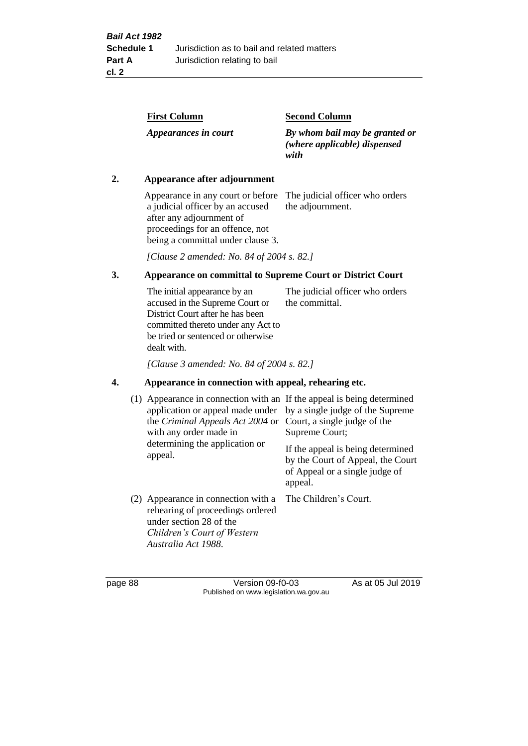| <b>First Column</b>  | <b>Second Column</b>                                                   |
|----------------------|------------------------------------------------------------------------|
| Appearances in court | By whom bail may be granted or<br>(where applicable) dispensed<br>with |

#### **2. Appearance after adjournment**

Appearance in any court or before The judicial officer who orders a judicial officer by an accused after any adjournment of proceedings for an offence, not being a committal under clause 3.

the adjournment.

*[Clause 2 amended: No. 84 of 2004 s. 82.]*

# **3. Appearance on committal to Supreme Court or District Court**

The initial appearance by an accused in the Supreme Court or District Court after he has been committed thereto under any Act to be tried or sentenced or otherwise dealt with. The judicial officer who orders the committal.

*[Clause 3 amended: No. 84 of 2004 s. 82.]*

#### **4. Appearance in connection with appeal, rehearing etc.**

| (1) Appearance in connection with an If the appeal is being determined<br>application or appeal made under<br>the <i>Criminal Appeals Act 2004</i> or<br>with any order made in<br>determining the application or<br>appeal. | by a single judge of the Supreme<br>Court, a single judge of the<br>Supreme Court;<br>If the appeal is being determined<br>by the Court of Appeal, the Court<br>of Appeal or a single judge of<br>appeal. |
|------------------------------------------------------------------------------------------------------------------------------------------------------------------------------------------------------------------------------|-----------------------------------------------------------------------------------------------------------------------------------------------------------------------------------------------------------|
| (2) Appearance in connection with a<br>rehearing of proceedings ordered<br>under section 28 of the<br>Children's Court of Western<br>Australia Act 1988.                                                                     | The Children's Court.                                                                                                                                                                                     |

page 88 Version 09-f0-03 As at 05 Jul 2019 Published on www.legislation.wa.gov.au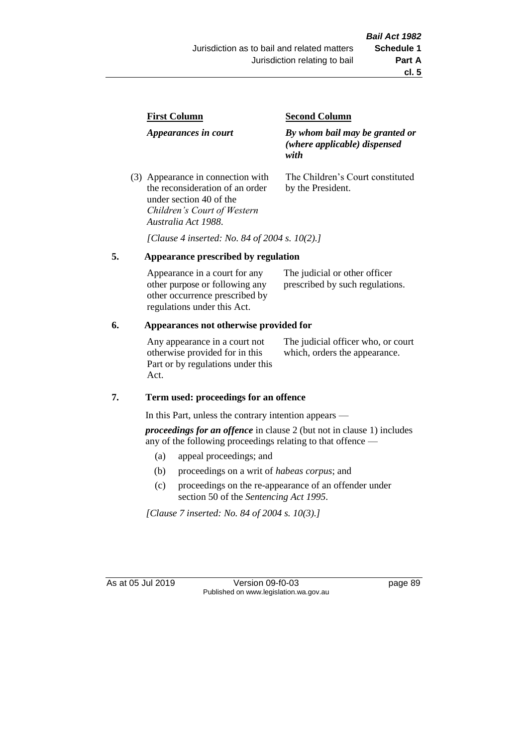| <b>First Column</b>                                                  | <b>Second Column</b>                                                   |  |
|----------------------------------------------------------------------|------------------------------------------------------------------------|--|
| Appearances in court                                                 | By whom bail may be granted or<br>(where applicable) dispensed<br>with |  |
| (3) Appearance in connection with<br>the reconsideration of an order | The Children's Court constituted<br>by the President.                  |  |

*[Clause 4 inserted: No. 84 of 2004 s. 10(2).]*

#### **5. Appearance prescribed by regulation**

under section 40 of the *Children's Court of Western* 

*Australia Act 1988*.

| Appearance in a court for any  | The judicial or other officer   |
|--------------------------------|---------------------------------|
| other purpose or following any | prescribed by such regulations. |
| other occurrence prescribed by |                                 |
| regulations under this Act.    |                                 |

#### **6. Appearances not otherwise provided for**

Any appearance in a court not otherwise provided for in this Part or by regulations under this Act.

The judicial officer who, or court which, orders the appearance.

#### **7. Term used: proceedings for an offence**

In this Part, unless the contrary intention appears —

*proceedings for an offence* in clause 2 (but not in clause 1) includes any of the following proceedings relating to that offence —

- (a) appeal proceedings; and
- (b) proceedings on a writ of *habeas corpus*; and
- (c) proceedings on the re-appearance of an offender under section 50 of the *Sentencing Act 1995*.

*[Clause 7 inserted: No. 84 of 2004 s. 10(3).]*

As at 05 Jul 2019 Version 09-f0-03 page 89 Published on www.legislation.wa.gov.au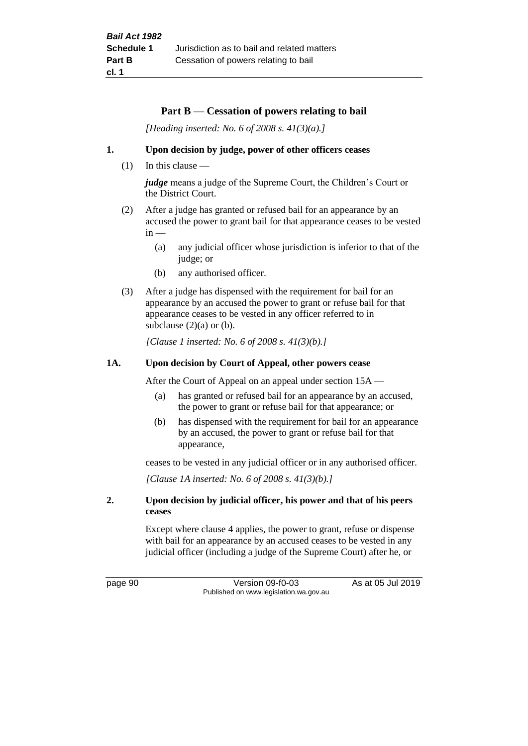#### **Part B** — **Cessation of powers relating to bail**

*[Heading inserted: No. 6 of 2008 s. 41(3)(a).]*

#### **1. Upon decision by judge, power of other officers ceases**

(1) In this clause —

*judge* means a judge of the Supreme Court, the Children's Court or the District Court.

- (2) After a judge has granted or refused bail for an appearance by an accused the power to grant bail for that appearance ceases to be vested  $in -$ 
	- (a) any judicial officer whose jurisdiction is inferior to that of the judge; or
	- (b) any authorised officer.
- (3) After a judge has dispensed with the requirement for bail for an appearance by an accused the power to grant or refuse bail for that appearance ceases to be vested in any officer referred to in subclause  $(2)(a)$  or  $(b)$ .

*[Clause 1 inserted: No. 6 of 2008 s. 41(3)(b).]*

#### **1A. Upon decision by Court of Appeal, other powers cease**

After the Court of Appeal on an appeal under section 15A —

- (a) has granted or refused bail for an appearance by an accused, the power to grant or refuse bail for that appearance; or
- (b) has dispensed with the requirement for bail for an appearance by an accused, the power to grant or refuse bail for that appearance,

ceases to be vested in any judicial officer or in any authorised officer.

*[Clause 1A inserted: No. 6 of 2008 s. 41(3)(b).]*

#### **2. Upon decision by judicial officer, his power and that of his peers ceases**

Except where clause 4 applies, the power to grant, refuse or dispense with bail for an appearance by an accused ceases to be vested in any judicial officer (including a judge of the Supreme Court) after he, or

page 90 Version 09-f0-03 As at 05 Jul 2019 Published on www.legislation.wa.gov.au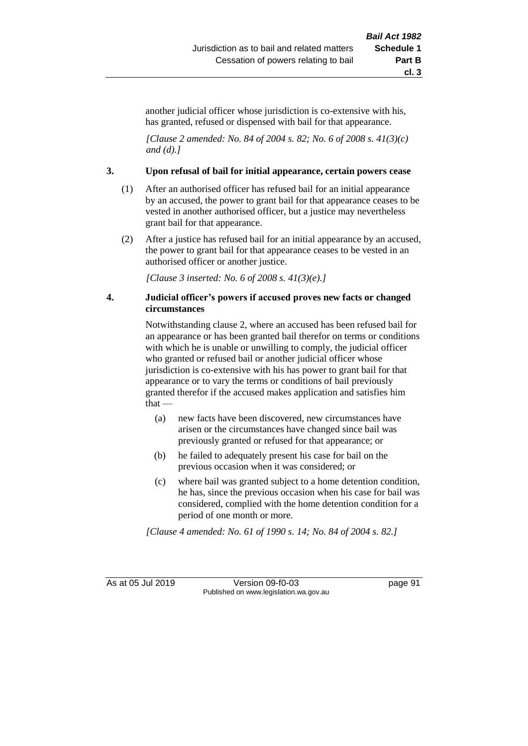another judicial officer whose jurisdiction is co-extensive with his, has granted, refused or dispensed with bail for that appearance.

*[Clause 2 amended: No. 84 of 2004 s. 82; No. 6 of 2008 s. 41(3)(c) and (d).]*

#### **3. Upon refusal of bail for initial appearance, certain powers cease**

- (1) After an authorised officer has refused bail for an initial appearance by an accused, the power to grant bail for that appearance ceases to be vested in another authorised officer, but a justice may nevertheless grant bail for that appearance.
- (2) After a justice has refused bail for an initial appearance by an accused, the power to grant bail for that appearance ceases to be vested in an authorised officer or another justice.

*[Clause 3 inserted: No. 6 of 2008 s. 41(3)(e).]*

#### **4. Judicial officer's powers if accused proves new facts or changed circumstances**

Notwithstanding clause 2, where an accused has been refused bail for an appearance or has been granted bail therefor on terms or conditions with which he is unable or unwilling to comply, the judicial officer who granted or refused bail or another judicial officer whose jurisdiction is co-extensive with his has power to grant bail for that appearance or to vary the terms or conditions of bail previously granted therefor if the accused makes application and satisfies him that —

- (a) new facts have been discovered, new circumstances have arisen or the circumstances have changed since bail was previously granted or refused for that appearance; or
- (b) he failed to adequately present his case for bail on the previous occasion when it was considered; or
- (c) where bail was granted subject to a home detention condition, he has, since the previous occasion when his case for bail was considered, complied with the home detention condition for a period of one month or more.

*[Clause 4 amended: No. 61 of 1990 s. 14; No. 84 of 2004 s. 82.]*

As at 05 Jul 2019 Version 09-f0-03 page 91 Published on www.legislation.wa.gov.au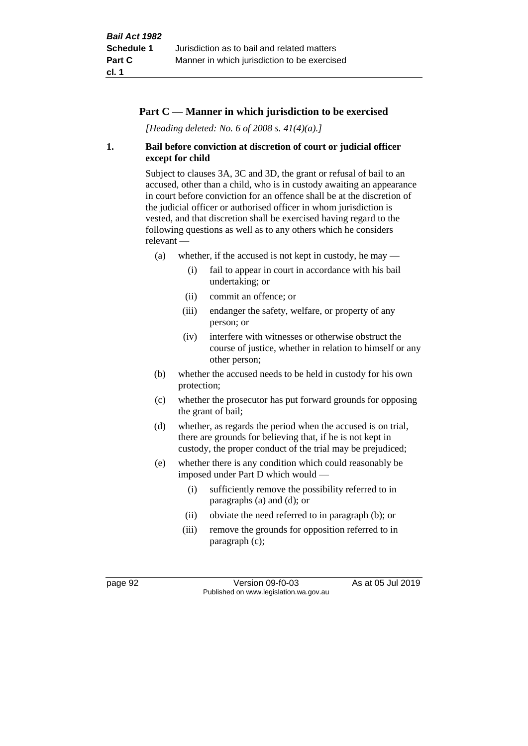#### **Part C — Manner in which jurisdiction to be exercised**

*[Heading deleted: No. 6 of 2008 s. 41(4)(a).]*

#### **1. Bail before conviction at discretion of court or judicial officer except for child**

Subject to clauses 3A, 3C and 3D, the grant or refusal of bail to an accused, other than a child, who is in custody awaiting an appearance in court before conviction for an offence shall be at the discretion of the judicial officer or authorised officer in whom jurisdiction is vested, and that discretion shall be exercised having regard to the following questions as well as to any others which he considers relevant —

- (a) whether, if the accused is not kept in custody, he may  $-$ 
	- (i) fail to appear in court in accordance with his bail undertaking; or
	- (ii) commit an offence; or
	- (iii) endanger the safety, welfare, or property of any person; or
	- (iv) interfere with witnesses or otherwise obstruct the course of justice, whether in relation to himself or any other person;
- (b) whether the accused needs to be held in custody for his own protection;
- (c) whether the prosecutor has put forward grounds for opposing the grant of bail;
- (d) whether, as regards the period when the accused is on trial, there are grounds for believing that, if he is not kept in custody, the proper conduct of the trial may be prejudiced;
- (e) whether there is any condition which could reasonably be imposed under Part D which would —
	- (i) sufficiently remove the possibility referred to in paragraphs (a) and (d); or
	- (ii) obviate the need referred to in paragraph (b); or
	- (iii) remove the grounds for opposition referred to in paragraph (c);

page 92 Version 09-f0-03 As at 05 Jul 2019 Published on www.legislation.wa.gov.au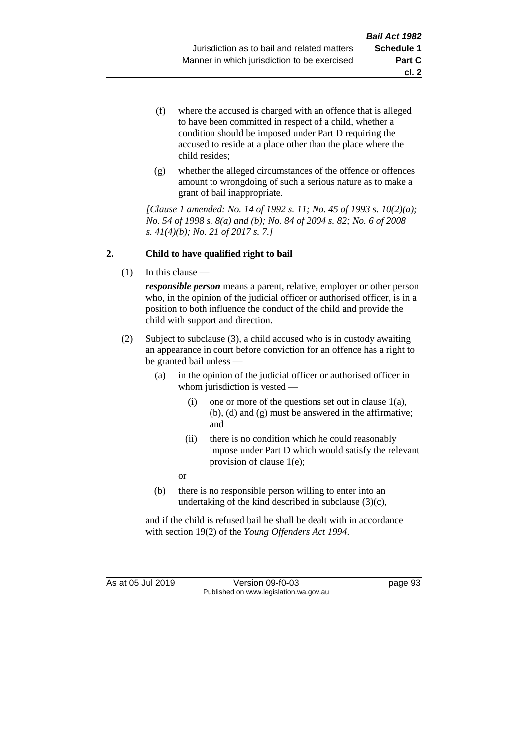- (f) where the accused is charged with an offence that is alleged to have been committed in respect of a child, whether a condition should be imposed under Part D requiring the accused to reside at a place other than the place where the child resides;
- (g) whether the alleged circumstances of the offence or offences amount to wrongdoing of such a serious nature as to make a grant of bail inappropriate.

*[Clause 1 amended: No. 14 of 1992 s. 11; No. 45 of 1993 s. 10(2)(a); No. 54 of 1998 s. 8(a) and (b); No. 84 of 2004 s. 82; No. 6 of 2008 s. 41(4)(b); No. 21 of 2017 s. 7.]*

#### **2. Child to have qualified right to bail**

(1) In this clause —

*responsible person* means a parent, relative, employer or other person who, in the opinion of the judicial officer or authorised officer, is in a position to both influence the conduct of the child and provide the child with support and direction.

- (2) Subject to subclause (3), a child accused who is in custody awaiting an appearance in court before conviction for an offence has a right to be granted bail unless —
	- (a) in the opinion of the judicial officer or authorised officer in whom jurisdiction is vested —
		- (i) one or more of the questions set out in clause  $1(a)$ , (b), (d) and (g) must be answered in the affirmative; and
		- (ii) there is no condition which he could reasonably impose under Part D which would satisfy the relevant provision of clause 1(e);

or

(b) there is no responsible person willing to enter into an undertaking of the kind described in subclause (3)(c),

and if the child is refused bail he shall be dealt with in accordance with section 19(2) of the *Young Offenders Act 1994*.

As at 05 Jul 2019 Version 09-f0-03 page 93 Published on www.legislation.wa.gov.au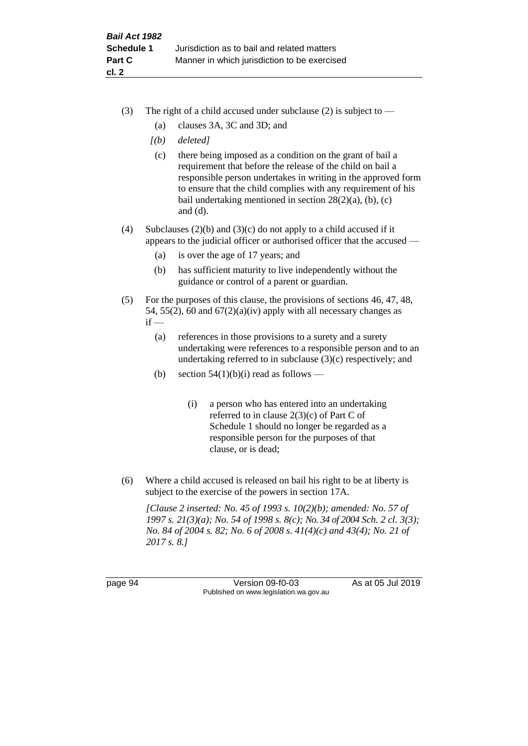- (3) The right of a child accused under subclause (2) is subject to  $-$ 
	- (a) clauses 3A, 3C and 3D; and
	- *[(b) deleted]*
	- (c) there being imposed as a condition on the grant of bail a requirement that before the release of the child on bail a responsible person undertakes in writing in the approved form to ensure that the child complies with any requirement of his bail undertaking mentioned in section  $28(2)(a)$ , (b), (c) and (d).
- (4) Subclauses (2)(b) and (3)(c) do not apply to a child accused if it appears to the judicial officer or authorised officer that the accused —
	- (a) is over the age of 17 years; and
	- (b) has sufficient maturity to live independently without the guidance or control of a parent or guardian.
- (5) For the purposes of this clause, the provisions of sections 46, 47, 48, 54, 55(2), 60 and  $67(2)(a)(iv)$  apply with all necessary changes as  $if -$ 
	- (a) references in those provisions to a surety and a surety undertaking were references to a responsible person and to an undertaking referred to in subclause (3)(c) respectively; and
	- (b) section  $54(1)(b)(i)$  read as follows
		- (i) a person who has entered into an undertaking referred to in clause 2(3)(c) of Part C of Schedule 1 should no longer be regarded as a responsible person for the purposes of that clause, or is dead;
- (6) Where a child accused is released on bail his right to be at liberty is subject to the exercise of the powers in section 17A.

*[Clause 2 inserted: No. 45 of 1993 s. 10(2)(b); amended: No. 57 of 1997 s. 21(3)(a); No. 54 of 1998 s. 8(c); No. 34 of 2004 Sch. 2 cl. 3(3); No. 84 of 2004 s. 82; No. 6 of 2008 s. 41(4)(c) and 43(4); No. 21 of 2017 s. 8.]*

page 94 Version 09-f0-03 As at 05 Jul 2019 Published on www.legislation.wa.gov.au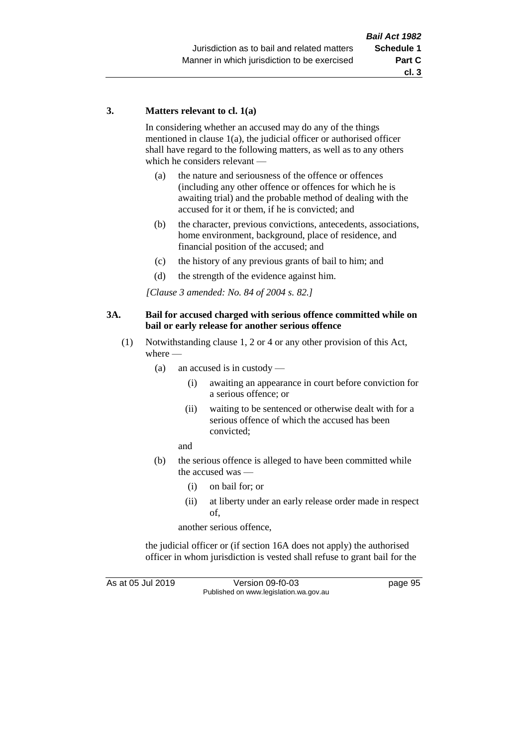#### **3. Matters relevant to cl. 1(a)**

In considering whether an accused may do any of the things mentioned in clause 1(a), the judicial officer or authorised officer shall have regard to the following matters, as well as to any others which he considers relevant —

- (a) the nature and seriousness of the offence or offences (including any other offence or offences for which he is awaiting trial) and the probable method of dealing with the accused for it or them, if he is convicted; and
- (b) the character, previous convictions, antecedents, associations, home environment, background, place of residence, and financial position of the accused; and
- (c) the history of any previous grants of bail to him; and
- (d) the strength of the evidence against him.

*[Clause 3 amended: No. 84 of 2004 s. 82.]*

#### **3A. Bail for accused charged with serious offence committed while on bail or early release for another serious offence**

- (1) Notwithstanding clause 1, 2 or 4 or any other provision of this Act, where —
	- (a) an accused is in custody
		- (i) awaiting an appearance in court before conviction for a serious offence; or
		- (ii) waiting to be sentenced or otherwise dealt with for a serious offence of which the accused has been convicted;

and

- (b) the serious offence is alleged to have been committed while the accused was —
	- (i) on bail for; or
	- (ii) at liberty under an early release order made in respect of,

another serious offence,

the judicial officer or (if section 16A does not apply) the authorised officer in whom jurisdiction is vested shall refuse to grant bail for the

As at 05 Jul 2019 Version 09-f0-03 page 95 Published on www.legislation.wa.gov.au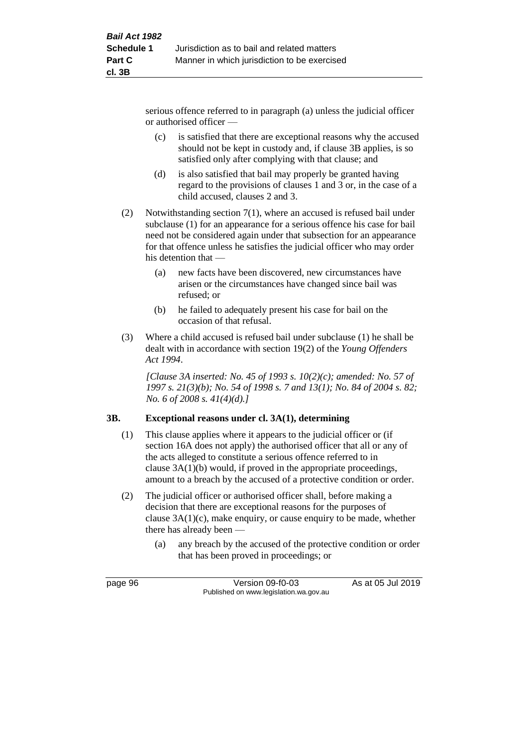serious offence referred to in paragraph (a) unless the judicial officer or authorised officer —

- (c) is satisfied that there are exceptional reasons why the accused should not be kept in custody and, if clause 3B applies, is so satisfied only after complying with that clause; and
- (d) is also satisfied that bail may properly be granted having regard to the provisions of clauses 1 and 3 or, in the case of a child accused, clauses 2 and 3.
- (2) Notwithstanding section 7(1), where an accused is refused bail under subclause (1) for an appearance for a serious offence his case for bail need not be considered again under that subsection for an appearance for that offence unless he satisfies the judicial officer who may order his detention that —
	- (a) new facts have been discovered, new circumstances have arisen or the circumstances have changed since bail was refused; or
	- (b) he failed to adequately present his case for bail on the occasion of that refusal.
- (3) Where a child accused is refused bail under subclause (1) he shall be dealt with in accordance with section 19(2) of the *Young Offenders Act 1994*.

*[Clause 3A inserted: No. 45 of 1993 s. 10(2)(c); amended: No. 57 of 1997 s. 21(3)(b); No. 54 of 1998 s. 7 and 13(1); No. 84 of 2004 s. 82; No. 6 of 2008 s. 41(4)(d).]*

#### **3B. Exceptional reasons under cl. 3A(1), determining**

- (1) This clause applies where it appears to the judicial officer or (if section 16A does not apply) the authorised officer that all or any of the acts alleged to constitute a serious offence referred to in clause 3A(1)(b) would, if proved in the appropriate proceedings, amount to a breach by the accused of a protective condition or order.
- (2) The judicial officer or authorised officer shall, before making a decision that there are exceptional reasons for the purposes of clause 3A(1)(c), make enquiry, or cause enquiry to be made, whether there has already been —
	- (a) any breach by the accused of the protective condition or order that has been proved in proceedings; or

page 96 Version 09-f0-03 As at 05 Jul 2019 Published on www.legislation.wa.gov.au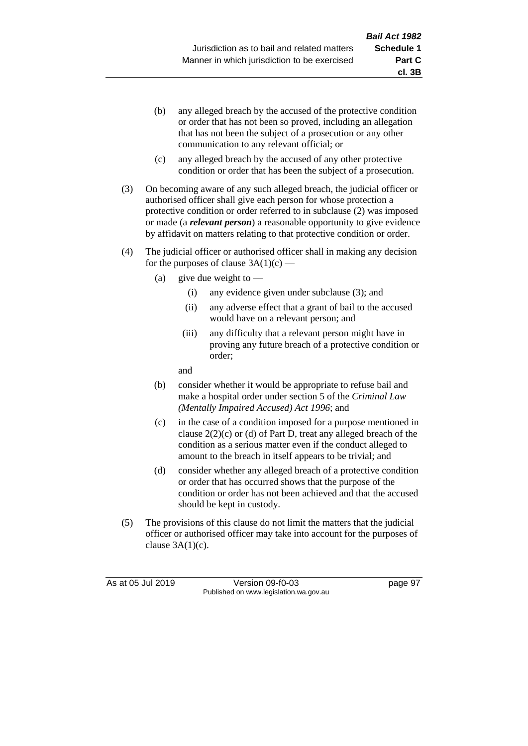- (b) any alleged breach by the accused of the protective condition or order that has not been so proved, including an allegation that has not been the subject of a prosecution or any other communication to any relevant official; or
- (c) any alleged breach by the accused of any other protective condition or order that has been the subject of a prosecution.
- (3) On becoming aware of any such alleged breach, the judicial officer or authorised officer shall give each person for whose protection a protective condition or order referred to in subclause (2) was imposed or made (a *relevant person*) a reasonable opportunity to give evidence by affidavit on matters relating to that protective condition or order.
- (4) The judicial officer or authorised officer shall in making any decision for the purposes of clause  $3A(1)(c)$  —
	- (a) give due weight to  $-$ 
		- (i) any evidence given under subclause (3); and
		- (ii) any adverse effect that a grant of bail to the accused would have on a relevant person; and
		- (iii) any difficulty that a relevant person might have in proving any future breach of a protective condition or order;

and

- (b) consider whether it would be appropriate to refuse bail and make a hospital order under section 5 of the *Criminal Law (Mentally Impaired Accused) Act 1996*; and
- (c) in the case of a condition imposed for a purpose mentioned in clause 2(2)(c) or (d) of Part D, treat any alleged breach of the condition as a serious matter even if the conduct alleged to amount to the breach in itself appears to be trivial; and
- (d) consider whether any alleged breach of a protective condition or order that has occurred shows that the purpose of the condition or order has not been achieved and that the accused should be kept in custody.
- (5) The provisions of this clause do not limit the matters that the judicial officer or authorised officer may take into account for the purposes of clause  $3A(1)(c)$ .

As at 05 Jul 2019 Version 09-f0-03 page 97 Published on www.legislation.wa.gov.au

**cl. 3B**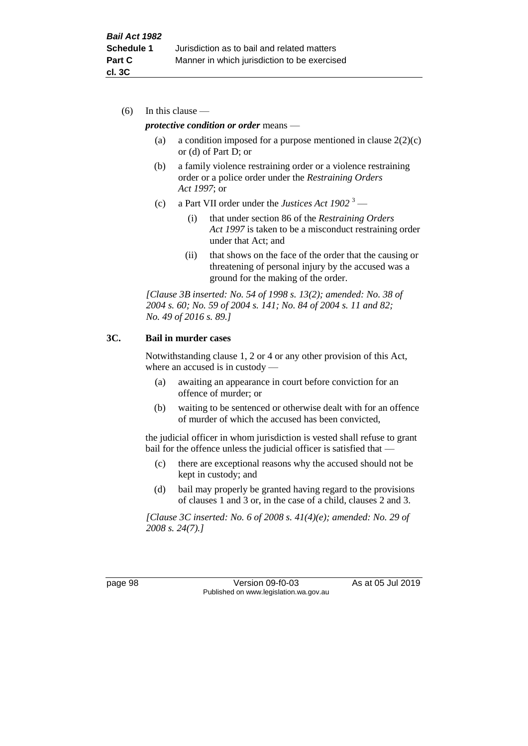(6) In this clause —

#### *protective condition or order* means —

- (a) a condition imposed for a purpose mentioned in clause  $2(2)(c)$ or (d) of Part D; or
- (b) a family violence restraining order or a violence restraining order or a police order under the *Restraining Orders Act 1997*; or
- (c) a Part VII order under the *Justices Act 1902* <sup>3</sup>
	- (i) that under section 86 of the *Restraining Orders Act 1997* is taken to be a misconduct restraining order under that Act; and
	- (ii) that shows on the face of the order that the causing or threatening of personal injury by the accused was a ground for the making of the order.

*[Clause 3B inserted: No. 54 of 1998 s. 13(2); amended: No. 38 of 2004 s. 60; No. 59 of 2004 s. 141; No. 84 of 2004 s. 11 and 82; No. 49 of 2016 s. 89.]*

#### **3C. Bail in murder cases**

Notwithstanding clause 1, 2 or 4 or any other provision of this Act, where an accused is in custody —

- (a) awaiting an appearance in court before conviction for an offence of murder; or
- (b) waiting to be sentenced or otherwise dealt with for an offence of murder of which the accused has been convicted,

the judicial officer in whom jurisdiction is vested shall refuse to grant bail for the offence unless the judicial officer is satisfied that —

- (c) there are exceptional reasons why the accused should not be kept in custody; and
- (d) bail may properly be granted having regard to the provisions of clauses 1 and 3 or, in the case of a child, clauses 2 and 3.

*[Clause 3C inserted: No. 6 of 2008 s. 41(4)(e); amended: No. 29 of 2008 s. 24(7).]*

page 98 Version 09-f0-03 As at 05 Jul 2019 Published on www.legislation.wa.gov.au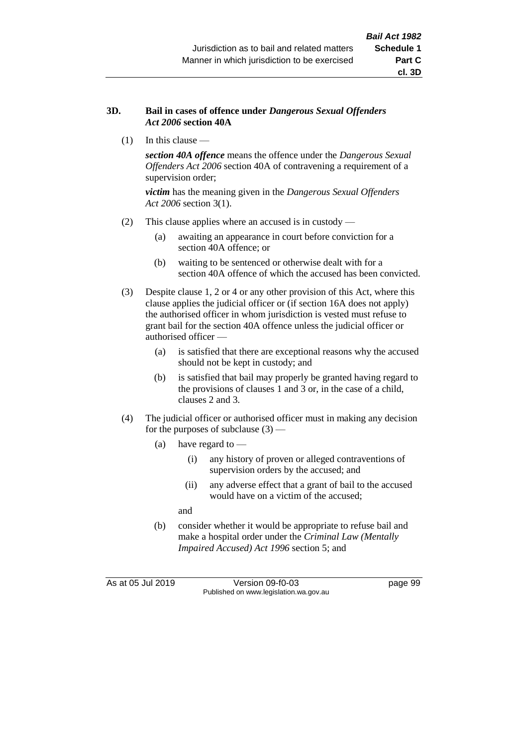## **3D. Bail in cases of offence under** *Dangerous Sexual Offenders Act 2006* **section 40A**

(1) In this clause —

*section 40A offence* means the offence under the *Dangerous Sexual Offenders Act 2006* section 40A of contravening a requirement of a supervision order;

*victim* has the meaning given in the *Dangerous Sexual Offenders Act 2006* section 3(1).

- (2) This clause applies where an accused is in custody
	- (a) awaiting an appearance in court before conviction for a section 40A offence; or
	- (b) waiting to be sentenced or otherwise dealt with for a section 40A offence of which the accused has been convicted.
- (3) Despite clause 1, 2 or 4 or any other provision of this Act, where this clause applies the judicial officer or (if section 16A does not apply) the authorised officer in whom jurisdiction is vested must refuse to grant bail for the section 40A offence unless the judicial officer or authorised officer —
	- (a) is satisfied that there are exceptional reasons why the accused should not be kept in custody; and
	- (b) is satisfied that bail may properly be granted having regard to the provisions of clauses 1 and 3 or, in the case of a child, clauses 2 and 3.
- (4) The judicial officer or authorised officer must in making any decision for the purposes of subclause  $(3)$  —
	- (a) have regard to
		- (i) any history of proven or alleged contraventions of supervision orders by the accused; and
		- (ii) any adverse effect that a grant of bail to the accused would have on a victim of the accused;

and

(b) consider whether it would be appropriate to refuse bail and make a hospital order under the *Criminal Law (Mentally Impaired Accused) Act 1996* section 5; and

As at 05 Jul 2019 Version 09-f0-03 page 99 Published on www.legislation.wa.gov.au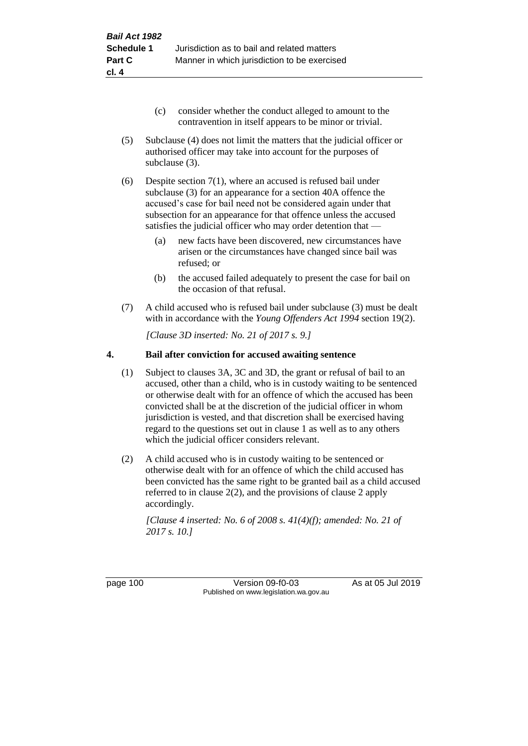- (c) consider whether the conduct alleged to amount to the contravention in itself appears to be minor or trivial.
- (5) Subclause (4) does not limit the matters that the judicial officer or authorised officer may take into account for the purposes of subclause (3).

(6) Despite section 7(1), where an accused is refused bail under subclause (3) for an appearance for a section 40A offence the accused's case for bail need not be considered again under that subsection for an appearance for that offence unless the accused satisfies the judicial officer who may order detention that —

- (a) new facts have been discovered, new circumstances have arisen or the circumstances have changed since bail was refused; or
- (b) the accused failed adequately to present the case for bail on the occasion of that refusal.
- (7) A child accused who is refused bail under subclause (3) must be dealt with in accordance with the *Young Offenders Act 1994* section 19(2).

*[Clause 3D inserted: No. 21 of 2017 s. 9.]*

### **4. Bail after conviction for accused awaiting sentence**

- (1) Subject to clauses 3A, 3C and 3D, the grant or refusal of bail to an accused, other than a child, who is in custody waiting to be sentenced or otherwise dealt with for an offence of which the accused has been convicted shall be at the discretion of the judicial officer in whom jurisdiction is vested, and that discretion shall be exercised having regard to the questions set out in clause 1 as well as to any others which the judicial officer considers relevant.
- (2) A child accused who is in custody waiting to be sentenced or otherwise dealt with for an offence of which the child accused has been convicted has the same right to be granted bail as a child accused referred to in clause 2(2), and the provisions of clause 2 apply accordingly.

*[Clause 4 inserted: No. 6 of 2008 s. 41(4)(f); amended: No. 21 of 2017 s. 10.]*

page 100 Version 09-f0-03 As at 05 Jul 2019 Published on www.legislation.wa.gov.au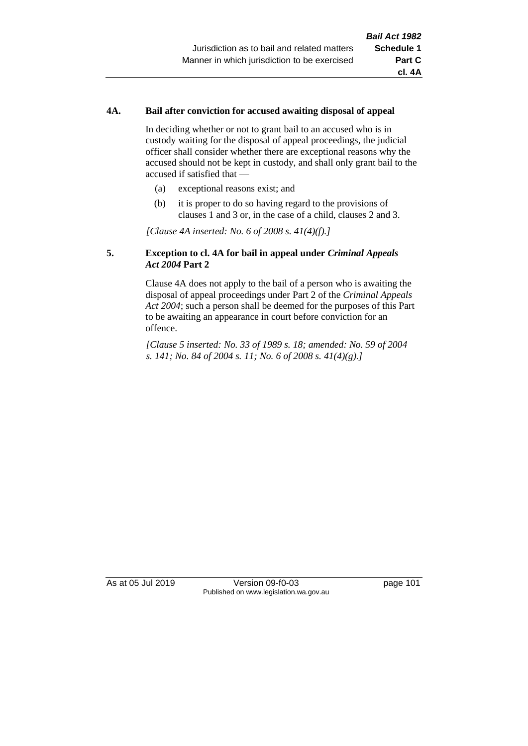## **4A. Bail after conviction for accused awaiting disposal of appeal**

In deciding whether or not to grant bail to an accused who is in custody waiting for the disposal of appeal proceedings, the judicial officer shall consider whether there are exceptional reasons why the accused should not be kept in custody, and shall only grant bail to the accused if satisfied that —

- (a) exceptional reasons exist; and
- (b) it is proper to do so having regard to the provisions of clauses 1 and 3 or, in the case of a child, clauses 2 and 3.

*[Clause 4A inserted: No. 6 of 2008 s. 41(4)(f).]*

## **5. Exception to cl. 4A for bail in appeal under** *Criminal Appeals Act 2004* **Part 2**

Clause 4A does not apply to the bail of a person who is awaiting the disposal of appeal proceedings under Part 2 of the *Criminal Appeals Act 2004*; such a person shall be deemed for the purposes of this Part to be awaiting an appearance in court before conviction for an offence.

*[Clause 5 inserted: No. 33 of 1989 s. 18; amended: No. 59 of 2004 s. 141; No. 84 of 2004 s. 11; No. 6 of 2008 s. 41(4)(g).]*

As at 05 Jul 2019 Version 09-f0-03 page 101 Published on www.legislation.wa.gov.au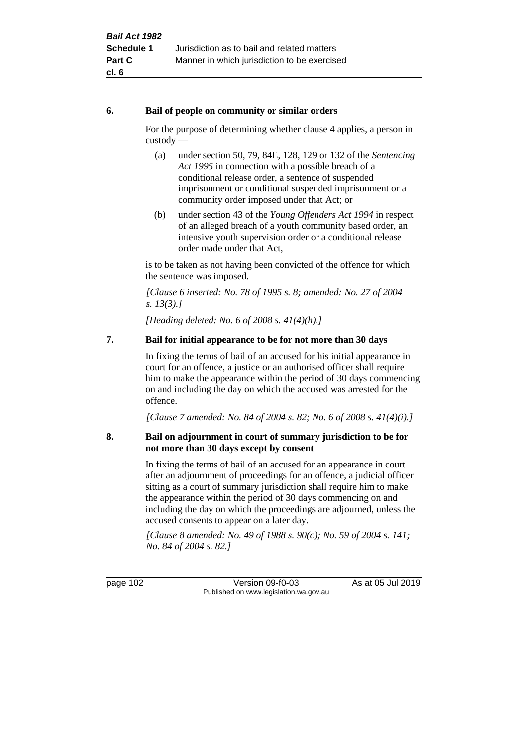## **6. Bail of people on community or similar orders**

For the purpose of determining whether clause 4 applies, a person in custody —

- (a) under section 50, 79, 84E, 128, 129 or 132 of the *Sentencing Act 1995* in connection with a possible breach of a conditional release order, a sentence of suspended imprisonment or conditional suspended imprisonment or a community order imposed under that Act; or
- (b) under section 43 of the *Young Offenders Act 1994* in respect of an alleged breach of a youth community based order, an intensive youth supervision order or a conditional release order made under that Act,

is to be taken as not having been convicted of the offence for which the sentence was imposed.

*[Clause 6 inserted: No. 78 of 1995 s. 8; amended: No. 27 of 2004 s. 13(3).]*

*[Heading deleted: No. 6 of 2008 s. 41(4)(h).]*

## **7. Bail for initial appearance to be for not more than 30 days**

In fixing the terms of bail of an accused for his initial appearance in court for an offence, a justice or an authorised officer shall require him to make the appearance within the period of 30 days commencing on and including the day on which the accused was arrested for the offence.

*[Clause 7 amended: No. 84 of 2004 s. 82; No. 6 of 2008 s. 41(4)(i).]*

## **8. Bail on adjournment in court of summary jurisdiction to be for not more than 30 days except by consent**

In fixing the terms of bail of an accused for an appearance in court after an adjournment of proceedings for an offence, a judicial officer sitting as a court of summary jurisdiction shall require him to make the appearance within the period of 30 days commencing on and including the day on which the proceedings are adjourned, unless the accused consents to appear on a later day.

*[Clause 8 amended: No. 49 of 1988 s. 90(c); No. 59 of 2004 s. 141; No. 84 of 2004 s. 82.]*

page 102 Version 09-f0-03 As at 05 Jul 2019 Published on www.legislation.wa.gov.au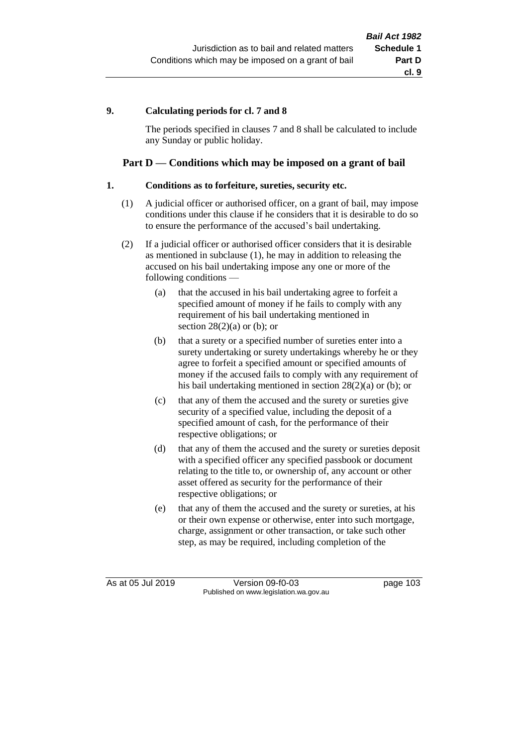## **9. Calculating periods for cl. 7 and 8**

The periods specified in clauses 7 and 8 shall be calculated to include any Sunday or public holiday.

## **Part D — Conditions which may be imposed on a grant of bail**

## **1. Conditions as to forfeiture, sureties, security etc.**

- (1) A judicial officer or authorised officer, on a grant of bail, may impose conditions under this clause if he considers that it is desirable to do so to ensure the performance of the accused's bail undertaking.
- (2) If a judicial officer or authorised officer considers that it is desirable as mentioned in subclause (1), he may in addition to releasing the accused on his bail undertaking impose any one or more of the following conditions —
	- (a) that the accused in his bail undertaking agree to forfeit a specified amount of money if he fails to comply with any requirement of his bail undertaking mentioned in section  $28(2)(a)$  or (b); or
	- (b) that a surety or a specified number of sureties enter into a surety undertaking or surety undertakings whereby he or they agree to forfeit a specified amount or specified amounts of money if the accused fails to comply with any requirement of his bail undertaking mentioned in section 28(2)(a) or (b); or
	- (c) that any of them the accused and the surety or sureties give security of a specified value, including the deposit of a specified amount of cash, for the performance of their respective obligations; or
	- (d) that any of them the accused and the surety or sureties deposit with a specified officer any specified passbook or document relating to the title to, or ownership of, any account or other asset offered as security for the performance of their respective obligations; or
	- (e) that any of them the accused and the surety or sureties, at his or their own expense or otherwise, enter into such mortgage, charge, assignment or other transaction, or take such other step, as may be required, including completion of the

As at 05 Jul 2019 Version 09-f0-03 page 103 Published on www.legislation.wa.gov.au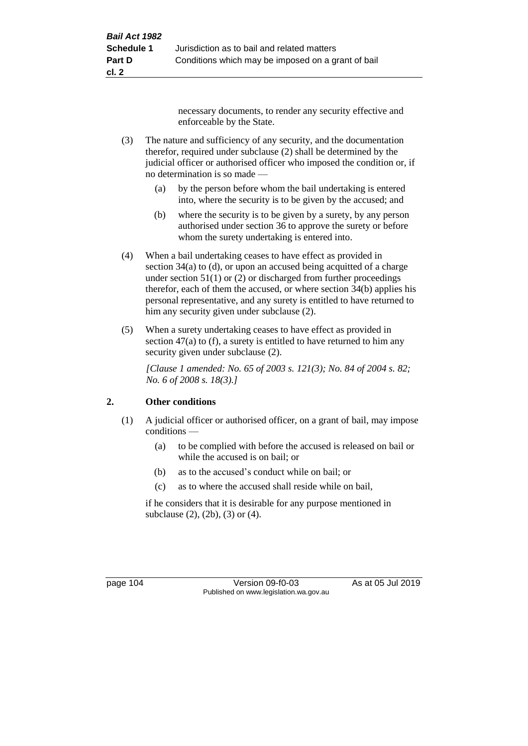necessary documents, to render any security effective and enforceable by the State.

- (3) The nature and sufficiency of any security, and the documentation therefor, required under subclause (2) shall be determined by the judicial officer or authorised officer who imposed the condition or, if no determination is so made —
	- (a) by the person before whom the bail undertaking is entered into, where the security is to be given by the accused; and
	- (b) where the security is to be given by a surety, by any person authorised under section 36 to approve the surety or before whom the surety undertaking is entered into.
- (4) When a bail undertaking ceases to have effect as provided in section 34(a) to (d), or upon an accused being acquitted of a charge under section  $51(1)$  or (2) or discharged from further proceedings therefor, each of them the accused, or where section 34(b) applies his personal representative, and any surety is entitled to have returned to him any security given under subclause (2).
- (5) When a surety undertaking ceases to have effect as provided in section 47(a) to (f), a surety is entitled to have returned to him any security given under subclause  $(2)$ .

*[Clause 1 amended: No. 65 of 2003 s. 121(3); No. 84 of 2004 s. 82; No. 6 of 2008 s. 18(3).]*

## **2. Other conditions**

- (1) A judicial officer or authorised officer, on a grant of bail, may impose conditions —
	- (a) to be complied with before the accused is released on bail or while the accused is on bail; or
	- (b) as to the accused's conduct while on bail; or
	- (c) as to where the accused shall reside while on bail,

if he considers that it is desirable for any purpose mentioned in subclause (2), (2b), (3) or (4).

page 104 Version 09-f0-03 As at 05 Jul 2019 Published on www.legislation.wa.gov.au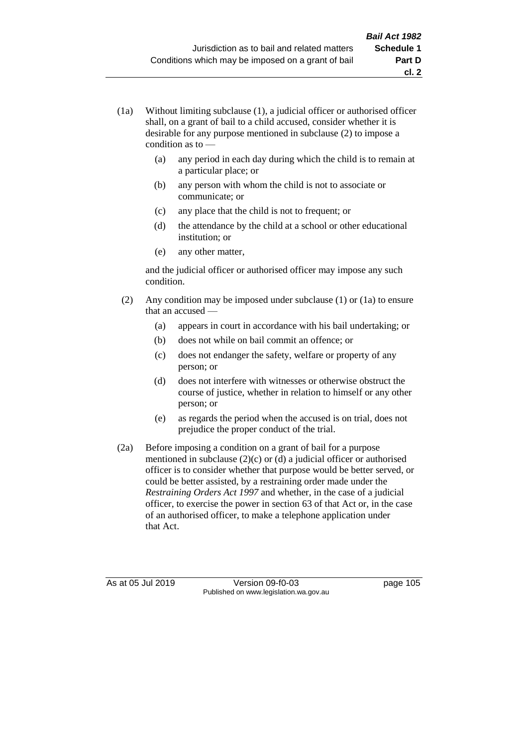- (1a) Without limiting subclause (1), a judicial officer or authorised officer shall, on a grant of bail to a child accused, consider whether it is desirable for any purpose mentioned in subclause (2) to impose a condition as to —
	- (a) any period in each day during which the child is to remain at a particular place; or
	- (b) any person with whom the child is not to associate or communicate; or
	- (c) any place that the child is not to frequent; or
	- (d) the attendance by the child at a school or other educational institution; or
	- (e) any other matter,

and the judicial officer or authorised officer may impose any such condition.

- (2) Any condition may be imposed under subclause (1) or (1a) to ensure that an accused —
	- (a) appears in court in accordance with his bail undertaking; or
	- (b) does not while on bail commit an offence; or
	- (c) does not endanger the safety, welfare or property of any person; or
	- (d) does not interfere with witnesses or otherwise obstruct the course of justice, whether in relation to himself or any other person; or
	- (e) as regards the period when the accused is on trial, does not prejudice the proper conduct of the trial.
- (2a) Before imposing a condition on a grant of bail for a purpose mentioned in subclause (2)(c) or (d) a judicial officer or authorised officer is to consider whether that purpose would be better served, or could be better assisted, by a restraining order made under the *Restraining Orders Act 1997* and whether, in the case of a judicial officer, to exercise the power in section 63 of that Act or, in the case of an authorised officer, to make a telephone application under that Act.

As at 05 Jul 2019 Version 09-f0-03 page 105 Published on www.legislation.wa.gov.au

**cl. 2**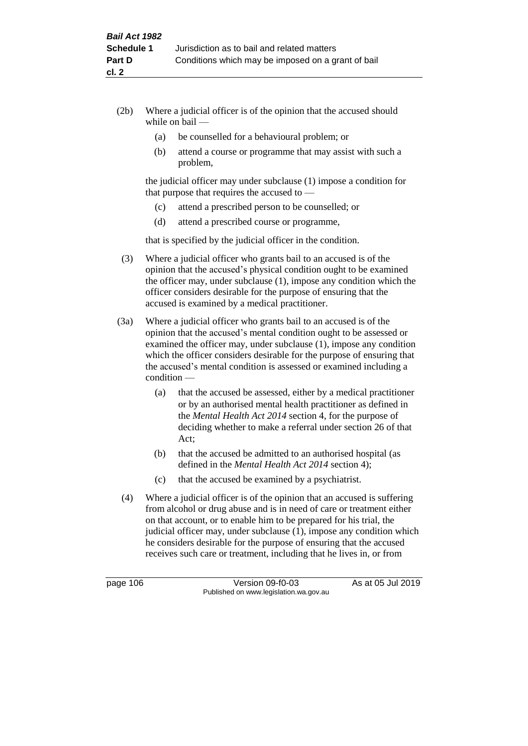- (2b) Where a judicial officer is of the opinion that the accused should while on bail —
	- (a) be counselled for a behavioural problem; or
	- (b) attend a course or programme that may assist with such a problem,

the judicial officer may under subclause (1) impose a condition for that purpose that requires the accused to —

- (c) attend a prescribed person to be counselled; or
- (d) attend a prescribed course or programme,

that is specified by the judicial officer in the condition.

- (3) Where a judicial officer who grants bail to an accused is of the opinion that the accused's physical condition ought to be examined the officer may, under subclause (1), impose any condition which the officer considers desirable for the purpose of ensuring that the accused is examined by a medical practitioner.
- (3a) Where a judicial officer who grants bail to an accused is of the opinion that the accused's mental condition ought to be assessed or examined the officer may, under subclause (1), impose any condition which the officer considers desirable for the purpose of ensuring that the accused's mental condition is assessed or examined including a condition —
	- (a) that the accused be assessed, either by a medical practitioner or by an authorised mental health practitioner as defined in the *Mental Health Act 2014* section 4, for the purpose of deciding whether to make a referral under section 26 of that Act;
	- (b) that the accused be admitted to an authorised hospital (as defined in the *Mental Health Act 2014* section 4);
	- (c) that the accused be examined by a psychiatrist.
- (4) Where a judicial officer is of the opinion that an accused is suffering from alcohol or drug abuse and is in need of care or treatment either on that account, or to enable him to be prepared for his trial, the judicial officer may, under subclause (1), impose any condition which he considers desirable for the purpose of ensuring that the accused receives such care or treatment, including that he lives in, or from

page 106 Version 09-f0-03 As at 05 Jul 2019 Published on www.legislation.wa.gov.au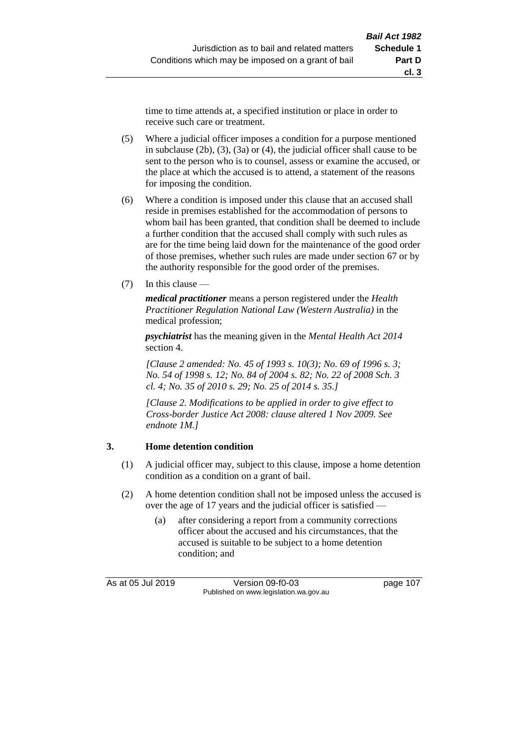time to time attends at, a specified institution or place in order to receive such care or treatment.

- (5) Where a judicial officer imposes a condition for a purpose mentioned in subclause (2b), (3), (3a) or (4), the judicial officer shall cause to be sent to the person who is to counsel, assess or examine the accused, or the place at which the accused is to attend, a statement of the reasons for imposing the condition.
- (6) Where a condition is imposed under this clause that an accused shall reside in premises established for the accommodation of persons to whom bail has been granted, that condition shall be deemed to include a further condition that the accused shall comply with such rules as are for the time being laid down for the maintenance of the good order of those premises, whether such rules are made under section 67 or by the authority responsible for the good order of the premises.
- (7) In this clause —

*medical practitioner* means a person registered under the *Health Practitioner Regulation National Law (Western Australia)* in the medical profession;

*psychiatrist* has the meaning given in the *Mental Health Act 2014* section 4.

*[Clause 2 amended: No. 45 of 1993 s. 10(3); No. 69 of 1996 s. 3; No. 54 of 1998 s. 12; No. 84 of 2004 s. 82; No. 22 of 2008 Sch. 3 cl. 4; No. 35 of 2010 s. 29; No. 25 of 2014 s. 35.]*

*[Clause 2. Modifications to be applied in order to give effect to Cross-border Justice Act 2008: clause altered 1 Nov 2009. See endnote 1M.]*

## **3. Home detention condition**

- (1) A judicial officer may, subject to this clause, impose a home detention condition as a condition on a grant of bail.
- (2) A home detention condition shall not be imposed unless the accused is over the age of 17 years and the judicial officer is satisfied -
	- (a) after considering a report from a community corrections officer about the accused and his circumstances, that the accused is suitable to be subject to a home detention condition; and

As at 05 Jul 2019 Version 09-f0-03 page 107 Published on www.legislation.wa.gov.au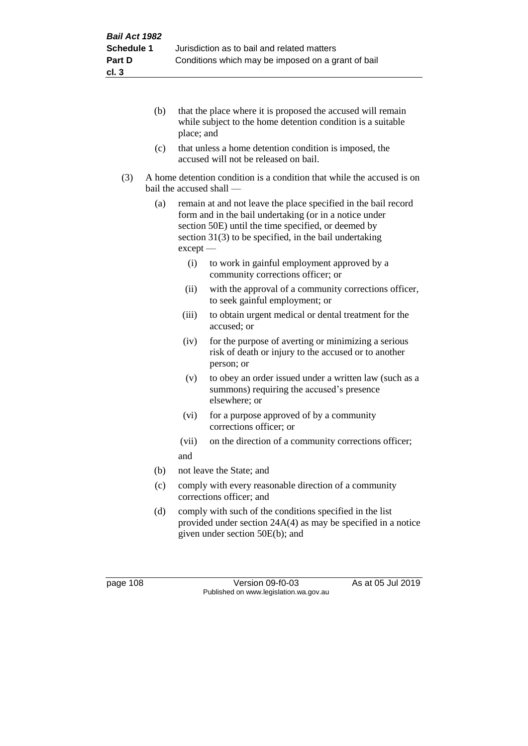- (b) that the place where it is proposed the accused will remain while subject to the home detention condition is a suitable place; and
- (c) that unless a home detention condition is imposed, the accused will not be released on bail.
- (3) A home detention condition is a condition that while the accused is on bail the accused shall —
	- (a) remain at and not leave the place specified in the bail record form and in the bail undertaking (or in a notice under section 50E) until the time specified, or deemed by section 31(3) to be specified, in the bail undertaking except —
		- (i) to work in gainful employment approved by a community corrections officer; or
		- (ii) with the approval of a community corrections officer, to seek gainful employment; or
		- (iii) to obtain urgent medical or dental treatment for the accused; or
		- (iv) for the purpose of averting or minimizing a serious risk of death or injury to the accused or to another person; or
		- (v) to obey an order issued under a written law (such as a summons) requiring the accused's presence elsewhere; or
		- (vi) for a purpose approved of by a community corrections officer; or
		- (vii) on the direction of a community corrections officer; and
	- (b) not leave the State; and
	- (c) comply with every reasonable direction of a community corrections officer; and
	- (d) comply with such of the conditions specified in the list provided under section 24A(4) as may be specified in a notice given under section 50E(b); and

page 108 Version 09-f0-03 As at 05 Jul 2019 Published on www.legislation.wa.gov.au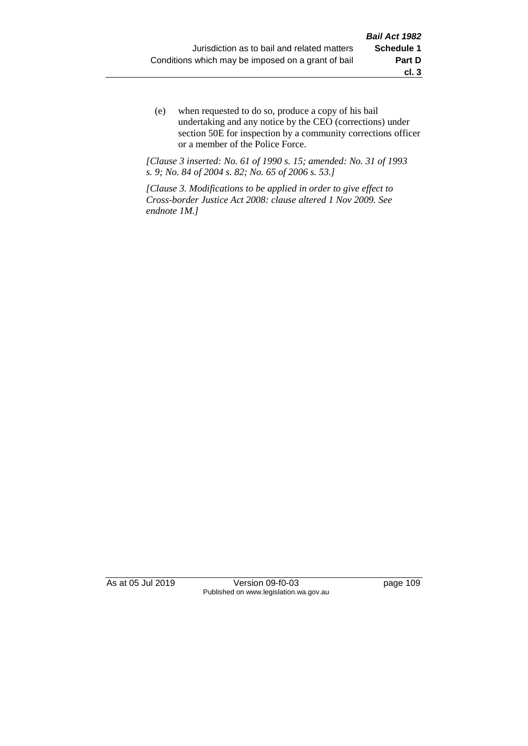(e) when requested to do so, produce a copy of his bail undertaking and any notice by the CEO (corrections) under section 50E for inspection by a community corrections officer or a member of the Police Force.

*[Clause 3 inserted: No. 61 of 1990 s. 15; amended: No. 31 of 1993 s. 9; No. 84 of 2004 s. 82; No. 65 of 2006 s. 53.]*

*[Clause 3. Modifications to be applied in order to give effect to Cross-border Justice Act 2008: clause altered 1 Nov 2009. See endnote 1M.]*

As at 05 Jul 2019 Version 09-f0-03 page 109 Published on www.legislation.wa.gov.au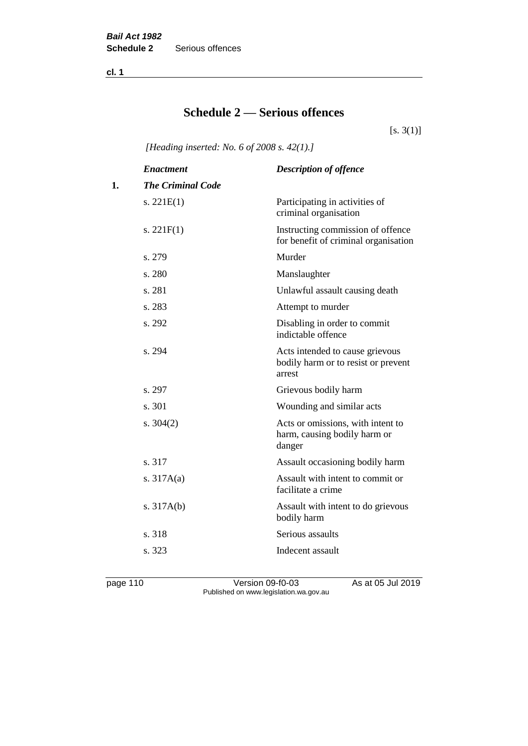**cl. 1**

## **Schedule 2 — Serious offences**

 $[s. 3(1)]$ 

*[Heading inserted: No. 6 of 2008 s. 42(1).]*

|    | <b>Enactment</b>         | <b>Description of offence</b>                                                    |
|----|--------------------------|----------------------------------------------------------------------------------|
| 1. | <b>The Criminal Code</b> |                                                                                  |
|    | s. $221E(1)$             | Participating in activities of<br>criminal organisation                          |
|    | s. $221F(1)$             | Instructing commission of offence<br>for benefit of criminal organisation        |
|    | s. 279                   | Murder                                                                           |
|    | s. 280                   | Manslaughter                                                                     |
|    | s. 281                   | Unlawful assault causing death                                                   |
|    | s. 283                   | Attempt to murder                                                                |
|    | s. 292                   | Disabling in order to commit<br>indictable offence                               |
|    | s. 294                   | Acts intended to cause grievous<br>bodily harm or to resist or prevent<br>arrest |
|    | s. 297                   | Grievous bodily harm                                                             |
|    | s. 301                   | Wounding and similar acts                                                        |
|    | s. $304(2)$              | Acts or omissions, with intent to<br>harm, causing bodily harm or<br>danger      |
|    | s. 317                   | Assault occasioning bodily harm                                                  |
|    | s. $317A(a)$             | Assault with intent to commit or<br>facilitate a crime                           |
|    | s. $317A(b)$             | Assault with intent to do grievous<br>bodily harm                                |
|    | s. 318                   | Serious assaults                                                                 |
|    | s. 323                   | Indecent assault                                                                 |
|    |                          |                                                                                  |

page 110 Version 09-f0-03 As at 05 Jul 2019 Published on www.legislation.wa.gov.au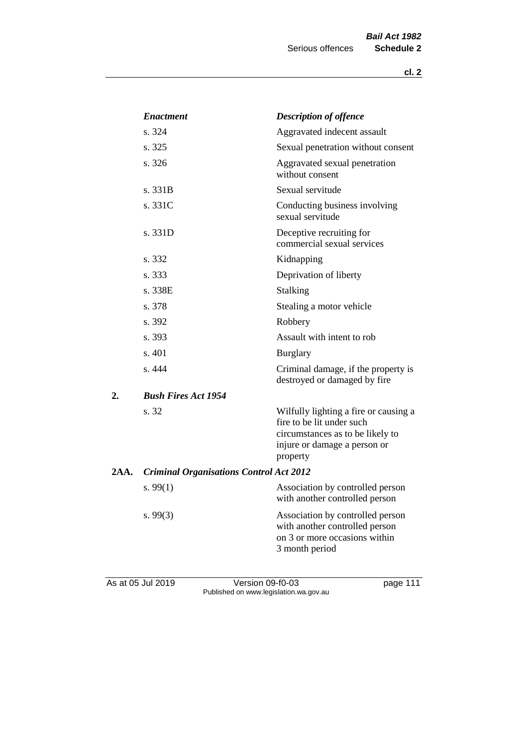|      | <b>Enactment</b>                               | <b>Description of offence</b>                                                                                                                      |
|------|------------------------------------------------|----------------------------------------------------------------------------------------------------------------------------------------------------|
|      | s. 324                                         | Aggravated indecent assault                                                                                                                        |
|      | s. 325                                         | Sexual penetration without consent                                                                                                                 |
|      | s. 326                                         | Aggravated sexual penetration<br>without consent                                                                                                   |
|      | s. 331B                                        | Sexual servitude                                                                                                                                   |
|      | s. 331C                                        | Conducting business involving<br>sexual servitude                                                                                                  |
|      | s. 331D                                        | Deceptive recruiting for<br>commercial sexual services                                                                                             |
|      | s. 332                                         | Kidnapping                                                                                                                                         |
|      | s. 333                                         | Deprivation of liberty                                                                                                                             |
|      | s. 338E                                        | Stalking                                                                                                                                           |
|      | s. 378                                         | Stealing a motor vehicle                                                                                                                           |
|      | s. 392                                         | Robbery                                                                                                                                            |
|      | s. 393                                         | Assault with intent to rob                                                                                                                         |
|      | s. 401                                         | <b>Burglary</b>                                                                                                                                    |
|      | s. 444                                         | Criminal damage, if the property is<br>destroyed or damaged by fire                                                                                |
| 2.   | <b>Bush Fires Act 1954</b>                     |                                                                                                                                                    |
|      | s. 32                                          | Wilfully lighting a fire or causing a<br>fire to be lit under such<br>circumstances as to be likely to<br>injure or damage a person or<br>property |
| 2AA. | <b>Criminal Organisations Control Act 2012</b> |                                                                                                                                                    |
|      | s. $99(1)$                                     | Association by controlled person<br>with another controlled person                                                                                 |
|      | s. $99(3)$                                     | Association by controlled person<br>with another controlled person<br>on 3 or more occasions within<br>3 month period                              |
|      |                                                |                                                                                                                                                    |

As at 05 Jul 2019 **Version 09-f0-03 page 111** Published on www.legislation.wa.gov.au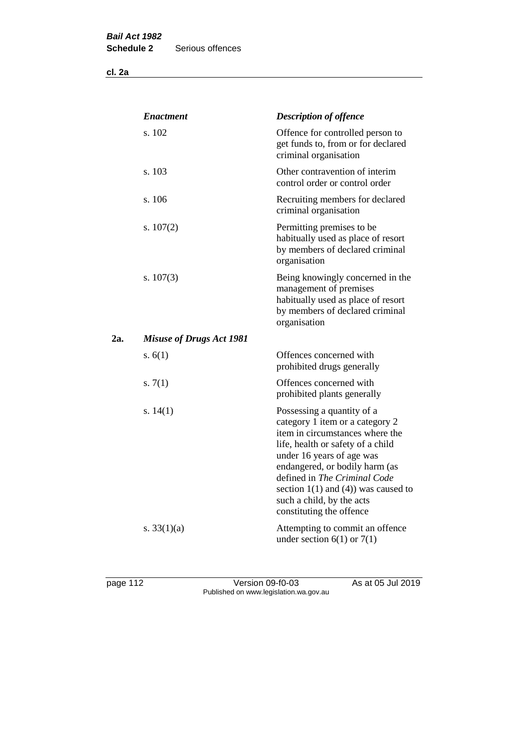**cl. 2a**

|     | <b>Enactment</b>                | <b>Description of offence</b>                                                                                                                                                                                                                                                                                                             |
|-----|---------------------------------|-------------------------------------------------------------------------------------------------------------------------------------------------------------------------------------------------------------------------------------------------------------------------------------------------------------------------------------------|
|     | s. 102                          | Offence for controlled person to<br>get funds to, from or for declared<br>criminal organisation                                                                                                                                                                                                                                           |
|     | s. 103                          | Other contravention of interim<br>control order or control order                                                                                                                                                                                                                                                                          |
|     | s. 106                          | Recruiting members for declared<br>criminal organisation                                                                                                                                                                                                                                                                                  |
|     | s. $107(2)$                     | Permitting premises to be<br>habitually used as place of resort<br>by members of declared criminal<br>organisation                                                                                                                                                                                                                        |
|     | s. $107(3)$                     | Being knowingly concerned in the<br>management of premises<br>habitually used as place of resort<br>by members of declared criminal<br>organisation                                                                                                                                                                                       |
| 2a. | <b>Misuse of Drugs Act 1981</b> |                                                                                                                                                                                                                                                                                                                                           |
|     | s. $6(1)$                       | Offences concerned with<br>prohibited drugs generally                                                                                                                                                                                                                                                                                     |
|     | s. $7(1)$                       | Offences concerned with<br>prohibited plants generally                                                                                                                                                                                                                                                                                    |
|     | s. $14(1)$                      | Possessing a quantity of a<br>category 1 item or a category 2<br>item in circumstances where the<br>life, health or safety of a child<br>under 16 years of age was<br>endangered, or bodily harm (as<br>defined in The Criminal Code<br>section $1(1)$ and $(4)$ ) was caused to<br>such a child, by the acts<br>constituting the offence |
|     | s. $33(1)(a)$                   | Attempting to commit an offence<br>under section $6(1)$ or $7(1)$                                                                                                                                                                                                                                                                         |

page 112 Version 09-f0-03 As at 05 Jul 2019 Published on www.legislation.wa.gov.au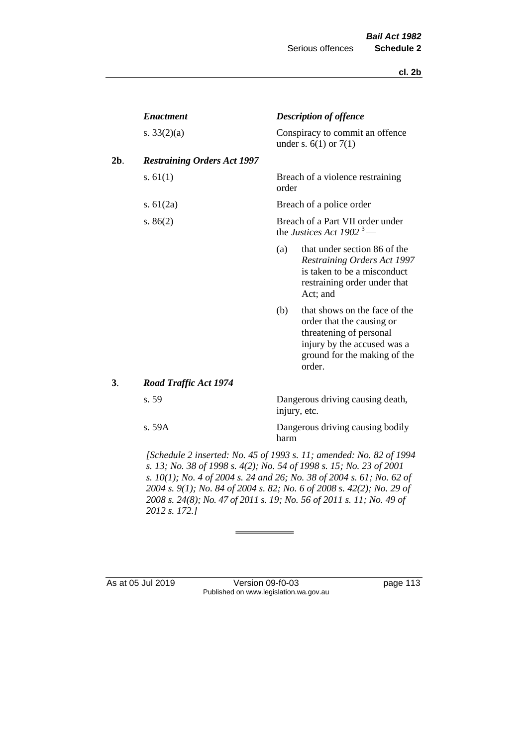|     | <b>Enactment</b>                   |       | <b>Description of offence</b>                                                                                                                                  |
|-----|------------------------------------|-------|----------------------------------------------------------------------------------------------------------------------------------------------------------------|
|     | s. $33(2)(a)$                      |       | Conspiracy to commit an offence<br>under s. $6(1)$ or $7(1)$                                                                                                   |
| 2b. | <b>Restraining Orders Act 1997</b> |       |                                                                                                                                                                |
|     | s. $61(1)$                         | order | Breach of a violence restraining                                                                                                                               |
|     | s. $61(2a)$                        |       | Breach of a police order                                                                                                                                       |
|     | s. $86(2)$                         |       | Breach of a Part VII order under<br>the Justices Act 1902 <sup>3</sup> —                                                                                       |
|     |                                    | (a)   | that under section 86 of the<br>Restraining Orders Act 1997<br>is taken to be a misconduct<br>restraining order under that<br>Act; and                         |
|     |                                    | (b)   | that shows on the face of the<br>order that the causing or<br>threatening of personal<br>injury by the accused was a<br>ground for the making of the<br>order. |
| 3.  | <b>Road Traffic Act 1974</b>       |       |                                                                                                                                                                |
|     | s. 59                              |       | Dangerous driving causing death,<br>injury, etc.                                                                                                               |
|     | s. 59A                             | harm  | Dangerous driving causing bodily                                                                                                                               |
|     |                                    |       |                                                                                                                                                                |

*[Schedule 2 inserted: No. 45 of 1993 s. 11; amended: No. 82 of 1994 s. 13; No. 38 of 1998 s. 4(2); No. 54 of 1998 s. 15; No. 23 of 2001 s. 10(1); No. 4 of 2004 s. 24 and 26; No. 38 of 2004 s. 61; No. 62 of 2004 s. 9(1); No. 84 of 2004 s. 82; No. 6 of 2008 s. 42(2); No. 29 of 2008 s. 24(8); No. 47 of 2011 s. 19; No. 56 of 2011 s. 11; No. 49 of 2012 s. 172.]* 

As at 05 Jul 2019 Version 09-f0-03 page 113 Published on www.legislation.wa.gov.au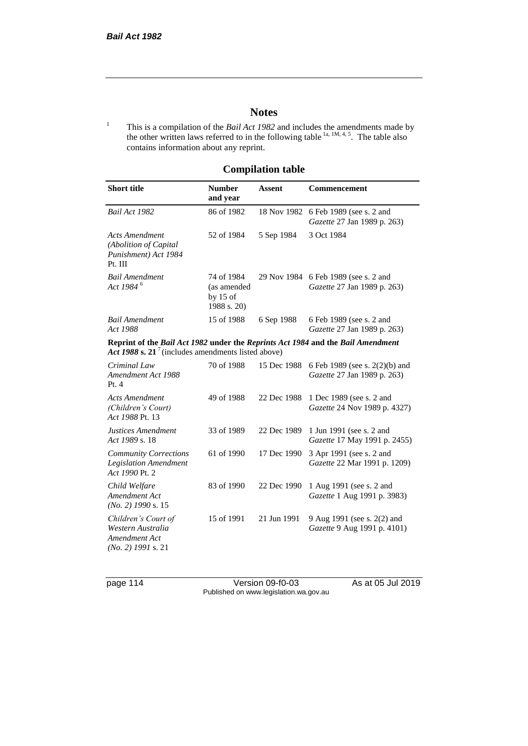## **Notes**

<sup>1</sup> This is a compilation of the *Bail Act 1982* and includes the amendments made by the other written laws referred to in the following table  $1a, 1M, 4, 5$ . The table also contains information about any reprint.

## **Compilation table**

| <b>Short title</b>                                                                                                                                | <b>Number</b><br>and year                              | Assent      | Commencement                                                        |
|---------------------------------------------------------------------------------------------------------------------------------------------------|--------------------------------------------------------|-------------|---------------------------------------------------------------------|
| Bail Act 1982                                                                                                                                     | 86 of 1982                                             | 18 Nov 1982 | 6 Feb 1989 (see s. 2 and<br>Gazette 27 Jan 1989 p. 263)             |
| <b>Acts Amendment</b><br>(Abolition of Capital<br>Punishment) Act 1984<br>Pt. III                                                                 | 52 of 1984                                             | 5 Sep 1984  | 3 Oct 1984                                                          |
| <b>Bail Amendment</b><br>Act 1984 <sup>6</sup>                                                                                                    | 74 of 1984<br>(as amended<br>by $15$ of<br>1988 s. 20) |             | 29 Nov 1984 6 Feb 1989 (see s. 2 and<br>Gazette 27 Jan 1989 p. 263) |
| <b>Bail Amendment</b><br>Act 1988                                                                                                                 | 15 of 1988                                             | 6 Sep 1988  | 6 Feb 1989 (see s. 2 and<br>Gazette 27 Jan 1989 p. 263)             |
| Reprint of the Bail Act 1982 under the Reprints Act 1984 and the Bail Amendment<br>Act 1988 s. 21 <sup>7</sup> (includes amendments listed above) |                                                        |             |                                                                     |
| Criminal Law<br>Amendment Act 1988<br>Pt.4                                                                                                        | 70 of 1988                                             | 15 Dec 1988 | 6 Feb 1989 (see s. 2(2)(b) and<br>Gazette 27 Jan 1989 p. 263)       |
| <b>Acts Amendment</b><br>(Children's Court)<br>Act 1988 Pt. 13                                                                                    | 49 of 1988                                             | 22 Dec 1988 | 1 Dec 1989 (see s. 2 and<br>Gazette 24 Nov 1989 p. 4327)            |
| Justices Amendment<br>Act 1989 s. 18                                                                                                              | 33 of 1989                                             | 22 Dec 1989 | 1 Jun 1991 (see s. 2 and<br>Gazette 17 May 1991 p. 2455)            |
| <b>Community Corrections</b><br><b>Legislation Amendment</b><br>Act 1990 Pt. 2                                                                    | 61 of 1990                                             | 17 Dec 1990 | 3 Apr 1991 (see s. 2 and<br>Gazette 22 Mar 1991 p. 1209)            |
| Child Welfare<br>Amendment Act<br>$(No. 2)$ 1990 s. 15                                                                                            | 83 of 1990                                             | 22 Dec 1990 | 1 Aug 1991 (see s. 2 and<br>Gazette 1 Aug 1991 p. 3983)             |
| Children's Court of<br>Western Australia<br>Amendment Act<br>$(No. 2)$ 1991 s. 21                                                                 | 15 of 1991                                             | 21 Jun 1991 | 9 Aug 1991 (see s. 2(2) and<br>Gazette 9 Aug 1991 p. 4101)          |

page 114 Version 09-f0-03 As at 05 Jul 2019 Published on www.legislation.wa.gov.au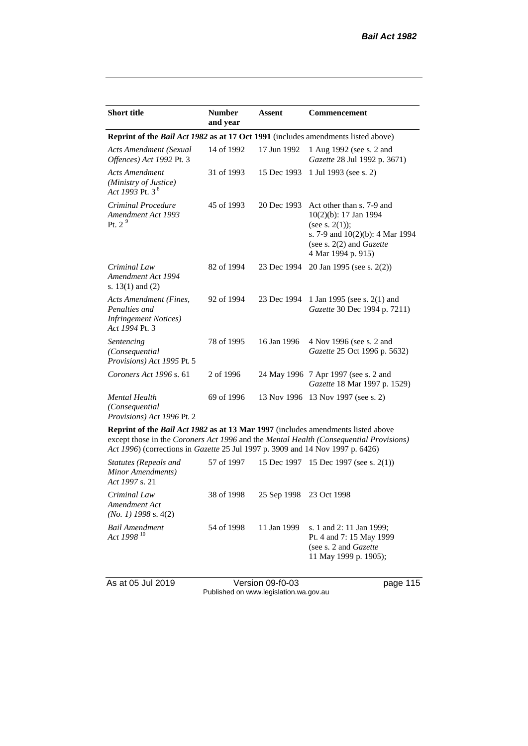| <b>Short title</b>                                                                         | <b>Number</b><br>and year | Assent      | <b>Commencement</b>                                                                                                                                                |
|--------------------------------------------------------------------------------------------|---------------------------|-------------|--------------------------------------------------------------------------------------------------------------------------------------------------------------------|
| <b>Reprint of the Bail Act 1982 as at 17 Oct 1991</b> (includes amendments listed above)   |                           |             |                                                                                                                                                                    |
| <b>Acts Amendment (Sexual</b><br>Offences) Act 1992 Pt. 3                                  | 14 of 1992                | 17 Jun 1992 | 1 Aug 1992 (see s. 2 and<br>Gazette 28 Jul 1992 p. 3671)                                                                                                           |
| <b>Acts Amendment</b><br>(Ministry of Justice)<br>Act 1993 Pt. 3 <sup>8</sup>              | 31 of 1993                | 15 Dec 1993 | 1 Jul 1993 (see s. 2)                                                                                                                                              |
| Criminal Procedure<br>Amendment Act 1993<br>Pt. $29$                                       | 45 of 1993                | 20 Dec 1993 | Act other than s. 7-9 and<br>$10(2)(b)$ : 17 Jan 1994<br>(see s. $2(1)$ );<br>s. 7-9 and $10(2)(b)$ : 4 Mar 1994<br>(see s. 2(2) and Gazette<br>4 Mar 1994 p. 915) |
| Criminal Law<br>Amendment Act 1994<br>s. $13(1)$ and $(2)$                                 | 82 of 1994                | 23 Dec 1994 | 20 Jan 1995 (see s. 2(2))                                                                                                                                          |
| Acts Amendment (Fines,<br>Penalties and<br><b>Infringement Notices</b> )<br>Act 1994 Pt. 3 | 92 of 1994                | 23 Dec 1994 | 1 Jan 1995 (see s. 2(1) and<br>Gazette 30 Dec 1994 p. 7211)                                                                                                        |
| Sentencing<br>(Consequential<br>Provisions) Act 1995 Pt. 5                                 | 78 of 1995                | 16 Jan 1996 | 4 Nov 1996 (see s. 2 and<br>Gazette 25 Oct 1996 p. 5632)                                                                                                           |
| Coroners Act 1996 s. 61                                                                    | 2 of 1996                 |             | 24 May 1996 7 Apr 1997 (see s. 2 and<br>Gazette 18 Mar 1997 p. 1529)                                                                                               |
| <b>Mental Health</b><br>(Consequential<br>Provisions) Act 1996 Pt. 2                       | 69 of 1996                |             | 13 Nov 1996 13 Nov 1997 (see s. 2)                                                                                                                                 |

**Reprint of the** *Bail Act 1982* **as at 13 Mar 1997** (includes amendments listed above except those in the *Coroners Act 1996* and the *Mental Health (Consequential Provisions) Act 1996*) (corrections in *Gazette* 25 Jul 1997 p. 3909 and 14 Nov 1997 p. 6426)

| Statutes (Repeals and<br>Minor Amendments)<br>Act 1997 s. 21 | 57 of 1997 |                         | 15 Dec 1997 15 Dec 1997 (see s. 2(1))                                                                           |
|--------------------------------------------------------------|------------|-------------------------|-----------------------------------------------------------------------------------------------------------------|
| Criminal Law<br>Amendment Act<br>$(No. 1)$ 1998 s. 4(2)      | 38 of 1998 | 25 Sep 1998 23 Oct 1998 |                                                                                                                 |
| Bail Amendment<br>Act 1998 <sup>10</sup>                     | 54 of 1998 | 11 Jan 1999             | s. 1 and 2: 11 Jan 1999;<br>Pt. 4 and 7: 15 May 1999<br>(see s. 2 and <i>Gazette</i> )<br>11 May 1999 p. 1905); |

As at 05 Jul 2019 Version 09-f0-03 page 115 Published on www.legislation.wa.gov.au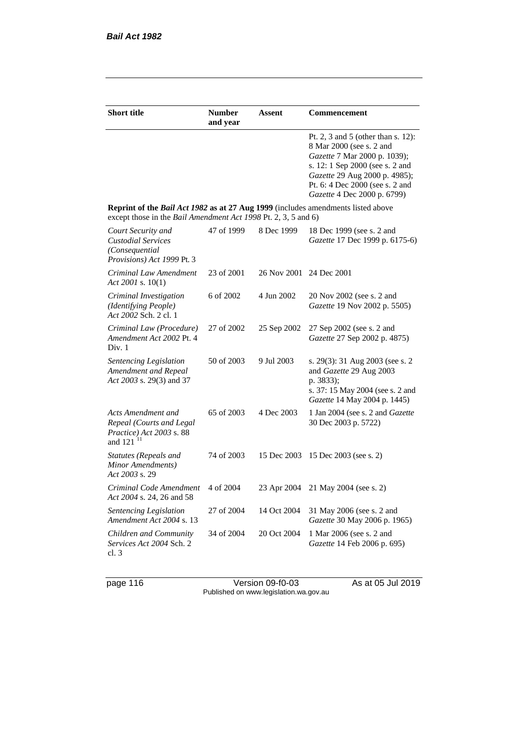| <b>Short title</b>                                                                                                                                        | <b>Number</b><br>and year | Assent      | Commencement                                                                                                                                                                                                                         |
|-----------------------------------------------------------------------------------------------------------------------------------------------------------|---------------------------|-------------|--------------------------------------------------------------------------------------------------------------------------------------------------------------------------------------------------------------------------------------|
|                                                                                                                                                           |                           |             | Pt. 2, 3 and 5 (other than s. 12):<br>8 Mar 2000 (see s. 2 and<br>Gazette 7 Mar 2000 p. 1039);<br>s. 12: 1 Sep 2000 (see s. 2 and<br>Gazette 29 Aug 2000 p. 4985);<br>Pt. 6: 4 Dec 2000 (see s. 2 and<br>Gazette 4 Dec 2000 p. 6799) |
| <b>Reprint of the Bail Act 1982 as at 27 Aug 1999</b> (includes amendments listed above<br>except those in the Bail Amendment Act 1998 Pt. 2, 3, 5 and 6) |                           |             |                                                                                                                                                                                                                                      |
| Court Security and<br><b>Custodial Services</b><br>(Consequential<br>Provisions) Act 1999 Pt. 3                                                           | 47 of 1999                | 8 Dec 1999  | 18 Dec 1999 (see s. 2 and<br>Gazette 17 Dec 1999 p. 6175-6)                                                                                                                                                                          |
| Criminal Law Amendment<br>Act 2001 s. $10(1)$                                                                                                             | 23 of 2001                | 26 Nov 2001 | 24 Dec 2001                                                                                                                                                                                                                          |
| Criminal Investigation<br>(Identifying People)<br>Act 2002 Sch. 2 cl. 1                                                                                   | 6 of 2002                 | 4 Jun 2002  | 20 Nov 2002 (see s. 2 and<br>Gazette 19 Nov 2002 p. 5505)                                                                                                                                                                            |
| Criminal Law (Procedure)<br>Amendment Act 2002 Pt. 4<br>Div. 1                                                                                            | 27 of 2002                | 25 Sep 2002 | 27 Sep 2002 (see s. 2 and<br>Gazette 27 Sep 2002 p. 4875)                                                                                                                                                                            |
| Sentencing Legislation<br>Amendment and Repeal<br>Act 2003 s. 29(3) and 37                                                                                | 50 of 2003                | 9 Jul 2003  | s. 29(3): 31 Aug 2003 (see s. 2<br>and Gazette 29 Aug 2003<br>p. 3833);<br>s. 37: 15 May 2004 (see s. 2 and<br>Gazette 14 May 2004 p. 1445)                                                                                          |
| Acts Amendment and<br>Repeal (Courts and Legal<br>Practice) Act 2003 s. 88<br>and $121$ <sup>11</sup>                                                     | 65 of 2003                | 4 Dec 2003  | 1 Jan 2004 (see s. 2 and Gazette<br>30 Dec 2003 p. 5722)                                                                                                                                                                             |
| Statutes (Repeals and<br>Minor Amendments)<br>Act 2003 s. 29                                                                                              | 74 of 2003                | 15 Dec 2003 | 15 Dec 2003 (see s. 2)                                                                                                                                                                                                               |
| Criminal Code Amendment<br>Act 2004 s. 24, 26 and 58                                                                                                      | 4 of 2004                 | 23 Apr 2004 | 21 May 2004 (see s. 2)                                                                                                                                                                                                               |
| Sentencing Legislation<br>Amendment Act 2004 s. 13                                                                                                        | 27 of 2004                | 14 Oct 2004 | 31 May 2006 (see s. 2 and<br>Gazette 30 May 2006 p. 1965)                                                                                                                                                                            |
| Children and Community<br>Services Act 2004 Sch. 2<br>cl.3                                                                                                | 34 of 2004                | 20 Oct 2004 | 1 Mar 2006 (see s. 2 and<br>Gazette 14 Feb 2006 p. 695)                                                                                                                                                                              |

page 116 **As at 05 Jul 2019** Version 09-f0-03 As at 05 Jul 2019 Published on www.legislation.wa.gov.au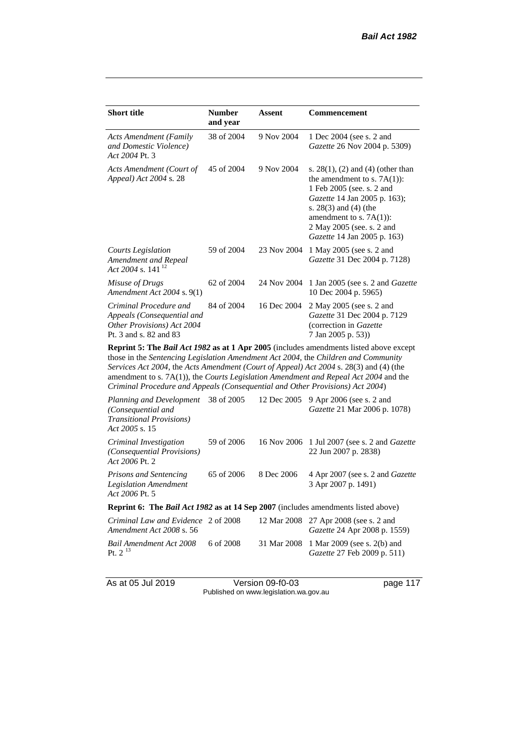| <b>Short title</b>                                                                                           | <b>Number</b><br>and year | Assent      | Commencement                                                                                                                                                                                                                                                           |  |  |
|--------------------------------------------------------------------------------------------------------------|---------------------------|-------------|------------------------------------------------------------------------------------------------------------------------------------------------------------------------------------------------------------------------------------------------------------------------|--|--|
| <b>Acts Amendment (Family</b><br>and Domestic Violence)<br>Act 2004 Pt. 3                                    | 38 of 2004                | 9 Nov 2004  | 1 Dec 2004 (see s. 2 and<br><i>Gazette</i> 26 Nov 2004 p. 5309)                                                                                                                                                                                                        |  |  |
| Acts Amendment (Court of<br>Appeal) Act 2004 s. 28                                                           | 45 of 2004                | 9 Nov 2004  | s. $28(1)$ , (2) and (4) (other than<br>the amendment to s. $7A(1)$ :<br>1 Feb 2005 (see. s. 2 and<br><i>Gazette</i> 14 Jan 2005 p. 163);<br>s. $28(3)$ and $(4)$ (the<br>amendment to s. $7A(1)$ :<br>2 May 2005 (see. s. 2 and<br><i>Gazette</i> 14 Jan 2005 p. 163) |  |  |
| Courts Legislation<br>Amendment and Repeal<br>Act 2004 s. 141 <sup>12</sup>                                  | 59 of 2004                | 23 Nov 2004 | 1 May 2005 (see s. 2 and<br>Gazette 31 Dec 2004 p. 7128)                                                                                                                                                                                                               |  |  |
| Misuse of Drugs<br>Amendment Act 2004 s. 9(1)                                                                | 62 of 2004                | 24 Nov 2004 | 1 Jan 2005 (see s. 2 and <i>Gazette</i><br>10 Dec 2004 p. 5965)                                                                                                                                                                                                        |  |  |
| Criminal Procedure and<br>Appeals (Consequential and<br>Other Provisions) Act 2004<br>Pt. 3 and s. 82 and 83 | 84 of 2004                | 16 Dec 2004 | 2 May 2005 (see s. 2 and<br>Gazette 31 Dec 2004 p. 7129<br>(correction in Gazette)<br>7 Jan 2005 p. 53))                                                                                                                                                               |  |  |
| <b>Reparint 5: The Rail Act 1082 as at 1 Apr 2005</b> (includes amondments listed above except               |                           |             |                                                                                                                                                                                                                                                                        |  |  |

**Reprint 5: The** *Bail Act 1982* **as at 1 Apr 2005** (includes amendments listed above except those in the *Sentencing Legislation Amendment Act 2004*, the *Children and Community Services Act 2004*, the *Acts Amendment (Court of Appeal) Act 2004* s. 28(3) and (4) (the amendment to s. 7A(1)), the *Courts Legislation Amendment and Repeal Act 2004* and the *Criminal Procedure and Appeals (Consequential and Other Provisions) Act 2004*)

| Planning and Development<br>(Consequential and<br><b>Transitional Provisions</b> )<br>Act 2005 s. 15 | 38 of 2005 | 12 Dec 2005 | 9 Apr 2006 (see s. 2 and<br>Gazette 21 Mar 2006 p. 1078)                      |
|------------------------------------------------------------------------------------------------------|------------|-------------|-------------------------------------------------------------------------------|
| Criminal Investigation<br>(Consequential Provisions)<br>Act 2006 Pt. 2                               | 59 of 2006 |             | 16 Nov 2006 1 Jul 2007 (see s. 2 and <i>Gazette</i><br>22 Jun 2007 p. 2838)   |
| <b>Prisons and Sentencing</b><br><b>Legislation Amendment</b><br>Act 2006 Pt. 5                      | 65 of 2006 | 8 Dec 2006  | 4 Apr 2007 (see s. 2 and Gazette<br>3 Apr 2007 p. 1491)                       |
| <b>Reprint 6: The Bail Act 1982 as at 14 Sep 2007</b> (includes amendments listed above)             |            |             |                                                                               |
| Criminal Law and Evidence 2 of 2008<br>Amendment Act 2008 s. 56                                      |            |             | 12 Mar 2008 27 Apr 2008 (see s. 2 and<br><i>Gazette</i> 24 Apr 2008 p. 1559)  |
| Bail Amendment Act 2008<br>Pt. $2^{13}$                                                              | 6 of 2008  |             | 31 Mar 2008 1 Mar 2009 (see s. 2(b) and<br><i>Gazette</i> 27 Feb 2009 p. 511) |

As at 05 Jul 2019 Version 09-f0-03 page 117 Published on www.legislation.wa.gov.au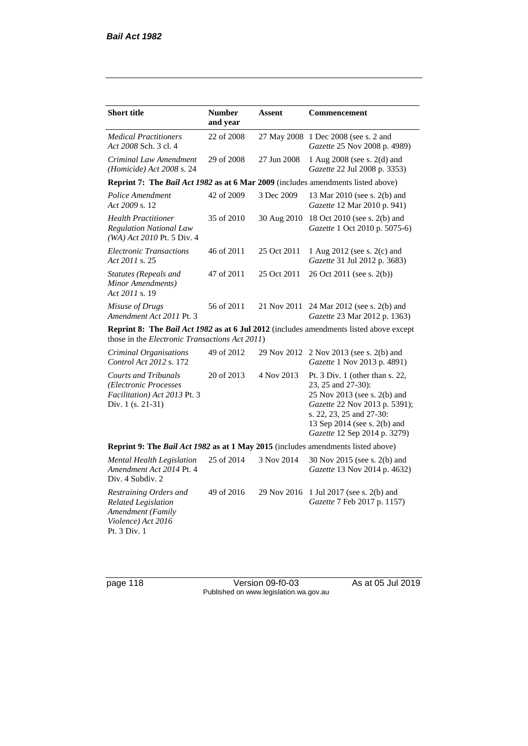| <b>Short title</b>                                                                                              | <b>Number</b><br>and year | Assent      | Commencement                                                                                                                                                                                                       |
|-----------------------------------------------------------------------------------------------------------------|---------------------------|-------------|--------------------------------------------------------------------------------------------------------------------------------------------------------------------------------------------------------------------|
| <b>Medical Practitioners</b><br>Act 2008 Sch. 3 cl. 4                                                           | 22 of 2008                | 27 May 2008 | 1 Dec 2008 (see s. 2 and<br>Gazette 25 Nov 2008 p. 4989)                                                                                                                                                           |
| Criminal Law Amendment<br>(Homicide) Act 2008 s. 24                                                             | 29 of 2008                | 27 Jun 2008 | 1 Aug 2008 (see s. 2(d) and<br>Gazette 22 Jul 2008 p. 3353)                                                                                                                                                        |
| Reprint 7: The Bail Act 1982 as at 6 Mar 2009 (includes amendments listed above)                                |                           |             |                                                                                                                                                                                                                    |
| Police Amendment<br>Act 2009 s. 12                                                                              | 42 of 2009                | 3 Dec 2009  | 13 Mar 2010 (see s. 2(b) and<br>Gazette 12 Mar 2010 p. 941)                                                                                                                                                        |
| <b>Health Practitioner</b><br><b>Regulation National Law</b><br>(WA) Act 2010 Pt. 5 Div. 4                      | 35 of 2010                | 30 Aug 2010 | 18 Oct 2010 (see s. 2(b) and<br>Gazette 1 Oct 2010 p. 5075-6)                                                                                                                                                      |
| <b>Electronic Transactions</b><br>Act 2011 s. 25                                                                | 46 of 2011                | 25 Oct 2011 | 1 Aug 2012 (see s. 2(c) and<br>Gazette 31 Jul 2012 p. 3683)                                                                                                                                                        |
| <b>Statutes (Repeals and</b><br>Minor Amendments)<br>Act 2011 s. 19                                             | 47 of 2011                | 25 Oct 2011 | 26 Oct 2011 (see s. 2(b))                                                                                                                                                                                          |
| Misuse of Drugs<br>Amendment Act 2011 Pt. 3                                                                     | 56 of 2011                | 21 Nov 2011 | 24 Mar 2012 (see s. 2(b) and<br>Gazette 23 Mar 2012 p. 1363)                                                                                                                                                       |
| those in the <i>Electronic Transactions Act 2011</i> )                                                          |                           |             | <b>Reprint 8: The Bail Act 1982 as at 6 Jul 2012</b> (includes amendments listed above except                                                                                                                      |
| Criminal Organisations<br>Control Act 2012 s. 172                                                               | 49 of 2012                | 29 Nov 2012 | 2 Nov 2013 (see s. 2(b) and<br>Gazette 1 Nov 2013 p. 4891)                                                                                                                                                         |
| <b>Courts and Tribunals</b><br>(Electronic Processes<br>Facilitation) Act 2013 Pt. 3<br>Div. 1 (s. 21-31)       | 20 of 2013                | 4 Nov 2013  | Pt. 3 Div. 1 (other than s. 22,<br>23, 25 and 27-30):<br>25 Nov 2013 (see s. 2(b) and<br>Gazette 22 Nov 2013 p. 5391);<br>s. 22, 23, 25 and 27-30:<br>13 Sep 2014 (see s. 2(b) and<br>Gazette 12 Sep 2014 p. 3279) |
| Reprint 9: The Bail Act 1982 as at 1 May 2015 (includes amendments listed above)                                |                           |             |                                                                                                                                                                                                                    |
| Mental Health Legislation<br>Amendment Act 2014 Pt. 4<br>Div. 4 Subdiv. 2                                       | 25 of 2014                | 3 Nov 2014  | 30 Nov 2015 (see s. 2(b) and<br>Gazette 13 Nov 2014 p. 4632)                                                                                                                                                       |
| Restraining Orders and<br><b>Related Legislation</b><br>Amendment (Family<br>Violence) Act 2016<br>Pt. 3 Div. 1 | 49 of 2016                | 29 Nov 2016 | 1 Jul 2017 (see s. 2(b) and<br>Gazette 7 Feb 2017 p. 1157)                                                                                                                                                         |

page 118 Version 09-f0-03 As at 05 Jul 2019 Published on www.legislation.wa.gov.au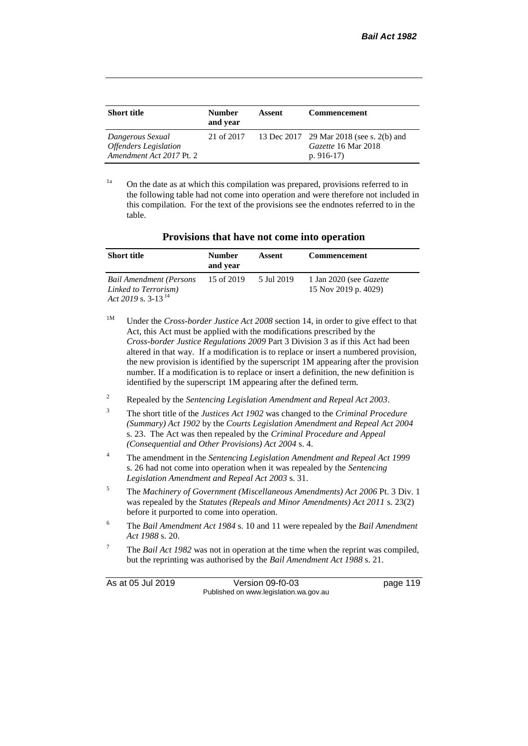| <b>Short title</b>                                                           | <b>Number</b><br>and year | Assent | <b>Commencement</b>                                                            |
|------------------------------------------------------------------------------|---------------------------|--------|--------------------------------------------------------------------------------|
| Dangerous Sexual<br><b>Offenders</b> Legislation<br>Amendment Act 2017 Pt. 2 | 21 of 2017                |        | 13 Dec 2017 29 Mar 2018 (see s. 2(b) and<br>Gazette 16 Mar 2018<br>p. $916-17$ |

 $1a$  On the date as at which this compilation was prepared, provisions referred to in the following table had not come into operation and were therefore not included in this compilation. For the text of the provisions see the endnotes referred to in the table.

| Provisions that have not come into operation |  |  |  |  |  |  |
|----------------------------------------------|--|--|--|--|--|--|
|----------------------------------------------|--|--|--|--|--|--|

| <b>Short title</b>                                                                | <b>Number</b><br>and year | Assent     | <b>Commencement</b>                                    |
|-----------------------------------------------------------------------------------|---------------------------|------------|--------------------------------------------------------|
| <b>Bail Amendment (Persons</b><br>Linked to Terrorism)<br>Act 2019 s. $3-13^{14}$ | 15 of 2019                | 5 Jul 2019 | 1 Jan 2020 (see <i>Gazette</i><br>15 Nov 2019 p. 4029) |

- <sup>1M</sup> Under the *Cross-border Justice Act 2008* section 14, in order to give effect to that Act, this Act must be applied with the modifications prescribed by the *Cross-border Justice Regulations 2009* Part 3 Division 3 as if this Act had been altered in that way. If a modification is to replace or insert a numbered provision, the new provision is identified by the superscript 1M appearing after the provision number. If a modification is to replace or insert a definition, the new definition is identified by the superscript 1M appearing after the defined term.
- <sup>2</sup> Repealed by the *Sentencing Legislation Amendment and Repeal Act 2003*.
- <sup>3</sup> The short title of the *Justices Act 1902* was changed to the *Criminal Procedure (Summary) Act 1902* by the *Courts Legislation Amendment and Repeal Act 2004*  s. 23. The Act was then repealed by the *Criminal Procedure and Appeal (Consequential and Other Provisions) Act 2004* s. 4.
- <sup>4</sup> The amendment in the *Sentencing Legislation Amendment and Repeal Act 1999* s. 26 had not come into operation when it was repealed by the *Sentencing Legislation Amendment and Repeal Act 2003* s. 31.
- <sup>5</sup> The *Machinery of Government (Miscellaneous Amendments) Act 2006* Pt. 3 Div. 1 was repealed by the *Statutes (Repeals and Minor Amendments) Act 2011* s. 23(2) before it purported to come into operation.
- <sup>6</sup> The *Bail Amendment Act 1984* s. 10 and 11 were repealed by the *Bail Amendment Act 1988* s. 20.
- <sup>7</sup> The *Bail Act 1982* was not in operation at the time when the reprint was compiled, but the reprinting was authorised by the *Bail Amendment Act 1988* s. 21.

As at 05 Jul 2019 Version 09-f0-03 page 119 Published on www.legislation.wa.gov.au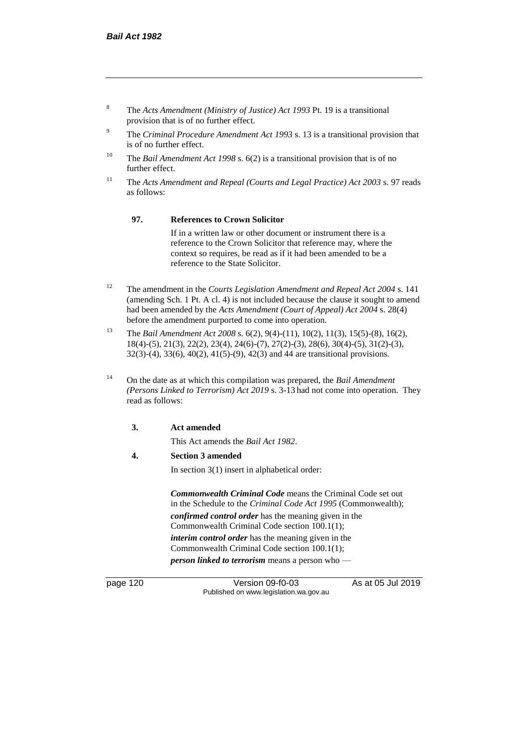- <sup>8</sup> The *Acts Amendment (Ministry of Justice) Act 1993* Pt. 19 is a transitional provision that is of no further effect.
- <sup>9</sup> The *Criminal Procedure Amendment Act 1993* s. 13 is a transitional provision that is of no further effect.
- <sup>10</sup> The *Bail Amendment Act 1998* s. 6(2) is a transitional provision that is of no further effect.
- <sup>11</sup> The *Acts Amendment and Repeal (Courts and Legal Practice) Act 2003* s. 97 reads as follows:

#### **97. References to Crown Solicitor**

If in a written law or other document or instrument there is a reference to the Crown Solicitor that reference may, where the context so requires, be read as if it had been amended to be a reference to the State Solicitor.

- <sup>12</sup> The amendment in the *Courts Legislation Amendment and Repeal Act 2004* s. 141 (amending Sch. 1 Pt. A cl. 4) is not included because the clause it sought to amend had been amended by the *Acts Amendment (Court of Appeal) Act 2004* s. 28(4) before the amendment purported to come into operation.
- <sup>13</sup> The *Bail Amendment Act 2008* s. 6(2), 9(4)-(11), 10(2), 11(3), 15(5)-(8), 16(2), 18(4)-(5), 21(3), 22(2), 23(4), 24(6)-(7), 27(2)-(3), 28(6), 30(4)-(5), 31(2)-(3), 32(3)-(4), 33(6), 40(2), 41(5)-(9), 42(3) and 44 are transitional provisions.
- <sup>14</sup> On the date as at which this compilation was prepared, the *Bail Amendment (Persons Linked to Terrorism) Act 2019* s. 3-13 had not come into operation. They read as follows:

#### **3. Act amended**

This Act amends the *Bail Act 1982*.

#### **4. Section 3 amended**

In section 3(1) insert in alphabetical order:

*Commonwealth Criminal Code* means the Criminal Code set out in the Schedule to the *Criminal Code Act 1995* (Commonwealth); *confirmed control order* has the meaning given in the Commonwealth Criminal Code section 100.1(1); *interim control order* has the meaning given in the Commonwealth Criminal Code section 100.1(1); *person linked to terrorism* means a person who —

page 120 Version 09-f0-03 As at 05 Jul 2019 Published on www.legislation.wa.gov.au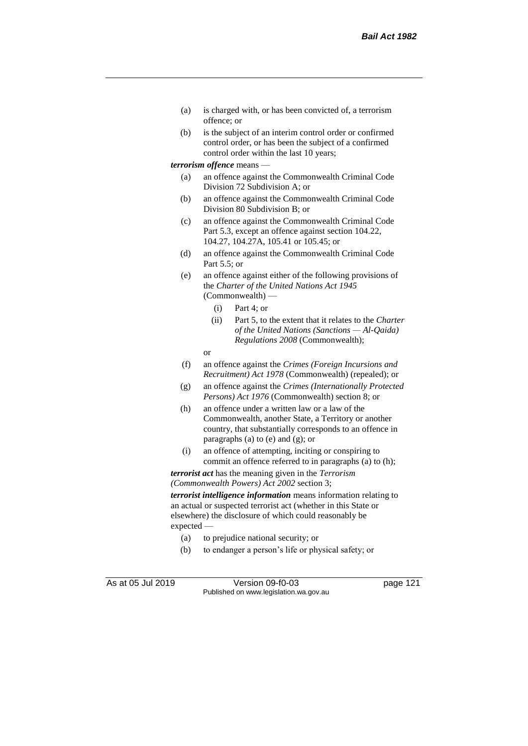- (a) is charged with, or has been convicted of, a terrorism offence; or
- (b) is the subject of an interim control order or confirmed control order, or has been the subject of a confirmed control order within the last 10 years;

#### *terrorism offence* means —

- (a) an offence against the Commonwealth Criminal Code Division 72 Subdivision A; or
- (b) an offence against the Commonwealth Criminal Code Division 80 Subdivision B; or
- (c) an offence against the Commonwealth Criminal Code Part 5.3, except an offence against section 104.22, 104.27, 104.27A, 105.41 or 105.45; or
- (d) an offence against the Commonwealth Criminal Code Part 5.5; or
- (e) an offence against either of the following provisions of the *Charter of the United Nations Act 1945*  (Commonwealth) —
	- (i) Part 4; or
	- (ii) Part 5, to the extent that it relates to the *Charter of the United Nations (Sanctions — Al-Qaida) Regulations 2008* (Commonwealth);
	- or
- (f) an offence against the *Crimes (Foreign Incursions and Recruitment) Act 1978* (Commonwealth) (repealed); or
- (g) an offence against the *Crimes (Internationally Protected Persons) Act 1976* (Commonwealth) section 8; or
- (h) an offence under a written law or a law of the Commonwealth, another State, a Territory or another country, that substantially corresponds to an offence in paragraphs (a) to (e) and (g); or
- (i) an offence of attempting, inciting or conspiring to commit an offence referred to in paragraphs (a) to (h);

*terrorist act* has the meaning given in the *Terrorism (Commonwealth Powers) Act 2002* section 3;

*terrorist intelligence information* means information relating to an actual or suspected terrorist act (whether in this State or elsewhere) the disclosure of which could reasonably be expected —

- (a) to prejudice national security; or
- (b) to endanger a person's life or physical safety; or

As at 05 Jul 2019 Version 09-f0-03 page 121 Published on www.legislation.wa.gov.au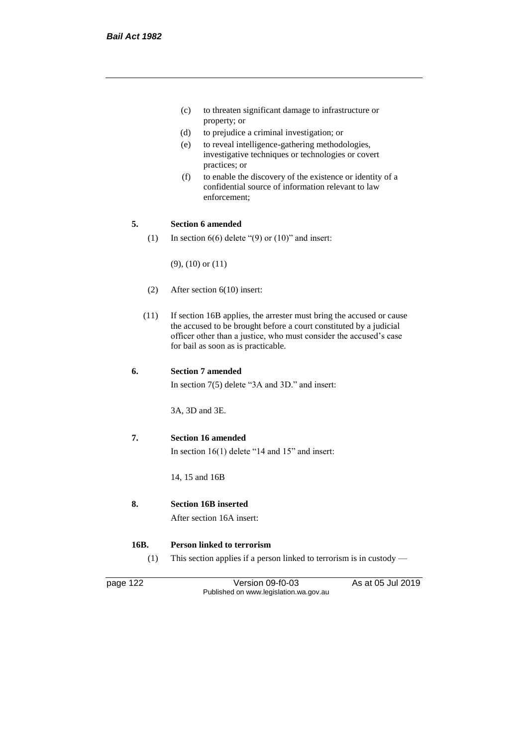- (c) to threaten significant damage to infrastructure or property; or
- (d) to prejudice a criminal investigation; or
- (e) to reveal intelligence-gathering methodologies, investigative techniques or technologies or covert practices; or
- (f) to enable the discovery of the existence or identity of a confidential source of information relevant to law enforcement;

#### **5. Section 6 amended**

(1) In section  $6(6)$  delete " $(9)$  or  $(10)$ " and insert:

(9), (10) or (11)

- (2) After section 6(10) insert:
- (11) If section 16B applies, the arrester must bring the accused or cause the accused to be brought before a court constituted by a judicial officer other than a justice, who must consider the accused's case for bail as soon as is practicable.

#### **6. Section 7 amended**

In section 7(5) delete "3A and 3D." and insert:

3A, 3D and 3E.

#### **7. Section 16 amended**

In section 16(1) delete "14 and 15" and insert:

14, 15 and 16B

## **8. Section 16B inserted**

After section 16A insert:

#### **16B. Person linked to terrorism**

(1) This section applies if a person linked to terrorism is in custody —

page 122 Version 09-f0-03 As at 05 Jul 2019 Published on www.legislation.wa.gov.au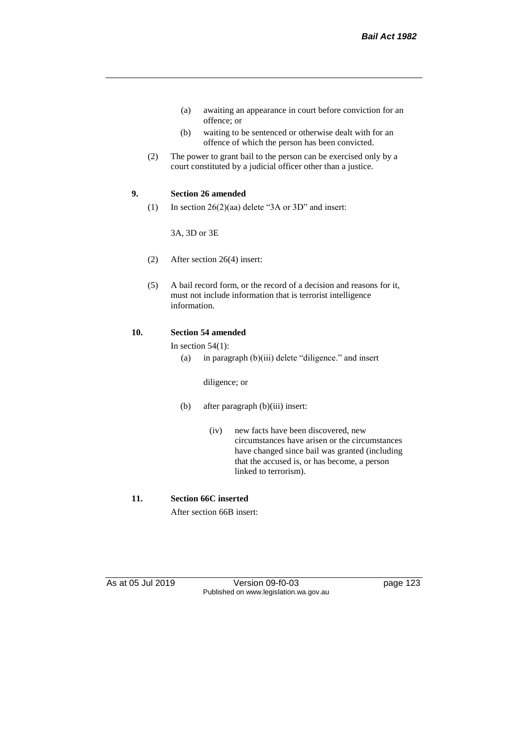- (a) awaiting an appearance in court before conviction for an offence; or
- (b) waiting to be sentenced or otherwise dealt with for an offence of which the person has been convicted.
- (2) The power to grant bail to the person can be exercised only by a court constituted by a judicial officer other than a justice.

#### **9. Section 26 amended**

(1) In section  $26(2)(aa)$  delete "3A or 3D" and insert:

3A, 3D or 3E

- (2) After section 26(4) insert:
- (5) A bail record form, or the record of a decision and reasons for it, must not include information that is terrorist intelligence information.

#### **10. Section 54 amended**

#### In section  $54(1)$ :

(a) in paragraph (b)(iii) delete "diligence." and insert

#### diligence; or

- (b) after paragraph (b)(iii) insert:
	- (iv) new facts have been discovered, new circumstances have arisen or the circumstances have changed since bail was granted (including that the accused is, or has become, a person linked to terrorism).

#### **11. Section 66C inserted**

After section 66B insert:

As at 05 Jul 2019 Version 09-f0-03 page 123 Published on www.legislation.wa.gov.au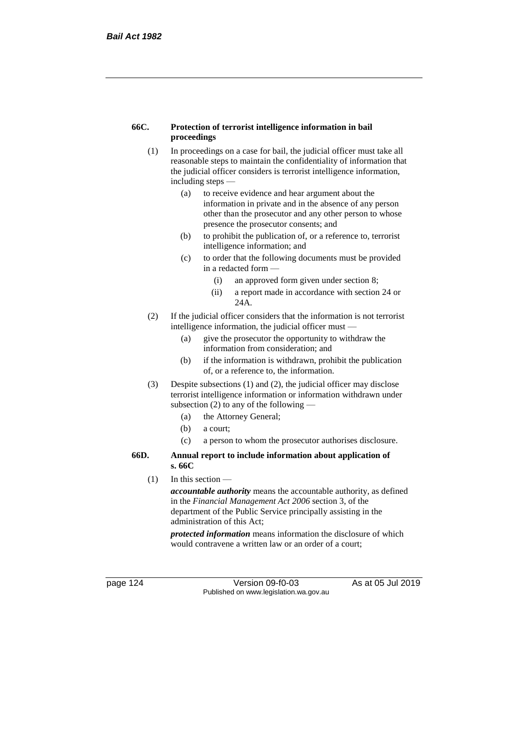#### **66C. Protection of terrorist intelligence information in bail proceedings**

- (1) In proceedings on a case for bail, the judicial officer must take all reasonable steps to maintain the confidentiality of information that the judicial officer considers is terrorist intelligence information, including steps —
	- (a) to receive evidence and hear argument about the information in private and in the absence of any person other than the prosecutor and any other person to whose presence the prosecutor consents; and
	- (b) to prohibit the publication of, or a reference to, terrorist intelligence information; and
	- (c) to order that the following documents must be provided in a redacted form —
		- (i) an approved form given under section 8;
		- (ii) a report made in accordance with section 24 or 24A.
- (2) If the judicial officer considers that the information is not terrorist intelligence information, the judicial officer must -
	- (a) give the prosecutor the opportunity to withdraw the information from consideration; and
	- (b) if the information is withdrawn, prohibit the publication of, or a reference to, the information.
- (3) Despite subsections (1) and (2), the judicial officer may disclose terrorist intelligence information or information withdrawn under subsection  $(2)$  to any of the following  $-$ 
	- (a) the Attorney General;
	- (b) a court;
	- (c) a person to whom the prosecutor authorises disclosure.

#### **66D. Annual report to include information about application of s. 66C**

(1) In this section —

*accountable authority* means the accountable authority, as defined in the *Financial Management Act 2006* section 3, of the department of the Public Service principally assisting in the administration of this Act;

*protected information* means information the disclosure of which would contravene a written law or an order of a court;

page 124 Version 09-f0-03 As at 05 Jul 2019 Published on www.legislation.wa.gov.au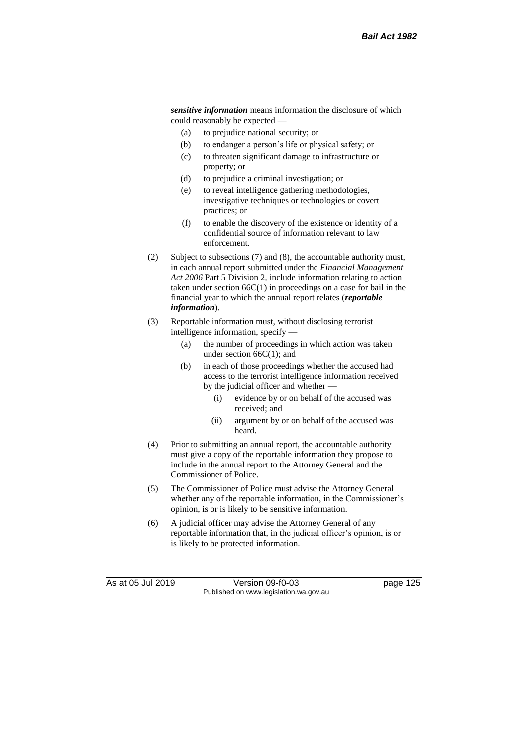*sensitive information* means information the disclosure of which could reasonably be expected —

- (a) to prejudice national security; or
- (b) to endanger a person's life or physical safety; or
- (c) to threaten significant damage to infrastructure or property; or
- (d) to prejudice a criminal investigation; or
- (e) to reveal intelligence gathering methodologies, investigative techniques or technologies or covert practices; or
- (f) to enable the discovery of the existence or identity of a confidential source of information relevant to law enforcement.
- (2) Subject to subsections (7) and (8), the accountable authority must, in each annual report submitted under the *Financial Management Act 2006* Part 5 Division 2, include information relating to action taken under section  $66C(1)$  in proceedings on a case for bail in the financial year to which the annual report relates (*reportable information*).
- (3) Reportable information must, without disclosing terrorist intelligence information, specify —
	- (a) the number of proceedings in which action was taken under section 66C(1); and
	- (b) in each of those proceedings whether the accused had access to the terrorist intelligence information received by the judicial officer and whether
		- (i) evidence by or on behalf of the accused was received; and
		- (ii) argument by or on behalf of the accused was heard.
- (4) Prior to submitting an annual report, the accountable authority must give a copy of the reportable information they propose to include in the annual report to the Attorney General and the Commissioner of Police.
- (5) The Commissioner of Police must advise the Attorney General whether any of the reportable information, in the Commissioner's opinion, is or is likely to be sensitive information.
- (6) A judicial officer may advise the Attorney General of any reportable information that, in the judicial officer's opinion, is or is likely to be protected information.

As at 05 Jul 2019 Version 09-f0-03 page 125 Published on www.legislation.wa.gov.au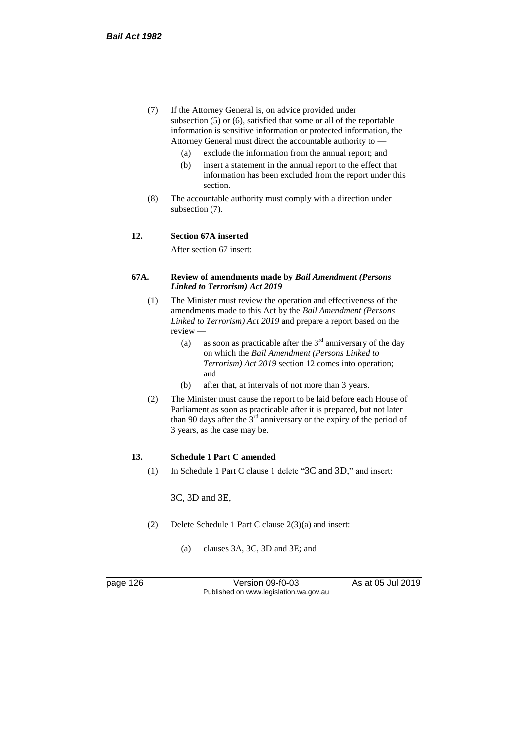- (7) If the Attorney General is, on advice provided under subsection (5) or (6), satisfied that some or all of the reportable information is sensitive information or protected information, the Attorney General must direct the accountable authority to —
	- (a) exclude the information from the annual report; and
	- (b) insert a statement in the annual report to the effect that information has been excluded from the report under this section.
- (8) The accountable authority must comply with a direction under subsection (7).

#### **12. Section 67A inserted**

After section 67 insert:

#### **67A. Review of amendments made by** *Bail Amendment (Persons Linked to Terrorism) Act 2019*

- (1) The Minister must review the operation and effectiveness of the amendments made to this Act by the *Bail Amendment (Persons Linked to Terrorism) Act 2019* and prepare a report based on the review —
	- (a) as soon as practicable after the  $3<sup>rd</sup>$  anniversary of the day on which the *Bail Amendment (Persons Linked to Terrorism) Act 2019* section 12 comes into operation; and
	- (b) after that, at intervals of not more than 3 years.
- (2) The Minister must cause the report to be laid before each House of Parliament as soon as practicable after it is prepared, but not later than 90 days after the  $3<sup>rd</sup>$  anniversary or the expiry of the period of 3 years, as the case may be.

#### **13. Schedule 1 Part C amended**

(1) In Schedule 1 Part C clause 1 delete "3C and 3D," and insert:

3C, 3D and 3E,

- (2) Delete Schedule 1 Part C clause 2(3)(a) and insert:
	- (a) clauses 3A, 3C, 3D and 3E; and

page 126 Version 09-f0-03 As at 05 Jul 2019 Published on www.legislation.wa.gov.au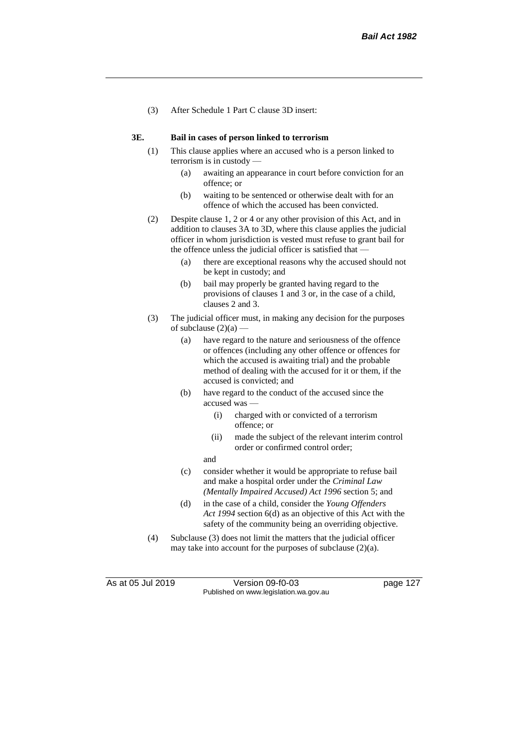(3) After Schedule 1 Part C clause 3D insert:

#### **3E. Bail in cases of person linked to terrorism**

- (1) This clause applies where an accused who is a person linked to terrorism is in custody —
	- (a) awaiting an appearance in court before conviction for an offence; or
	- (b) waiting to be sentenced or otherwise dealt with for an offence of which the accused has been convicted.
- (2) Despite clause 1, 2 or 4 or any other provision of this Act, and in addition to clauses 3A to 3D, where this clause applies the judicial officer in whom jurisdiction is vested must refuse to grant bail for the offence unless the judicial officer is satisfied that —
	- (a) there are exceptional reasons why the accused should not be kept in custody; and
	- (b) bail may properly be granted having regard to the provisions of clauses 1 and 3 or, in the case of a child, clauses 2 and 3.
- (3) The judicial officer must, in making any decision for the purposes of subclause  $(2)(a)$  -
	- (a) have regard to the nature and seriousness of the offence or offences (including any other offence or offences for which the accused is awaiting trial) and the probable method of dealing with the accused for it or them, if the accused is convicted; and
	- (b) have regard to the conduct of the accused since the accused was —
		- (i) charged with or convicted of a terrorism offence; or
		- (ii) made the subject of the relevant interim control order or confirmed control order;
		- and
	- (c) consider whether it would be appropriate to refuse bail and make a hospital order under the *Criminal Law (Mentally Impaired Accused) Act 1996* section 5; and
	- (d) in the case of a child, consider the *Young Offenders Act 1994* section 6(d) as an objective of this Act with the safety of the community being an overriding objective.
- (4) Subclause (3) does not limit the matters that the judicial officer may take into account for the purposes of subclause (2)(a).

As at 05 Jul 2019 Version 09-f0-03 page 127 Published on www.legislation.wa.gov.au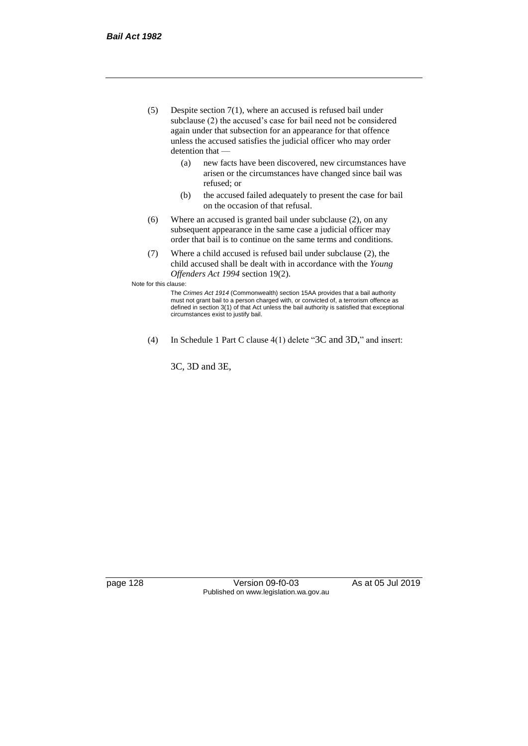- (5) Despite section 7(1), where an accused is refused bail under subclause (2) the accused's case for bail need not be considered again under that subsection for an appearance for that offence unless the accused satisfies the judicial officer who may order detention that —
	- (a) new facts have been discovered, new circumstances have arisen or the circumstances have changed since bail was refused; or
	- (b) the accused failed adequately to present the case for bail on the occasion of that refusal.
- (6) Where an accused is granted bail under subclause (2), on any subsequent appearance in the same case a judicial officer may order that bail is to continue on the same terms and conditions.
- (7) Where a child accused is refused bail under subclause (2), the child accused shall be dealt with in accordance with the *Young Offenders Act 1994* section 19(2).

Note for this clause:

The *Crimes Act 1914* (Commonwealth) section 15AA provides that a bail authority must not grant bail to a person charged with, or convicted of, a terrorism offence as defined in section 3(1) of that Act unless the bail authority is satisfied that exceptional circumstances exist to justify bail.

(4) In Schedule 1 Part C clause 4(1) delete "3C and 3D," and insert:

3C, 3D and 3E,

page 128 Version 09-f0-03 As at 05 Jul 2019 Published on www.legislation.wa.gov.au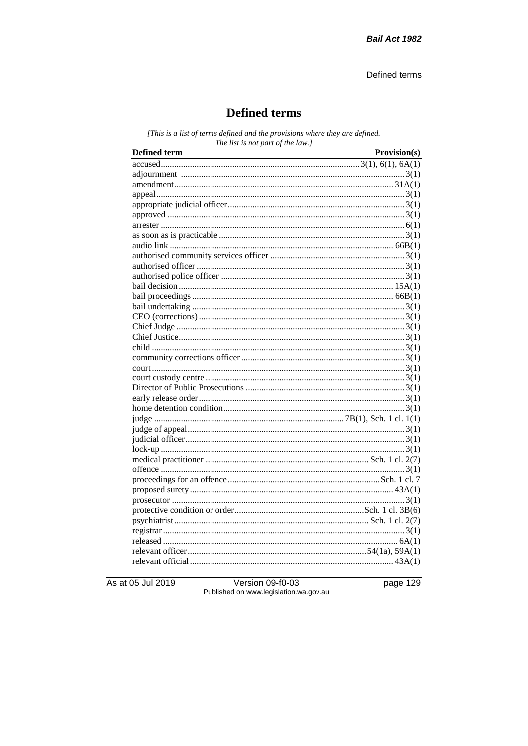# **Defined terms**

[This is a list of terms defined and the provisions where they are defined. The list is not part of the law.]

| Defined term | Provision(s) |
|--------------|--------------|
|              |              |
|              |              |
|              |              |
|              |              |
|              |              |
|              |              |
|              |              |
|              |              |
|              |              |
|              |              |
|              |              |
|              |              |
|              |              |
|              |              |
|              |              |
|              |              |
|              |              |
|              |              |
|              |              |
|              |              |
|              |              |
|              |              |
|              |              |
|              |              |
|              |              |
|              |              |
|              |              |
|              |              |
|              |              |
|              |              |
|              |              |
|              |              |
|              |              |
|              |              |
|              |              |
|              |              |
|              |              |
|              |              |
|              |              |
|              |              |

As at 05 Jul 2019

Version 09-f0-03 Published on www.legislation.wa.gov.au page 129